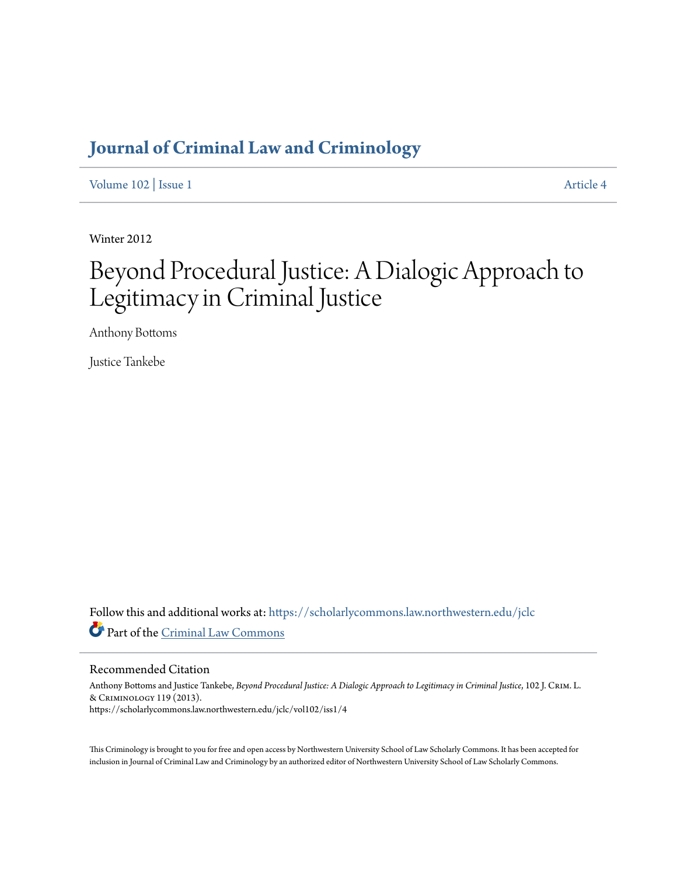## **[Journal of Criminal Law and Criminology](https://scholarlycommons.law.northwestern.edu/jclc?utm_source=scholarlycommons.law.northwestern.edu%2Fjclc%2Fvol102%2Fiss1%2F4&utm_medium=PDF&utm_campaign=PDFCoverPages)**

[Volume 102](https://scholarlycommons.law.northwestern.edu/jclc/vol102?utm_source=scholarlycommons.law.northwestern.edu%2Fjclc%2Fvol102%2Fiss1%2F4&utm_medium=PDF&utm_campaign=PDFCoverPages) | [Issue 1](https://scholarlycommons.law.northwestern.edu/jclc/vol102/iss1?utm_source=scholarlycommons.law.northwestern.edu%2Fjclc%2Fvol102%2Fiss1%2F4&utm_medium=PDF&utm_campaign=PDFCoverPages) [Article 4](https://scholarlycommons.law.northwestern.edu/jclc/vol102/iss1/4?utm_source=scholarlycommons.law.northwestern.edu%2Fjclc%2Fvol102%2Fiss1%2F4&utm_medium=PDF&utm_campaign=PDFCoverPages)

Winter 2012

# Beyond Procedural Justice: A Dialogic Approach to Legitimacy in Criminal Justice

Anthony Bottoms

Justice Tankebe

Follow this and additional works at: [https://scholarlycommons.law.northwestern.edu/jclc](https://scholarlycommons.law.northwestern.edu/jclc?utm_source=scholarlycommons.law.northwestern.edu%2Fjclc%2Fvol102%2Fiss1%2F4&utm_medium=PDF&utm_campaign=PDFCoverPages) Part of the [Criminal Law Commons](http://network.bepress.com/hgg/discipline/912?utm_source=scholarlycommons.law.northwestern.edu%2Fjclc%2Fvol102%2Fiss1%2F4&utm_medium=PDF&utm_campaign=PDFCoverPages)

#### Recommended Citation

Anthony Bottoms and Justice Tankebe, *Beyond Procedural Justice: A Dialogic Approach to Legitimacy in Criminal Justice*, 102 J. Crim. L. & Criminology 119 (2013). https://scholarlycommons.law.northwestern.edu/jclc/vol102/iss1/4

This Criminology is brought to you for free and open access by Northwestern University School of Law Scholarly Commons. It has been accepted for inclusion in Journal of Criminal Law and Criminology by an authorized editor of Northwestern University School of Law Scholarly Commons.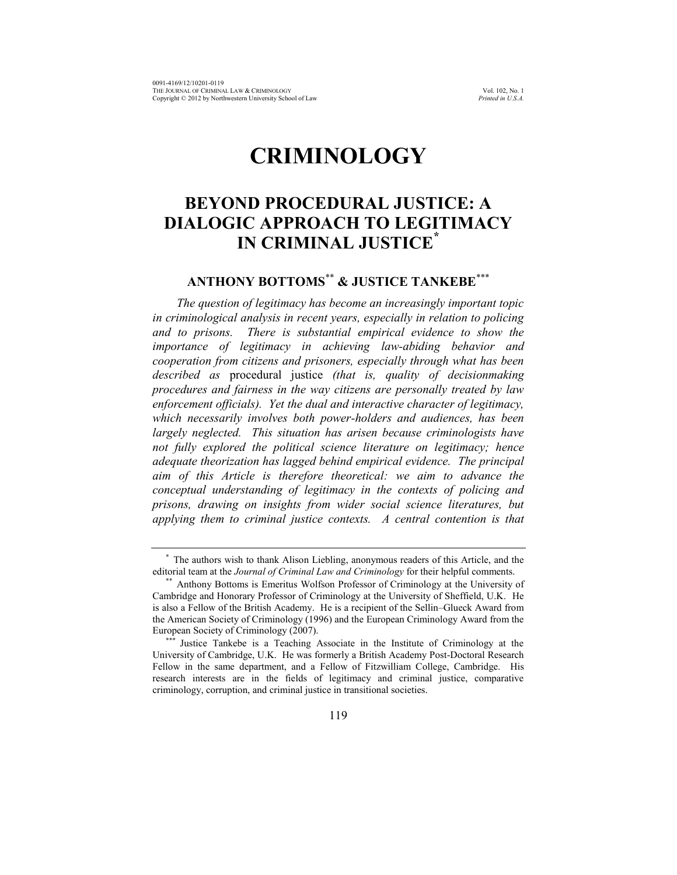## **CRIMINOLOGY**

### **BEYOND PROCEDURAL JUSTICE: A DIALOGIC APPROACH TO LEGITIMACY IN CRIMINAL JUSTICE\***

### **ANTHONY BOTTOMS**\*\* **& JUSTICE TANKEBE**\*\*\*

*The question of legitimacy has become an increasingly important topic in criminological analysis in recent years, especially in relation to policing and to prisons. There is substantial empirical evidence to show the importance of legitimacy in achieving law-abiding behavior and cooperation from citizens and prisoners, especially through what has been described as* procedural justice *(that is, quality of decisionmaking procedures and fairness in the way citizens are personally treated by law enforcement officials). Yet the dual and interactive character of legitimacy, which necessarily involves both power-holders and audiences, has been largely neglected. This situation has arisen because criminologists have not fully explored the political science literature on legitimacy; hence adequate theorization has lagged behind empirical evidence. The principal aim of this Article is therefore theoretical: we aim to advance the conceptual understanding of legitimacy in the contexts of policing and prisons, drawing on insights from wider social science literatures, but applying them to criminal justice contexts. A central contention is that* 

<sup>\*</sup> The authors wish to thank Alison Liebling, anonymous readers of this Article, and the editorial team at the *Journal of Criminal Law and Criminology* for their helpful comments.

<sup>\*\*</sup> Anthony Bottoms is Emeritus Wolfson Professor of Criminology at the University of Cambridge and Honorary Professor of Criminology at the University of Sheffield, U.K. He is also a Fellow of the British Academy. He is a recipient of the Sellin–Glueck Award from the American Society of Criminology (1996) and the European Criminology Award from the European Society of Criminology (2007).

Justice Tankebe is a Teaching Associate in the Institute of Criminology at the University of Cambridge, U.K. He was formerly a British Academy Post-Doctoral Research Fellow in the same department, and a Fellow of Fitzwilliam College, Cambridge. His research interests are in the fields of legitimacy and criminal justice, comparative criminology, corruption, and criminal justice in transitional societies.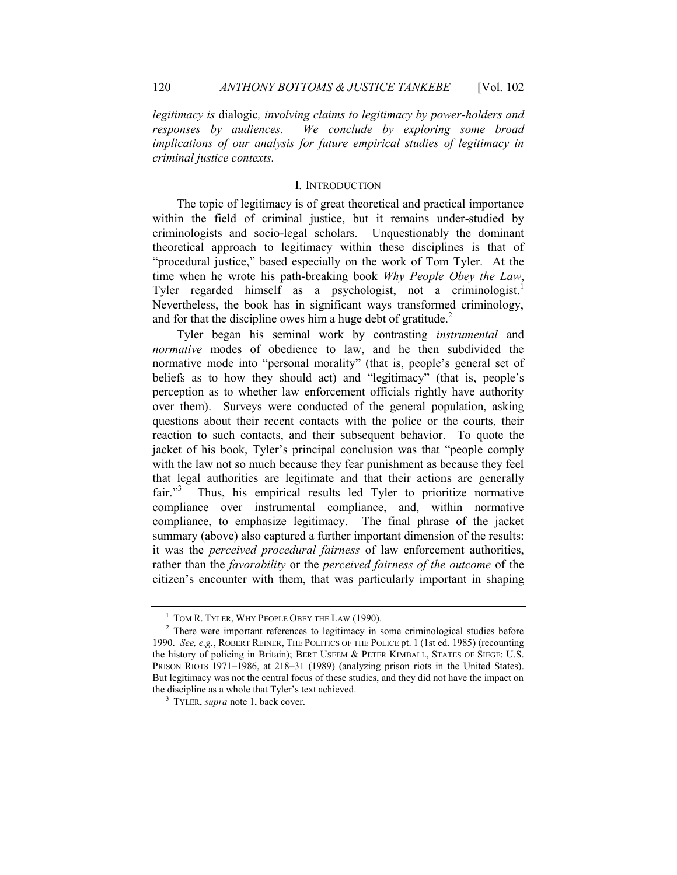*legitimacy is* dialogic*, involving claims to legitimacy by power-holders and responses by audiences. We conclude by exploring some broad implications of our analysis for future empirical studies of legitimacy in criminal justice contexts.*

#### <span id="page-2-0"></span>I. INTRODUCTION

The topic of legitimacy is of great theoretical and practical importance within the field of criminal justice, but it remains under-studied by criminologists and socio-legal scholars. Unquestionably the dominant theoretical approach to legitimacy within these disciplines is that of "procedural justice," based especially on the work of Tom Tyler. At the time when he wrote his path-breaking book *Why People Obey the Law*, Tyler regarded himself as a psychologist, not a criminologist.<sup>1</sup> Nevertheless, the book has in significant ways transformed criminology, and for that the discipline owes him a huge debt of gratitude. $2$ 

Tyler began his seminal work by contrasting *instrumental* and *normative* modes of obedience to law, and he then subdivided the normative mode into "personal morality" (that is, people's general set of beliefs as to how they should act) and "legitimacy" (that is, people's perception as to whether law enforcement officials rightly have authority over them). Surveys were conducted of the general population, asking questions about their recent contacts with the police or the courts, their reaction to such contacts, and their subsequent behavior. To quote the jacket of his book, Tyler's principal conclusion was that "people comply with the law not so much because they fear punishment as because they feel that legal authorities are legitimate and that their actions are generally fair."<sup>3</sup> Thus, his empirical results led Tyler to prioritize normative compliance over instrumental compliance, and, within normative compliance, to emphasize legitimacy. The final phrase of the jacket summary (above) also captured a further important dimension of the results: it was the *perceived procedural fairness* of law enforcement authorities, rather than the *favorability* or the *perceived fairness of the outcome* of the citizen's encounter with them, that was particularly important in shaping

<sup>&</sup>lt;sup>1</sup> TOM R. TYLER, WHY PEOPLE OBEY THE LAW (1990).

<sup>&</sup>lt;sup>2</sup> There were important references to legitimacy in some criminological studies before 1990. *See, e.g.*, ROBERT REINER, THE POLITICS OF THE POLICE pt. 1 (1st ed. 1985) (recounting the history of policing in Britain); BERT USEEM & PETER KIMBALL, STATES OF SIEGE: U.S. PRISON RIOTS 1971–1986, at 218–31 (1989) (analyzing prison riots in the United States). But legitimacy was not the central focus of these studies, and they did not have the impact on the discipline as a whole that Tyler's text achieved.

<sup>3</sup> TYLER, *supra* note [1,](#page-2-0) back cover.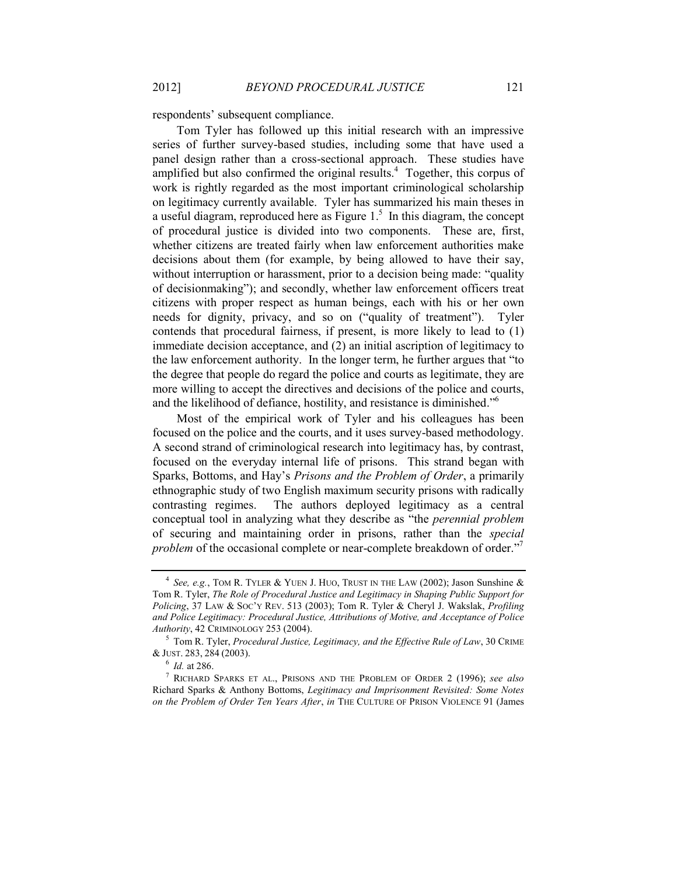respondents' subsequent compliance.

<span id="page-3-3"></span><span id="page-3-0"></span>Tom Tyler has followed up this initial research with an impressive series of further survey-based studies, including some that have used a panel design rather than a cross-sectional approach. These studies have amplified but also confirmed the original results. $4$  Together, this corpus of work is rightly regarded as the most important criminological scholarship on legitimacy currently available. Tyler has summarized his main theses in a useful diagram, reproduced here as Figure  $1<sup>5</sup>$  In this diagram, the concept of procedural justice is divided into two components. These are, first, whether citizens are treated fairly when law enforcement authorities make decisions about them (for example, by being allowed to have their say, without interruption or harassment, prior to a decision being made: "quality" of decisionmaking"); and secondly, whether law enforcement officers treat citizens with proper respect as human beings, each with his or her own needs for dignity, privacy, and so on ("quality of treatment"). Tyler contends that procedural fairness, if present, is more likely to lead to (1) immediate decision acceptance, and (2) an initial ascription of legitimacy to the law enforcement authority. In the longer term, he further argues that "to the degree that people do regard the police and courts as legitimate, they are more willing to accept the directives and decisions of the police and courts, and the likelihood of defiance, hostility, and resistance is diminished."<sup>6</sup>

Most of the empirical work of Tyler and his colleagues has been focused on the police and the courts, and it uses survey-based methodology. A second strand of criminological research into legitimacy has, by contrast, focused on the everyday internal life of prisons. This strand began with Sparks, Bottoms, and Hay's *Prisons and the Problem of Order*, a primarily ethnographic study of two English maximum security prisons with radically contrasting regimes. The authors deployed legitimacy as a central conceptual tool in analyzing what they describe as "the *perennial problem* of securing and maintaining order in prisons, rather than the *special*  problem of the occasional complete or near-complete breakdown of order."<sup>7</sup>

<span id="page-3-2"></span><span id="page-3-1"></span><sup>&</sup>lt;sup>4</sup> See, e.g., TOM R. TYLER & YUEN J. HUO, TRUST IN THE LAW (2002); Jason Sunshine & Tom R. Tyler, *The Role of Procedural Justice and Legitimacy in Shaping Public Support for Policing*, 37 LAW & SOC'Y REV. 513 (2003); Tom R. Tyler & Cheryl J. Wakslak, *Profiling and Police Legitimacy: Procedural Justice, Attributions of Motive, and Acceptance of Police Authority*, 42 CRIMINOLOGY 253 (2004).

<sup>5</sup> Tom R. Tyler, *Procedural Justice, Legitimacy, and the Effective Rule of Law*, 30 CRIME & JUST. 283, 284 (2003).

<sup>6</sup> *Id.* at 286.

<sup>7</sup> RICHARD SPARKS ET AL., PRISONS AND THE PROBLEM OF ORDER 2 (1996); *see also*  Richard Sparks & Anthony Bottoms, *Legitimacy and Imprisonment Revisited: Some Notes on the Problem of Order Ten Years After*, *in* THE CULTURE OF PRISON VIOLENCE 91 (James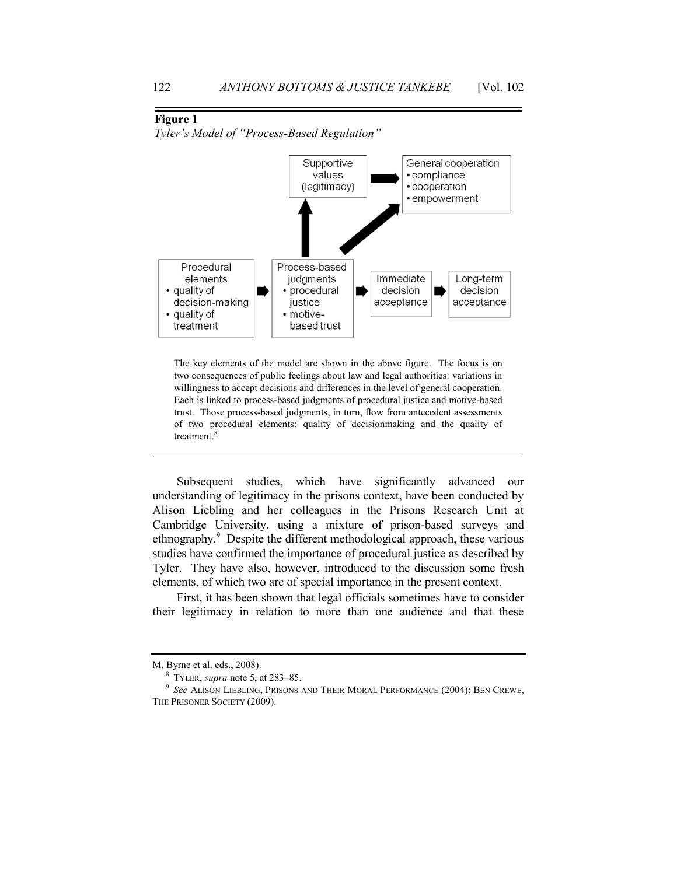#### <span id="page-4-0"></span>**Figure 1**

*Tyler's Model of "Process-Based Regulation"*



The key elements of the model are shown in the above figure. The focus is on two consequences of public feelings about law and legal authorities: variations in willingness to accept decisions and differences in the level of general cooperation. Each is linked to process-based judgments of procedural justice and motive-based trust. Those process-based judgments, in turn, flow from antecedent assessments of two procedural elements: quality of decisionmaking and the quality of treatment.<sup>8</sup>

<span id="page-4-1"></span>Subsequent studies, which have significantly advanced our understanding of legitimacy in the prisons context, have been conducted by Alison Liebling and her colleagues in the Prisons Research Unit at Cambridge University, using a mixture of prison-based surveys and ethnography.<sup>9</sup> Despite the different methodological approach, these various studies have confirmed the importance of procedural justice as described by Tyler. They have also, however, introduced to the discussion some fresh elements, of which two are of special importance in the present context.

First, it has been shown that legal officials sometimes have to consider their legitimacy in relation to more than one audience and that these

M. Byrne et al. eds., 2008).

<sup>8</sup> TYLER, *supra* note [5,](#page-3-0) at 283–85.

<sup>9</sup> *See* ALISON LIEBLING, PRISONS AND THEIR MORAL PERFORMANCE (2004); BEN CREWE, THE PRISONER SOCIETY (2009).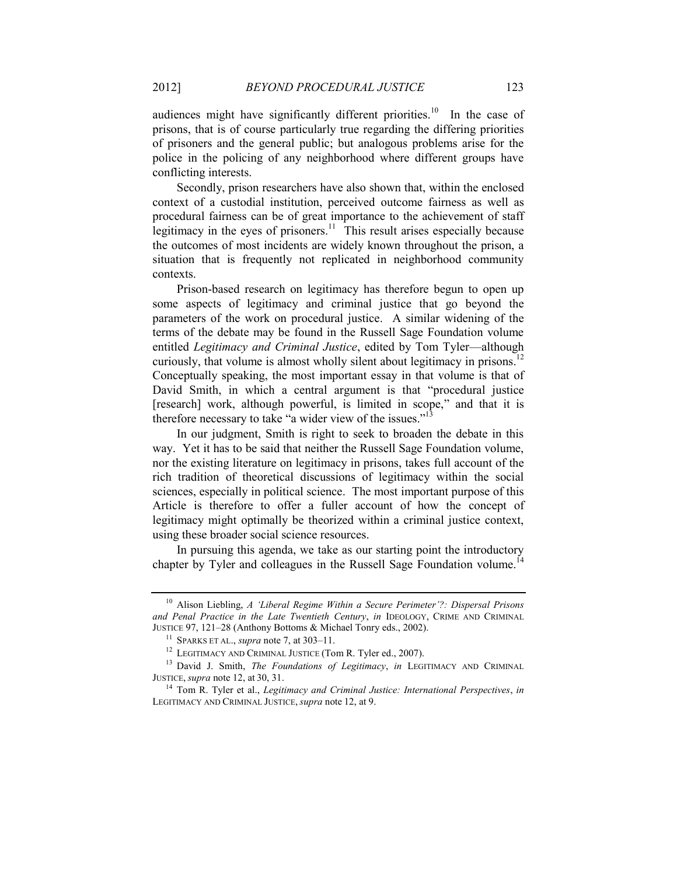<span id="page-5-3"></span>audiences might have significantly different priorities.<sup>10</sup> In the case of prisons, that is of course particularly true regarding the differing priorities of prisoners and the general public; but analogous problems arise for the police in the policing of any neighborhood where different groups have conflicting interests.

Secondly, prison researchers have also shown that, within the enclosed context of a custodial institution, perceived outcome fairness as well as procedural fairness can be of great importance to the achievement of staff legitimacy in the eyes of prisoners.<sup>11</sup> This result arises especially because the outcomes of most incidents are widely known throughout the prison, a situation that is frequently not replicated in neighborhood community contexts.

<span id="page-5-0"></span>Prison-based research on legitimacy has therefore begun to open up some aspects of legitimacy and criminal justice that go beyond the parameters of the work on procedural justice. A similar widening of the terms of the debate may be found in the Russell Sage Foundation volume entitled *Legitimacy and Criminal Justice*, edited by Tom Tyler—although curiously, that volume is almost wholly silent about legitimacy in prisons.<sup>12</sup> Conceptually speaking, the most important essay in that volume is that of David Smith, in which a central argument is that "procedural justice [research] work, although powerful, is limited in scope," and that it is therefore necessary to take "a wider view of the issues."<sup>13</sup>

<span id="page-5-1"></span>In our judgment, Smith is right to seek to broaden the debate in this way. Yet it has to be said that neither the Russell Sage Foundation volume, nor the existing literature on legitimacy in prisons, takes full account of the rich tradition of theoretical discussions of legitimacy within the social sciences, especially in political science. The most important purpose of this Article is therefore to offer a fuller account of how the concept of legitimacy might optimally be theorized within a criminal justice context, using these broader social science resources.

In pursuing this agenda, we take as our starting point the introductory chapter by Tyler and colleagues in the Russell Sage Foundation volume.<sup>14</sup>

<sup>10</sup> Alison Liebling, *A 'Liberal Regime Within a Secure Perimeter'?: Dispersal Prisons and Penal Practice in the Late Twentieth Century*, *in* IDEOLOGY, CRIME AND CRIMINAL JUSTICE 97, 121–28 (Anthony Bottoms & Michael Tonry eds., 2002).

<span id="page-5-2"></span><sup>11</sup> SPARKS ET AL., *supra* not[e 7,](#page-3-1) at 303–11.

<sup>&</sup>lt;sup>12</sup> LEGITIMACY AND CRIMINAL JUSTICE (Tom R. Tyler ed., 2007).

<sup>13</sup> David J. Smith, *The Foundations of Legitimacy*, *in* LEGITIMACY AND CRIMINAL JUSTICE, *supra* not[e 12,](#page-5-0) at 30, 31.

<sup>14</sup> Tom R. Tyler et al., *Legitimacy and Criminal Justice: International Perspectives*, *in*  LEGITIMACY AND CRIMINAL JUSTICE, *supra* note [12,](#page-5-0) at 9.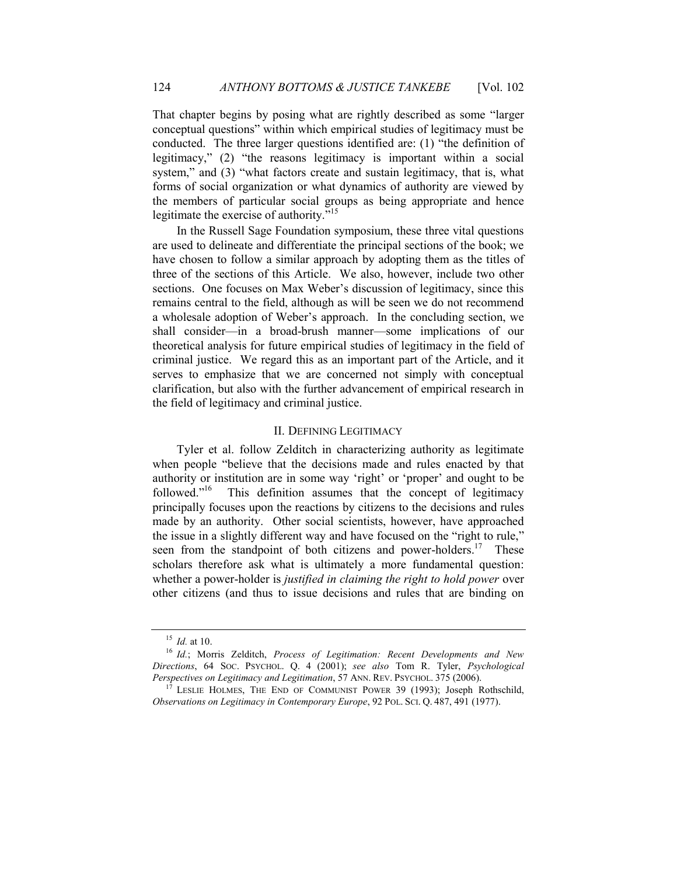That chapter begins by posing what are rightly described as some "larger conceptual questions" within which empirical studies of legitimacy must be conducted. The three larger questions identified are: (1) "the definition of legitimacy," (2) "the reasons legitimacy is important within a social system," and (3) "what factors create and sustain legitimacy, that is, what forms of social organization or what dynamics of authority are viewed by the members of particular social groups as being appropriate and hence legitimate the exercise of authority."<sup>15</sup>

In the Russell Sage Foundation symposium, these three vital questions are used to delineate and differentiate the principal sections of the book; we have chosen to follow a similar approach by adopting them as the titles of three of the sections of this Article. We also, however, include two other sections. One focuses on Max Weber's discussion of legitimacy, since this remains central to the field, although as will be seen we do not recommend a wholesale adoption of Weber's approach. In the concluding section, we shall consider—in a broad-brush manner—some implications of our theoretical analysis for future empirical studies of legitimacy in the field of criminal justice. We regard this as an important part of the Article, and it serves to emphasize that we are concerned not simply with conceptual clarification, but also with the further advancement of empirical research in the field of legitimacy and criminal justice.

#### <span id="page-6-0"></span>II. DEFINING LEGITIMACY

Tyler et al. follow Zelditch in characterizing authority as legitimate when people "believe that the decisions made and rules enacted by that authority or institution are in some way 'right' or 'proper' and ought to be followed." This definition assumes that the concept of legitimacy principally focuses upon the reactions by citizens to the decisions and rules made by an authority. Other social scientists, however, have approached the issue in a slightly different way and have focused on the "right to rule," seen from the standpoint of both citizens and power-holders.<sup>17</sup> These scholars therefore ask what is ultimately a more fundamental question: whether a power-holder is *justified in claiming the right to hold power* over other citizens (and thus to issue decisions and rules that are binding on

<sup>15</sup> *Id.* at 10.

<sup>16</sup> *Id.*; Morris Zelditch, *Process of Legitimation: Recent Developments and New Directions*, 64 SOC. PSYCHOL. Q. 4 (2001); *see also* Tom R. Tyler, *Psychological Perspectives on Legitimacy and Legitimation*, 57 ANN. REV. PSYCHOL. 375 (2006).

<sup>&</sup>lt;sup>17</sup> LESLIE HOLMES, THE END OF COMMUNIST POWER 39 (1993); Joseph Rothschild, *Observations on Legitimacy in Contemporary Europe*, 92 POL. SCI. Q. 487, 491 (1977).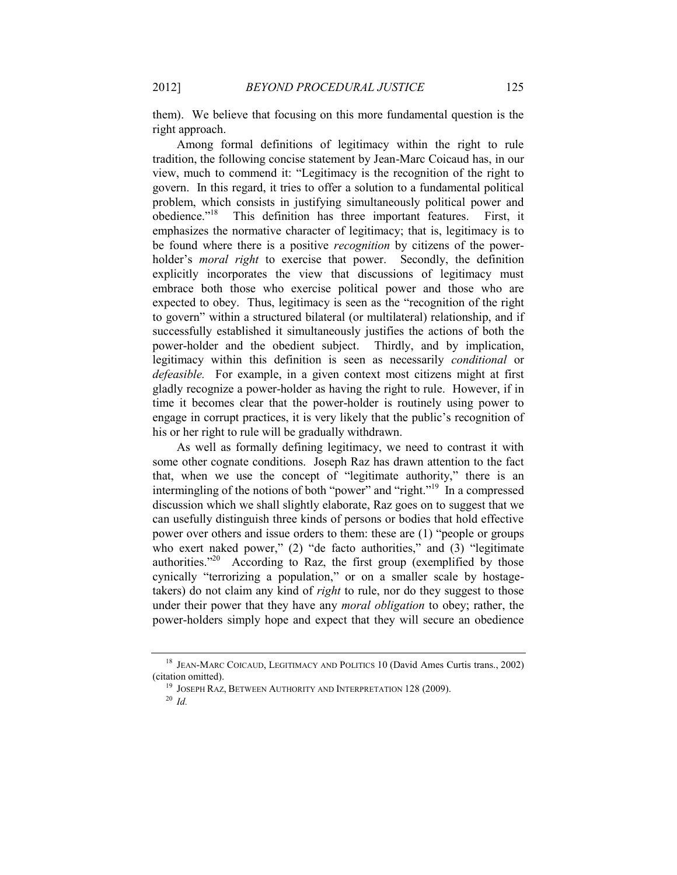them). We believe that focusing on this more fundamental question is the right approach.

<span id="page-7-3"></span><span id="page-7-0"></span>Among formal definitions of legitimacy within the right to rule tradition, the following concise statement by Jean-Marc Coicaud has, in our view, much to commend it: "Legitimacy is the recognition of the right to govern. In this regard, it tries to offer a solution to a fundamental political problem, which consists in justifying simultaneously political power and obedience." 18 This definition has three important features. First, it emphasizes the normative character of legitimacy; that is, legitimacy is to be found where there is a positive *recognition* by citizens of the powerholder's *moral right* to exercise that power. Secondly, the definition explicitly incorporates the view that discussions of legitimacy must embrace both those who exercise political power and those who are expected to obey. Thus, legitimacy is seen as the "recognition of the right to govern" within a structured bilateral (or multilateral) relationship, and if successfully established it simultaneously justifies the actions of both the power-holder and the obedient subject. Thirdly, and by implication, legitimacy within this definition is seen as necessarily *conditional* or *defeasible.* For example, in a given context most citizens might at first gladly recognize a power-holder as having the right to rule. However, if in time it becomes clear that the power-holder is routinely using power to engage in corrupt practices, it is very likely that the public's recognition of his or her right to rule will be gradually withdrawn.

<span id="page-7-2"></span><span id="page-7-1"></span>As well as formally defining legitimacy, we need to contrast it with some other cognate conditions. Joseph Raz has drawn attention to the fact that, when we use the concept of "legitimate authority," there is an intermingling of the notions of both "power" and "right."<sup>19</sup> In a compressed discussion which we shall slightly elaborate, Raz goes on to suggest that we can usefully distinguish three kinds of persons or bodies that hold effective power over others and issue orders to them: these are (1) "people or groups who exert naked power," (2) "de facto authorities," and (3) "legitimate authorities. $120$  According to Raz, the first group (exemplified by those cynically "terrorizing a population," or on a smaller scale by hostagetakers) do not claim any kind of *right* to rule, nor do they suggest to those under their power that they have any *moral obligation* to obey; rather, the power-holders simply hope and expect that they will secure an obedience

<sup>&</sup>lt;sup>18</sup> JEAN-MARC COICAUD, LEGITIMACY AND POLITICS 10 (David Ames Curtis trans., 2002) (citation omitted).

<sup>&</sup>lt;sup>19</sup> JOSEPH RAZ, BETWEEN AUTHORITY AND INTERPRETATION 128 (2009).

<sup>20</sup> *Id.*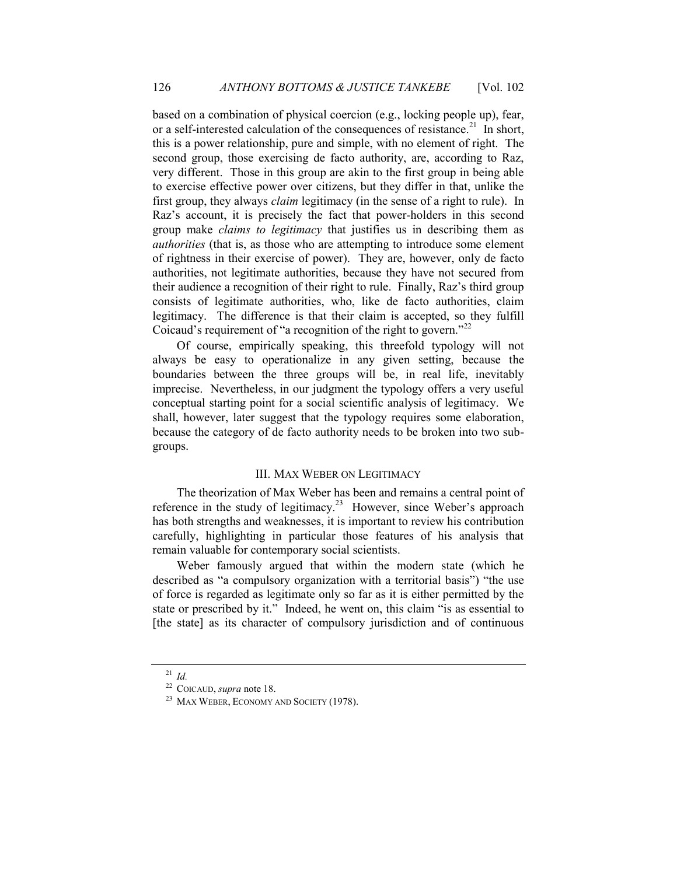based on a combination of physical coercion (e.g., locking people up), fear, or a self-interested calculation of the consequences of resistance.<sup>21</sup> In short, this is a power relationship, pure and simple, with no element of right. The second group, those exercising de facto authority, are, according to Raz, very different. Those in this group are akin to the first group in being able to exercise effective power over citizens, but they differ in that, unlike the first group, they always *claim* legitimacy (in the sense of a right to rule). In Raz's account, it is precisely the fact that power-holders in this second group make *claims to legitimacy* that justifies us in describing them as *authorities* (that is, as those who are attempting to introduce some element of rightness in their exercise of power). They are, however, only de facto authorities, not legitimate authorities, because they have not secured from their audience a recognition of their right to rule. Finally, Raz's third group consists of legitimate authorities, who, like de facto authorities, claim legitimacy. The difference is that their claim is accepted, so they fulfill Coicaud's requirement of "a recognition of the right to govern."<sup>22</sup>

Of course, empirically speaking, this threefold typology will not always be easy to operationalize in any given setting, because the boundaries between the three groups will be, in real life, inevitably imprecise. Nevertheless, in our judgment the typology offers a very useful conceptual starting point for a social scientific analysis of legitimacy. We shall, however, later suggest that the typology requires some elaboration, because the category of de facto authority needs to be broken into two subgroups.

#### <span id="page-8-2"></span><span id="page-8-0"></span>III. MAX WEBER ON LEGITIMACY

<span id="page-8-1"></span>The theorization of Max Weber has been and remains a central point of reference in the study of legitimacy.<sup>23</sup> However, since Weber's approach has both strengths and weaknesses, it is important to review his contribution carefully, highlighting in particular those features of his analysis that remain valuable for contemporary social scientists.

Weber famously argued that within the modern state (which he described as "a compulsory organization with a territorial basis") "the use of force is regarded as legitimate only so far as it is either permitted by the state or prescribed by it." Indeed, he went on, this claim "is as essential to [the state] as its character of compulsory jurisdiction and of continuous

 $^{21}$  *Id.* 

<sup>22</sup> COICAUD, *supra* not[e 18.](#page-7-0)

<sup>&</sup>lt;sup>23</sup> MAX WEBER, ECONOMY AND SOCIETY (1978).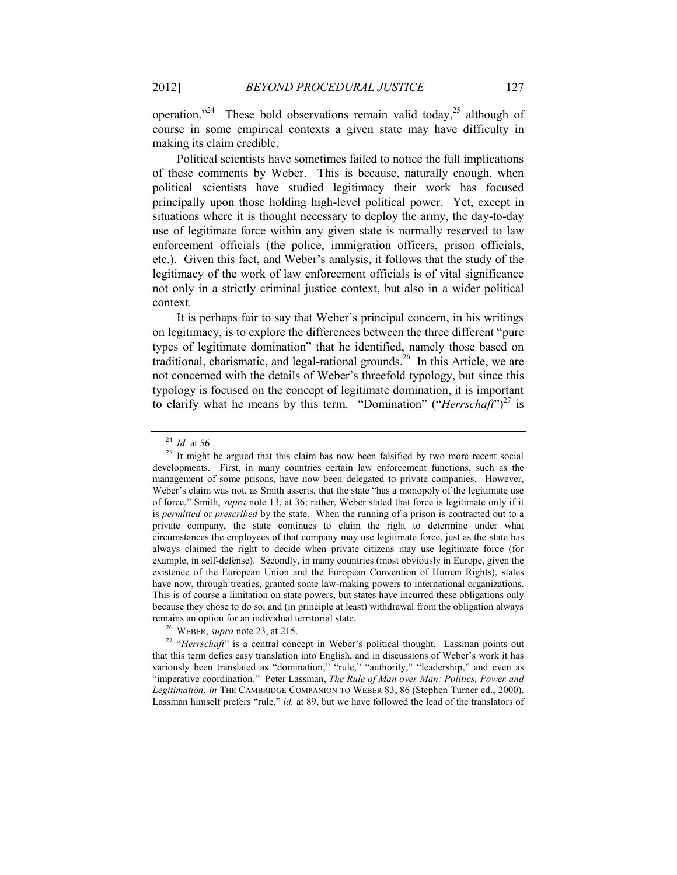operation."<sup>24</sup> These bold observations remain valid today,<sup>25</sup> although of course in some empirical contexts a given state may have difficulty in making its claim credible.

Political scientists have sometimes failed to notice the full implications of these comments by Weber. This is because, naturally enough, when political scientists have studied legitimacy their work has focused principally upon those holding high-level political power. Yet, except in situations where it is thought necessary to deploy the army, the day-to-day use of legitimate force within any given state is normally reserved to law enforcement officials (the police, immigration officers, prison officials, etc.). Given this fact, and Weber's analysis, it follows that the study of the legitimacy of the work of law enforcement officials is of vital significance not only in a strictly criminal justice context, but also in a wider political context.

It is perhaps fair to say that Weber's principal concern, in his writings on legitimacy, is to explore the differences between the three different "pure types of legitimate domination" that he identified, namely those based on traditional, charismatic, and legal-rational grounds.<sup>26</sup> In this Article, we are not concerned with the details of Weber's threefold typology, but since this typology is focused on the concept of legitimate domination, it is important to clarify what he means by this term. "Domination" ("*Herrschaft*") <sup>27</sup> is

<sup>26</sup> WEBER, *supra* not[e 23,](#page-8-0) at 215.

<sup>27</sup> "*Herrschaft*" is a central concept in Weber's political thought. Lassman points out that this term defies easy translation into English, and in discussions of Weber's work it has variously been translated as "domination," "rule," "authority," "leadership," and even as "imperative coordination." Peter Lassman, *The Rule of Man over Man: Politics, Power and Legitimation*, *in* THE CAMBRIDGE COMPANION TO WEBER 83, 86 (Stephen Turner ed., 2000). Lassman himself prefers "rule," *id.* at 89, but we have followed the lead of the translators of

<span id="page-9-0"></span><sup>24</sup> *Id.* at 56.

<sup>&</sup>lt;sup>25</sup> It might be argued that this claim has now been falsified by two more recent social developments. First, in many countries certain law enforcement functions, such as the management of some prisons, have now been delegated to private companies. However, Weber's claim was not, as Smith asserts, that the state "has a monopoly of the legitimate use of force," Smith, *supra* not[e 13,](#page-5-1) at 36; rather, Weber stated that force is legitimate only if it is *permitted* or *prescribed* by the state. When the running of a prison is contracted out to a private company, the state continues to claim the right to determine under what circumstances the employees of that company may use legitimate force, just as the state has always claimed the right to decide when private citizens may use legitimate force (for example, in self-defense). Secondly, in many countries (most obviously in Europe, given the existence of the European Union and the European Convention of Human Rights), states have now, through treaties, granted some law-making powers to international organizations. This is of course a limitation on state powers, but states have incurred these obligations only because they chose to do so, and (in principle at least) withdrawal from the obligation always remains an option for an individual territorial state.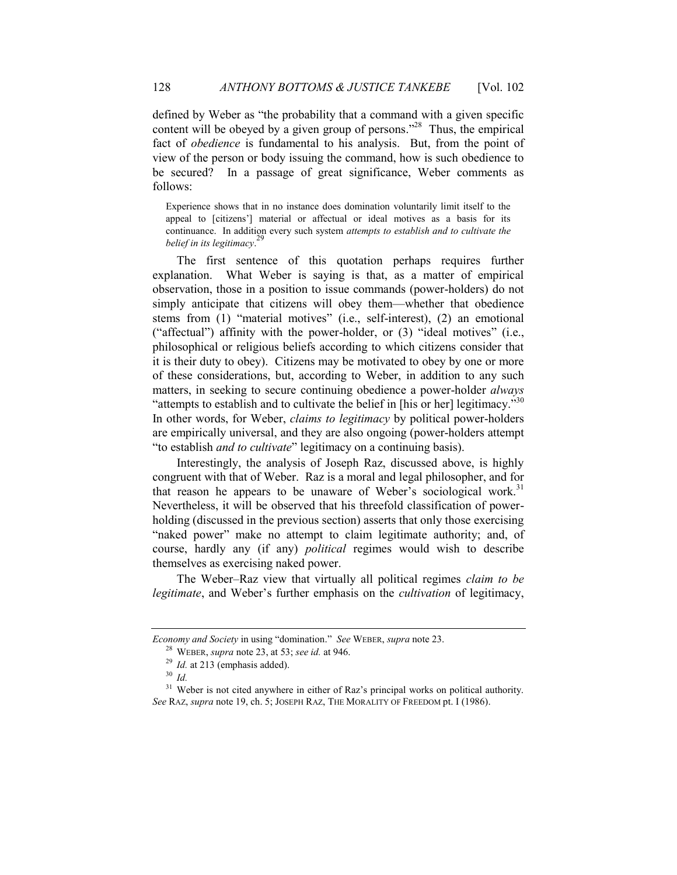defined by Weber as "the probability that a command with a given specific content will be obeyed by a given group of persons."<sup>28</sup> Thus, the empirical fact of *obedience* is fundamental to his analysis. But, from the point of view of the person or body issuing the command, how is such obedience to be secured? In a passage of great significance, Weber comments as follows:

Experience shows that in no instance does domination voluntarily limit itself to the appeal to [citizens'] material or affectual or ideal motives as a basis for its continuance. In addition every such system *attempts to establish and to cultivate the belief in its legitimacy*. 29

The first sentence of this quotation perhaps requires further explanation. What Weber is saying is that, as a matter of empirical observation, those in a position to issue commands (power-holders) do not simply anticipate that citizens will obey them—whether that obedience stems from (1) "material motives" (i.e., self-interest), (2) an emotional ("affectual") affinity with the power-holder, or  $(3)$  "ideal motives" (i.e., philosophical or religious beliefs according to which citizens consider that it is their duty to obey). Citizens may be motivated to obey by one or more of these considerations, but, according to Weber, in addition to any such matters, in seeking to secure continuing obedience a power-holder *always* "attempts to establish and to cultivate the belief in [his or her] legitimacy."<sup>30</sup> In other words, for Weber, *claims to legitimacy* by political power-holders are empirically universal, and they are also ongoing (power-holders attempt "to establish *and to cultivate*" legitimacy on a continuing basis).

<span id="page-10-0"></span>Interestingly, the analysis of Joseph Raz, discussed above, is highly congruent with that of Weber. Raz is a moral and legal philosopher, and for that reason he appears to be unaware of Weber's sociological work.<sup>31</sup> Nevertheless, it will be observed that his threefold classification of powerholding (discussed in the previous section) asserts that only those exercising "naked power" make no attempt to claim legitimate authority; and, of course, hardly any (if any) *political* regimes would wish to describe themselves as exercising naked power.

The Weber–Raz view that virtually all political regimes *claim to be legitimate*, and Weber's further emphasis on the *cultivation* of legitimacy,

*Economy and Society* in using "domination." *See* WEBER, *supra* not[e 23.](#page-8-0)

<sup>28</sup> WEBER, *supra* not[e 23,](#page-8-0) at 53; *see id.* at 946.

<sup>&</sup>lt;sup>29</sup> *Id.* at 213 (emphasis added).

<sup>30</sup> *Id.*

<sup>&</sup>lt;sup>31</sup> Weber is not cited anywhere in either of Raz's principal works on political authority. *See* RAZ, *supra* note [19,](#page-7-1) ch. 5; JOSEPH RAZ, THE MORALITY OF FREEDOM pt. I (1986).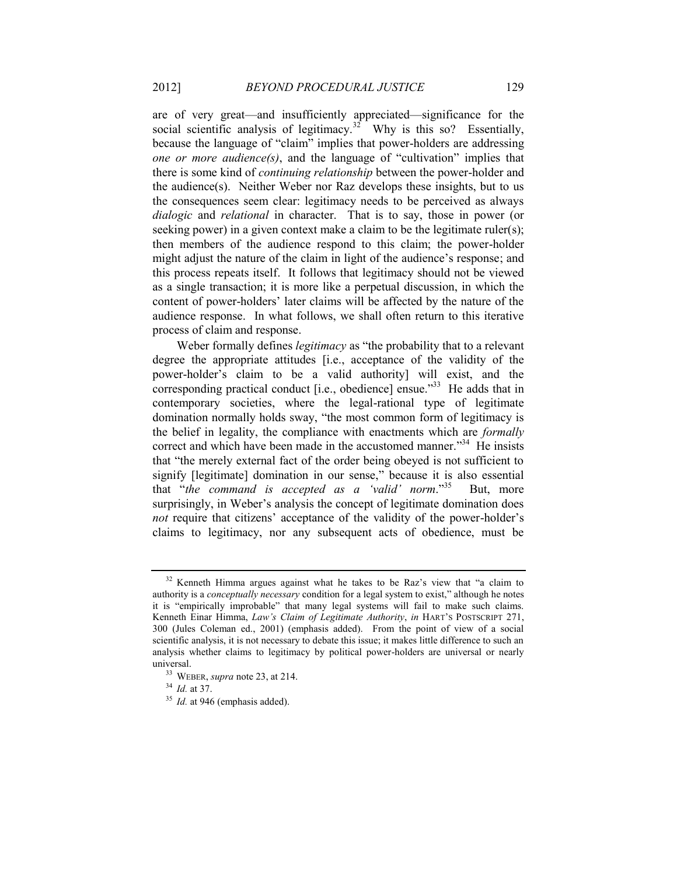are of very great—and insufficiently appreciated—significance for the social scientific analysis of legitimacy.<sup>32</sup> Why is this so? Essentially, because the language of "claim" implies that power-holders are addressing *one or more audience(s)*, and the language of "cultivation" implies that there is some kind of *continuing relationship* between the power-holder and the audience(s). Neither Weber nor Raz develops these insights, but to us the consequences seem clear: legitimacy needs to be perceived as always *dialogic* and *relational* in character. That is to say, those in power (or seeking power) in a given context make a claim to be the legitimate ruler(s); then members of the audience respond to this claim; the power-holder might adjust the nature of the claim in light of the audience's response; and this process repeats itself. It follows that legitimacy should not be viewed as a single transaction; it is more like a perpetual discussion, in which the content of power-holders' later claims will be affected by the nature of the audience response. In what follows, we shall often return to this iterative process of claim and response.

Weber formally defines *legitimacy* as "the probability that to a relevant degree the appropriate attitudes [i.e., acceptance of the validity of the power-holder's claim to be a valid authority] will exist, and the corresponding practical conduct [i.e., obedience] ensue.<sup>33</sup> He adds that in contemporary societies, where the legal-rational type of legitimate domination normally holds sway, "the most common form of legitimacy is the belief in legality, the compliance with enactments which are *formally* correct and which have been made in the accustomed manner."<sup>34</sup> He insists that "the merely external fact of the order being obeyed is not sufficient to signify [legitimate] domination in our sense," because it is also essential that "*the command is accepted as a 'valid' norm*." But, more surprisingly, in Weber's analysis the concept of legitimate domination does *not* require that citizens' acceptance of the validity of the power-holder's claims to legitimacy, nor any subsequent acts of obedience, must be

<sup>&</sup>lt;sup>32</sup> Kenneth Himma argues against what he takes to be Raz's view that "a claim to authority is a *conceptually necessary* condition for a legal system to exist," although he notes it is "empirically improbable" that many legal systems will fail to make such claims. Kenneth Einar Himma, *Law's Claim of Legitimate Authority*, *in* HART'S POSTSCRIPT 271, 300 (Jules Coleman ed., 2001) (emphasis added). From the point of view of a social scientific analysis, it is not necessary to debate this issue; it makes little difference to such an analysis whether claims to legitimacy by political power-holders are universal or nearly universal.

<sup>33</sup> WEBER, *supra* not[e 23,](#page-8-0) at 214.

<sup>34</sup> *Id.* at 37.

<sup>&</sup>lt;sup>35</sup> *Id.* at 946 (emphasis added).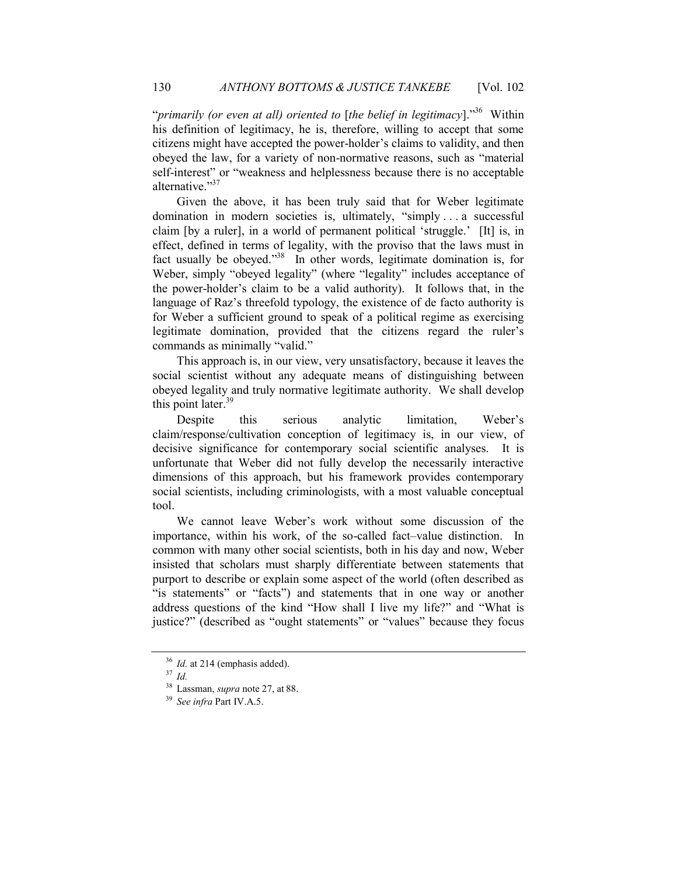"*primarily (or even at all) oriented to* [*the belief in legitimacy*]." <sup>36</sup> Within his definition of legitimacy, he is, therefore, willing to accept that some citizens might have accepted the power-holder's claims to validity, and then obeyed the law, for a variety of non-normative reasons, such as "material self-interest" or "weakness and helplessness because there is no acceptable alternative."<sup>37</sup>

<span id="page-12-0"></span>Given the above, it has been truly said that for Weber legitimate domination in modern societies is, ultimately, "simply . . . a successful claim [by a ruler], in a world of permanent political 'struggle.' [It] is, in effect, defined in terms of legality, with the proviso that the laws must in fact usually be obeyed."<sup>38</sup> In other words, legitimate domination is, for Weber, simply "obeyed legality" (where "legality" includes acceptance of the power-holder's claim to be a valid authority). It follows that, in the language of Raz's threefold typology, the existence of de facto authority is for Weber a sufficient ground to speak of a political regime as exercising legitimate domination, provided that the citizens regard the ruler's commands as minimally "valid."

This approach is, in our view, very unsatisfactory, because it leaves the social scientist without any adequate means of distinguishing between obeyed legality and truly normative legitimate authority. We shall develop this point later. $39$ 

<span id="page-12-1"></span>Despite this serious analytic limitation, Weber's claim/response/cultivation conception of legitimacy is, in our view, of decisive significance for contemporary social scientific analyses. It is unfortunate that Weber did not fully develop the necessarily interactive dimensions of this approach, but his framework provides contemporary social scientists, including criminologists, with a most valuable conceptual tool.

We cannot leave Weber's work without some discussion of the importance, within his work, of the so-called fact–value distinction. In common with many other social scientists, both in his day and now, Weber insisted that scholars must sharply differentiate between statements that purport to describe or explain some aspect of the world (often described as "is statements" or "facts") and statements that in one way or another address questions of the kind "How shall I live my life?" and "What is justice?" (described as "ought statements" or "values" because they focus

<sup>&</sup>lt;sup>36</sup> *Id.* at 214 (emphasis added).

<sup>37</sup> *Id.*

<sup>38</sup> Lassman, *supra* note [27,](#page-9-0) at 88.

<sup>39</sup> *See infra* Par[t IV.A.5.](#page-29-0)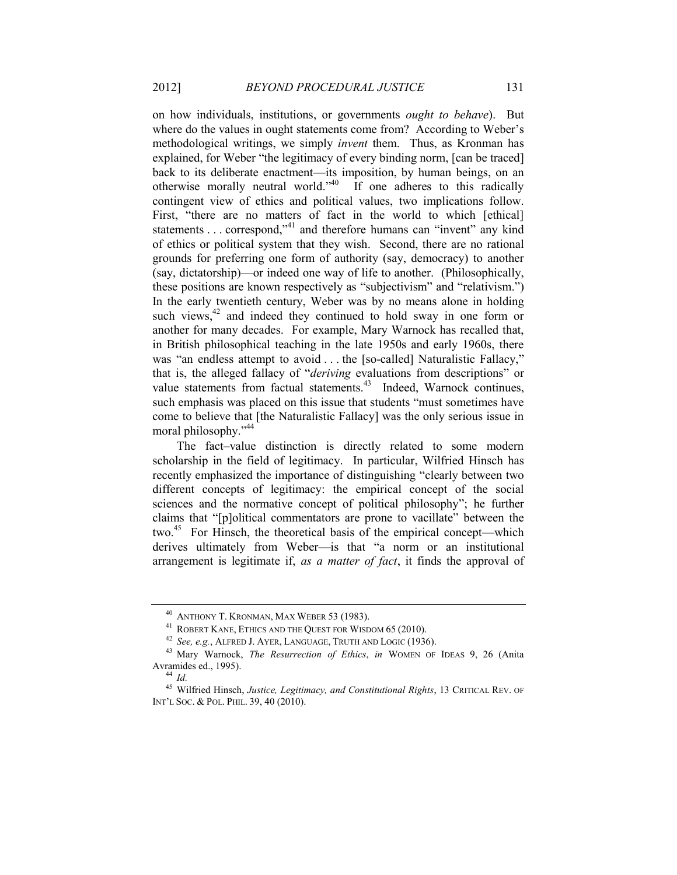<span id="page-13-3"></span><span id="page-13-0"></span>on how individuals, institutions, or governments *ought to behave*). But where do the values in ought statements come from? According to Weber's methodological writings, we simply *invent* them. Thus, as Kronman has explained, for Weber "the legitimacy of every binding norm, [can be traced] back to its deliberate enactment—its imposition, by human beings, on an otherwise morally neutral world.<sup> $340$ </sup> If one adheres to this radically contingent view of ethics and political values, two implications follow. First, "there are no matters of fact in the world to which [ethical] statements . . . correspond,<sup> $2^{41}$ </sup> and therefore humans can "invent" any kind of ethics or political system that they wish. Second, there are no rational grounds for preferring one form of authority (say, democracy) to another (say, dictatorship)—or indeed one way of life to another. (Philosophically, these positions are known respectively as "subjectivism" and "relativism.") In the early twentieth century, Weber was by no means alone in holding such views, $42$  and indeed they continued to hold sway in one form or another for many decades. For example, Mary Warnock has recalled that, in British philosophical teaching in the late 1950s and early 1960s, there was "an endless attempt to avoid . . . the [so-called] Naturalistic Fallacy," that is, the alleged fallacy of "*deriving* evaluations from descriptions" or value statements from factual statements.<sup>43</sup> Indeed, Warnock continues, such emphasis was placed on this issue that students "must sometimes have come to believe that [the Naturalistic Fallacy] was the only serious issue in moral philosophy." 44

<span id="page-13-4"></span><span id="page-13-2"></span><span id="page-13-1"></span>The fact–value distinction is directly related to some modern scholarship in the field of legitimacy. In particular, Wilfried Hinsch has recently emphasized the importance of distinguishing "clearly between two different concepts of legitimacy: the empirical concept of the social sciences and the normative concept of political philosophy"; he further claims that "[p]olitical commentators are prone to vacillate" between the two.<sup>45</sup> For Hinsch, the theoretical basis of the empirical concept—which derives ultimately from Weber—is that "a norm or an institutional arrangement is legitimate if, *as a matter of fact*, it finds the approval of

<sup>40</sup> ANTHONY T. KRONMAN, MAX WEBER 53 (1983).

<sup>41</sup> ROBERT KANE, ETHICS AND THE QUEST FOR WISDOM 65 (2010).

<sup>42</sup> *See, e.g.*, ALFRED J. AYER, LANGUAGE, TRUTH AND LOGIC (1936).

<sup>43</sup> Mary Warnock, *The Resurrection of Ethics*, *in* WOMEN OF IDEAS 9, 26 (Anita Avramides ed., 1995).

<sup>44</sup> *Id.*

<sup>45</sup> Wilfried Hinsch, *Justice, Legitimacy, and Constitutional Rights*, 13 CRITICAL REV. OF INT'L SOC. & POL. PHIL. 39, 40 (2010).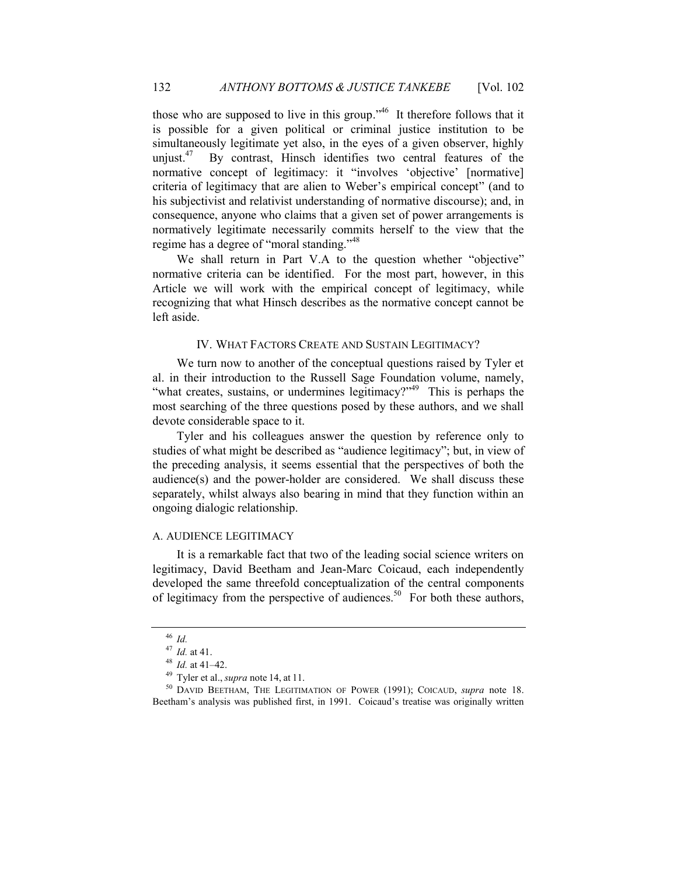those who are supposed to live in this group."<sup>46</sup> It therefore follows that it is possible for a given political or criminal justice institution to be simultaneously legitimate yet also, in the eyes of a given observer, highly unjust. $47$  By contrast, Hinsch identifies two central features of the normative concept of legitimacy: it "involves 'objective' [normative] criteria of legitimacy that are alien to Weber's empirical concept" (and to his subjectivist and relativist understanding of normative discourse); and, in consequence, anyone who claims that a given set of power arrangements is normatively legitimate necessarily commits herself to the view that the regime has a degree of "moral standing."<sup>48</sup>

We shall return in Part [V.A](#page-38-0) to the question whether "objective" normative criteria can be identified. For the most part, however, in this Article we will work with the empirical concept of legitimacy, while recognizing that what Hinsch describes as the normative concept cannot be left aside.

#### IV. WHAT FACTORS CREATE AND SUSTAIN LEGITIMACY?

We turn now to another of the conceptual questions raised by Tyler et al. in their introduction to the Russell Sage Foundation volume, namely, "what creates, sustains, or undermines legitimacy?"<sup>49</sup> This is perhaps the most searching of the three questions posed by these authors, and we shall devote considerable space to it.

Tyler and his colleagues answer the question by reference only to studies of what might be described as "audience legitimacy"; but, in view of the preceding analysis, it seems essential that the perspectives of both the audience(s) and the power-holder are considered. We shall discuss these separately, whilst always also bearing in mind that they function within an ongoing dialogic relationship.

#### A. AUDIENCE LEGITIMACY

It is a remarkable fact that two of the leading social science writers on legitimacy, David Beetham and Jean-Marc Coicaud, each independently developed the same threefold conceptualization of the central components of legitimacy from the perspective of audiences.<sup>50</sup> For both these authors,

<span id="page-14-0"></span><sup>46</sup> *Id.*

<sup>47</sup> *Id.* at 41.

<sup>48</sup> *Id.* at 41–42.

<sup>49</sup> Tyler et al., *supra* note [14,](#page-5-2) at 11.

<sup>50</sup> DAVID BEETHAM, THE LEGITIMATION OF POWER (1991); COICAUD, *supra* note [18.](#page-7-0) Beetham's analysis was published first, in 1991. Coicaud's treatise was originally written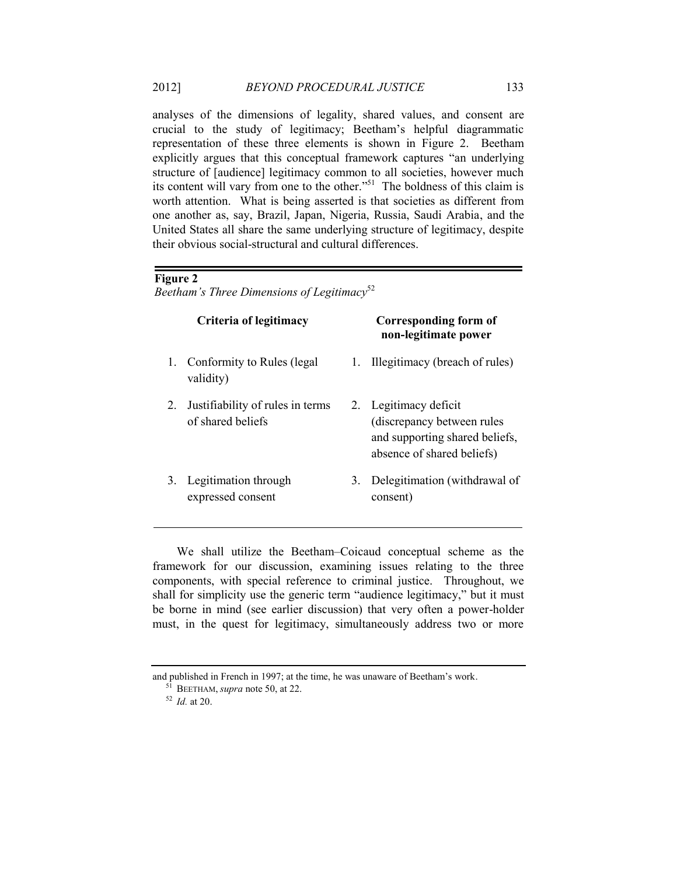analyses of the dimensions of legality, shared values, and consent are crucial to the study of legitimacy; Beetham's helpful diagrammatic representation of these three elements is shown in [Figure 2.](#page-15-0) Beetham explicitly argues that this conceptual framework captures "an underlying structure of [audience] legitimacy common to all societies, however much its content will vary from one to the other." <sup>51</sup> The boldness of this claim is worth attention. What is being asserted is that societies as different from one another as, say, Brazil, Japan, Nigeria, Russia, Saudi Arabia, and the United States all share the same underlying structure of legitimacy, despite their obvious social-structural and cultural differences.

#### <span id="page-15-0"></span>**Figure 2**

*Beetham's Three Dimensions of Legitimacy*<sup>52</sup>

| Criteria of legitimacy                                |    | Corresponding form of<br>non-legitimate power                                                                        |
|-------------------------------------------------------|----|----------------------------------------------------------------------------------------------------------------------|
| Conformity to Rules (legal<br>validity)               | 1. | Illegitimacy (breach of rules)                                                                                       |
| Justifiability of rules in terms<br>of shared beliefs |    | 2. Legitimacy deficit<br>(discrepancy between rules)<br>and supporting shared beliefs,<br>absence of shared beliefs) |
| Legitimation through<br>expressed consent             |    | Delegitimation (withdrawal of<br>consent)                                                                            |
|                                                       |    | 3.                                                                                                                   |

We shall utilize the Beetham–Coicaud conceptual scheme as the framework for our discussion, examining issues relating to the three components, with special reference to criminal justice. Throughout, we shall for simplicity use the generic term "audience legitimacy," but it must be borne in mind (see earlier discussion) that very often a power-holder must, in the quest for legitimacy, simultaneously address two or more

<sup>52</sup> *Id.* at 20.

and published in French in 1997; at the time, he was unaware of Beetham's work.

<sup>51</sup> BEETHAM, *supra* not[e 50,](#page-14-0) at 22.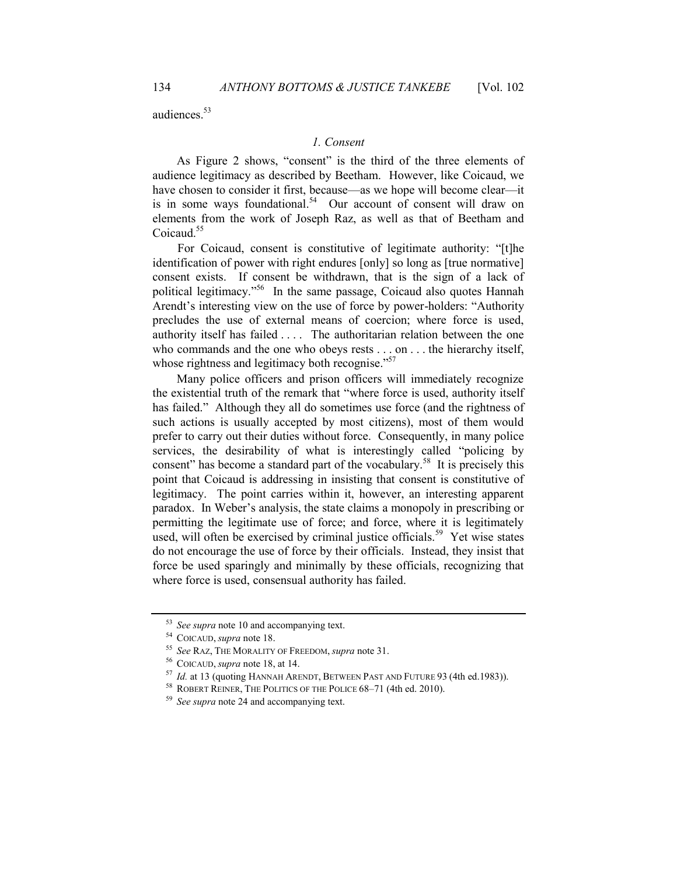audiences.<sup>53</sup>

#### *1. Consent*

As [Figure 2](#page-15-0) shows, "consent" is the third of the three elements of audience legitimacy as described by Beetham. However, like Coicaud, we have chosen to consider it first, because—as we hope will become clear—it is in some ways foundational.<sup>54</sup> Our account of consent will draw on elements from the work of Joseph Raz, as well as that of Beetham and Coicaud.<sup>55</sup>

For Coicaud, consent is constitutive of legitimate authority: "[t]he identification of power with right endures [only] so long as [true normative] consent exists. If consent be withdrawn, that is the sign of a lack of political legitimacy." <sup>56</sup> In the same passage, Coicaud also quotes Hannah Arendt's interesting view on the use of force by power-holders: "Authority precludes the use of external means of coercion; where force is used, authority itself has failed . . . . The authoritarian relation between the one who commands and the one who obeys rests . . . on . . . the hierarchy itself, whose rightness and legitimacy both recognise."<sup>57</sup>

Many police officers and prison officers will immediately recognize the existential truth of the remark that "where force is used, authority itself has failed." Although they all do sometimes use force (and the rightness of such actions is usually accepted by most citizens), most of them would prefer to carry out their duties without force. Consequently, in many police services, the desirability of what is interestingly called "policing by consent" has become a standard part of the vocabulary.<sup>58</sup> It is precisely this point that Coicaud is addressing in insisting that consent is constitutive of legitimacy. The point carries within it, however, an interesting apparent paradox. In Weber's analysis, the state claims a monopoly in prescribing or permitting the legitimate use of force; and force, where it is legitimately used, will often be exercised by criminal justice officials.<sup>59</sup> Yet wise states do not encourage the use of force by their officials. Instead, they insist that force be used sparingly and minimally by these officials, recognizing that where force is used, consensual authority has failed.

<sup>53</sup> *See supra* note [10](#page-5-3) and accompanying text.

<sup>54</sup> COICAUD, *supra* not[e 18.](#page-7-0)

<sup>55</sup> *See* RAZ, THE MORALITY OF FREEDOM, *supra* note [31.](#page-10-0)

<sup>56</sup> COICAUD, *supra* not[e 18,](#page-7-0) at 14.

<sup>57</sup> *Id.* at 13 (quoting HANNAH ARENDT, BETWEEN PAST AND FUTURE 93 (4th ed.1983)).

<sup>&</sup>lt;sup>58</sup> ROBERT REINER, THE POLITICS OF THE POLICE 68-71 (4th ed. 2010).

<sup>59</sup> *See supra* note 24 and accompanying text.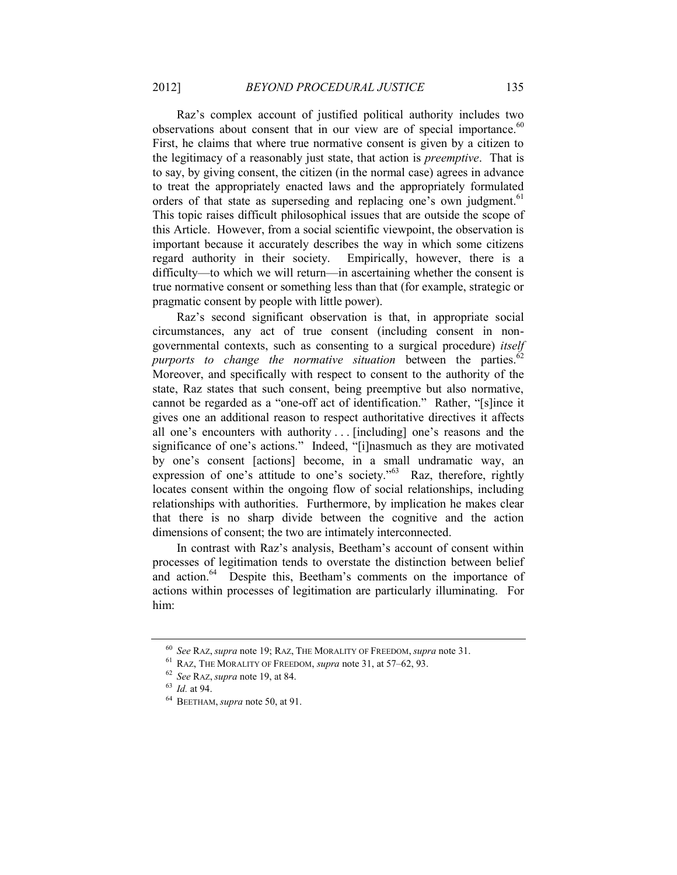Raz's complex account of justified political authority includes two observations about consent that in our view are of special importance.<sup>60</sup> First, he claims that where true normative consent is given by a citizen to the legitimacy of a reasonably just state, that action is *preemptive*. That is to say, by giving consent, the citizen (in the normal case) agrees in advance to treat the appropriately enacted laws and the appropriately formulated orders of that state as superseding and replacing one's own judgment.<sup>61</sup> This topic raises difficult philosophical issues that are outside the scope of this Article. However, from a social scientific viewpoint, the observation is important because it accurately describes the way in which some citizens regard authority in their society. Empirically, however, there is a difficulty—to which we will return—in ascertaining whether the consent is true normative consent or something less than that (for example, strategic or pragmatic consent by people with little power).

Raz's second significant observation is that, in appropriate social circumstances, any act of true consent (including consent in nongovernmental contexts, such as consenting to a surgical procedure) *itself purports to change the normative situation* between the parties.<sup>62</sup> Moreover, and specifically with respect to consent to the authority of the state, Raz states that such consent, being preemptive but also normative, cannot be regarded as a "one-off act of identification." Rather, "[s]ince it gives one an additional reason to respect authoritative directives it affects all one's encounters with authority . . . [including] one's reasons and the significance of one's actions." Indeed, "[i]nasmuch as they are motivated by one's consent [actions] become, in a small undramatic way, an expression of one's attitude to one's society."<sup>63</sup> Raz, therefore, rightly locates consent within the ongoing flow of social relationships, including relationships with authorities. Furthermore, by implication he makes clear that there is no sharp divide between the cognitive and the action dimensions of consent; the two are intimately interconnected.

In contrast with Raz's analysis, Beetham's account of consent within processes of legitimation tends to overstate the distinction between belief and action.<sup>64</sup> Despite this, Beetham's comments on the importance of actions within processes of legitimation are particularly illuminating. For him:

<sup>60</sup> *See* RAZ, *supra* not[e 19;](#page-7-1) RAZ, THE MORALITY OF FREEDOM, *supra* note [31.](#page-10-0)

<sup>61</sup> RAZ, THE MORALITY OF FREEDOM, *supra* not[e 31,](#page-10-0) at 57–62, 93.

<sup>62</sup> *See* RAZ, *supra* not[e 19,](#page-7-2) at 84.

<sup>63</sup> *Id.* at 94.

<sup>64</sup> BEETHAM, *supra* not[e 50,](#page-14-0) at 91.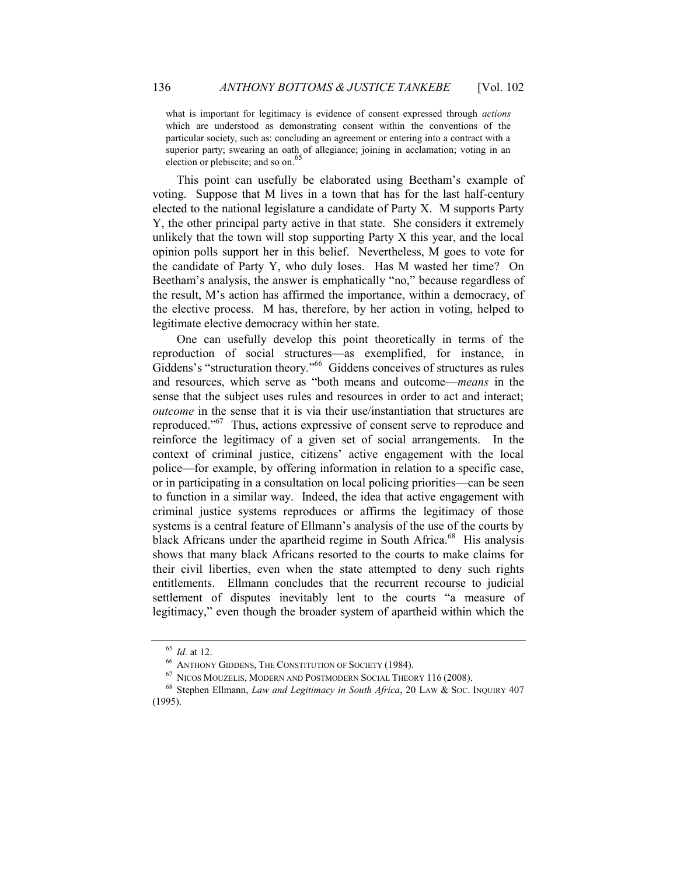what is important for legitimacy is evidence of consent expressed through *actions*  which are understood as demonstrating consent within the conventions of the particular society, such as: concluding an agreement or entering into a contract with a superior party; swearing an oath of allegiance; joining in acclamation; voting in an election or plebiscite; and so on.<sup>65</sup>

This point can usefully be elaborated using Beetham's example of voting. Suppose that M lives in a town that has for the last half-century elected to the national legislature a candidate of Party X. M supports Party Y, the other principal party active in that state. She considers it extremely unlikely that the town will stop supporting Party X this year, and the local opinion polls support her in this belief. Nevertheless, M goes to vote for the candidate of Party Y, who duly loses. Has M wasted her time? On Beetham's analysis, the answer is emphatically "no," because regardless of the result, M's action has affirmed the importance, within a democracy, of the elective process. M has, therefore, by her action in voting, helped to legitimate elective democracy within her state.

One can usefully develop this point theoretically in terms of the reproduction of social structures—as exemplified, for instance, in Giddens's "structuration theory*.*" <sup>66</sup> Giddens conceives of structures as rules and resources, which serve as "both means and outcome—*means* in the sense that the subject uses rules and resources in order to act and interact; *outcome* in the sense that it is via their use/instantiation that structures are reproduced."<sup>67</sup> Thus, actions expressive of consent serve to reproduce and reinforce the legitimacy of a given set of social arrangements. In the context of criminal justice, citizens' active engagement with the local police—for example, by offering information in relation to a specific case, or in participating in a consultation on local policing priorities—can be seen to function in a similar way. Indeed, the idea that active engagement with criminal justice systems reproduces or affirms the legitimacy of those systems is a central feature of Ellmann's analysis of the use of the courts by black Africans under the apartheid regime in South Africa.<sup>68</sup> His analysis shows that many black Africans resorted to the courts to make claims for their civil liberties, even when the state attempted to deny such rights entitlements. Ellmann concludes that the recurrent recourse to judicial settlement of disputes inevitably lent to the courts "a measure of legitimacy," even though the broader system of apartheid within which the

<sup>65</sup> *Id.* at 12.

<sup>66</sup> ANTHONY GIDDENS, THE CONSTITUTION OF SOCIETY (1984).

<sup>67</sup> NICOS MOUZELIS, MODERN AND POSTMODERN SOCIAL THEORY 116 (2008).

<sup>68</sup> Stephen Ellmann, *Law and Legitimacy in South Africa*, 20 LAW & SOC. INQUIRY 407 (1995).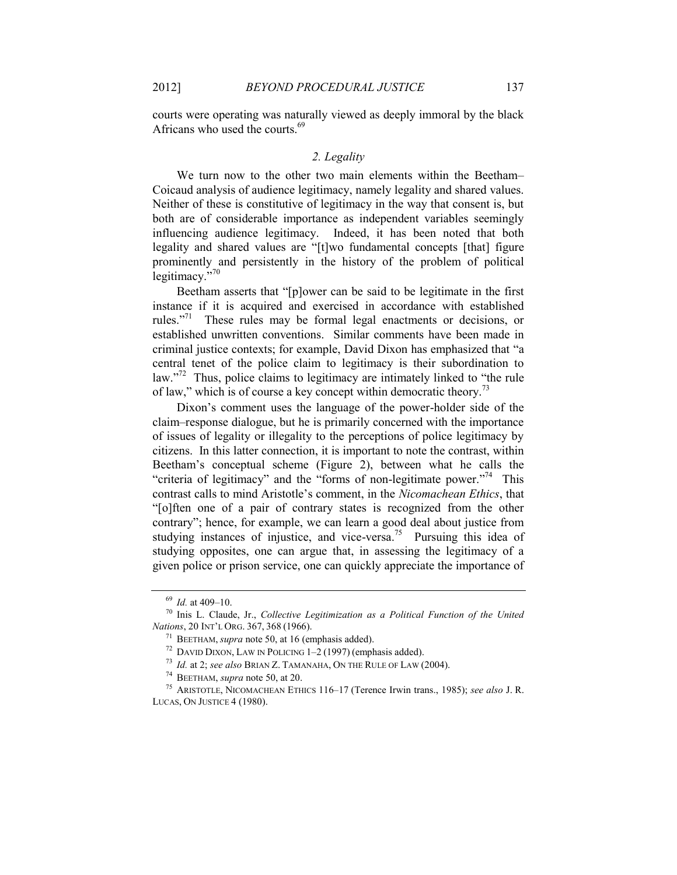Africans who used the courts.<sup>69</sup>

courts were operating was naturally viewed as deeply immoral by the black

#### *2. Legality*

We turn now to the other two main elements within the Beetham– Coicaud analysis of audience legitimacy, namely legality and shared values. Neither of these is constitutive of legitimacy in the way that consent is, but both are of considerable importance as independent variables seemingly influencing audience legitimacy. Indeed, it has been noted that both legality and shared values are "[t]wo fundamental concepts [that] figure prominently and persistently in the history of the problem of political legitimacy."<sup>70</sup>

Beetham asserts that "[p]ower can be said to be legitimate in the first instance if it is acquired and exercised in accordance with established rules."<sup>71</sup> These rules may be formal legal enactments or decisions, or established unwritten conventions. Similar comments have been made in criminal justice contexts; for example, David Dixon has emphasized that "a central tenet of the police claim to legitimacy is their subordination to law."<sup>72</sup> Thus, police claims to legitimacy are intimately linked to "the rule of law," which is of course a key concept within democratic theory.<sup>73</sup>

Dixon's comment uses the language of the power-holder side of the claim–response dialogue, but he is primarily concerned with the importance of issues of legality or illegality to the perceptions of police legitimacy by citizens. In this latter connection, it is important to note the contrast, within Beetham's conceptual scheme ([Figure 2\)](#page-15-0), between what he calls the "criteria of legitimacy" and the "forms of non-legitimate power."<sup>74</sup> This contrast calls to mind Aristotle's comment, in the *Nicomachean Ethics*, that "[o]ften one of a pair of contrary states is recognized from the other contrary"; hence, for example, we can learn a good deal about justice from studying instances of injustice, and vice-versa.<sup>75</sup> Pursuing this idea of studying opposites, one can argue that, in assessing the legitimacy of a given police or prison service, one can quickly appreciate the importance of

<span id="page-19-0"></span><sup>69</sup> *Id.* at 409–10.

<sup>70</sup> Inis L. Claude, Jr., *Collective Legitimization as a Political Function of the United Nations*, 20 INT'L ORG. 367, 368 (1966).

<sup>71</sup> BEETHAM, *supra* not[e 50,](#page-14-0) at 16 (emphasis added).

<sup>&</sup>lt;sup>72</sup> DAVID DIXON, LAW IN POLICING  $1-2$  (1997) (emphasis added).

<sup>73</sup> *Id.* at 2; *see also* BRIAN Z. TAMANAHA, ON THE RULE OF LAW (2004).

<sup>74</sup> BEETHAM, *supra* not[e 50,](#page-14-0) at 20.

<sup>75</sup> ARISTOTLE, NICOMACHEAN ETHICS 116–17 (Terence Irwin trans., 1985); *see also* J. R. LUCAS, ON JUSTICE 4 (1980).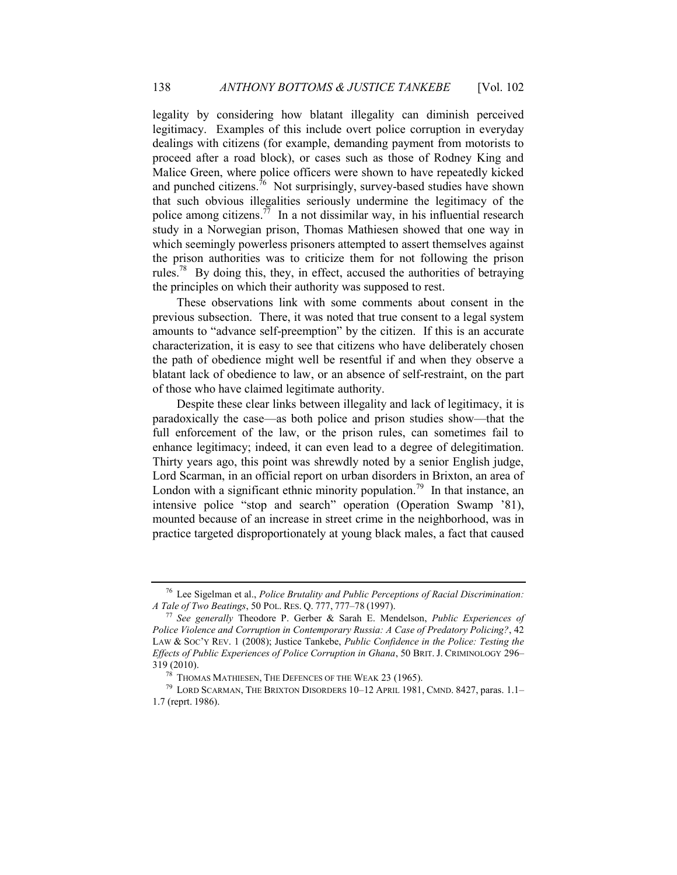legality by considering how blatant illegality can diminish perceived legitimacy. Examples of this include overt police corruption in everyday dealings with citizens (for example, demanding payment from motorists to proceed after a road block), or cases such as those of Rodney King and Malice Green, where police officers were shown to have repeatedly kicked and punched citizens.<sup>76</sup> Not surprisingly, survey-based studies have shown that such obvious illegalities seriously undermine the legitimacy of the police among citizens.<sup>77</sup> In a not dissimilar way, in his influential research study in a Norwegian prison, Thomas Mathiesen showed that one way in which seemingly powerless prisoners attempted to assert themselves against the prison authorities was to criticize them for not following the prison rules.<sup>78</sup> By doing this, they, in effect, accused the authorities of betraying the principles on which their authority was supposed to rest.

<span id="page-20-1"></span>These observations link with some comments about consent in the previous subsection. There, it was noted that true consent to a legal system amounts to "advance self-preemption" by the citizen. If this is an accurate characterization, it is easy to see that citizens who have deliberately chosen the path of obedience might well be resentful if and when they observe a blatant lack of obedience to law, or an absence of self-restraint, on the part of those who have claimed legitimate authority.

<span id="page-20-0"></span>Despite these clear links between illegality and lack of legitimacy, it is paradoxically the case—as both police and prison studies show—that the full enforcement of the law, or the prison rules, can sometimes fail to enhance legitimacy; indeed, it can even lead to a degree of delegitimation. Thirty years ago, this point was shrewdly noted by a senior English judge, Lord Scarman, in an official report on urban disorders in Brixton, an area of London with a significant ethnic minority population.<sup>79</sup> In that instance, an intensive police "stop and search" operation (Operation Swamp '81), mounted because of an increase in street crime in the neighborhood, was in practice targeted disproportionately at young black males, a fact that caused

<sup>76</sup> Lee Sigelman et al., *Police Brutality and Public Perceptions of Racial Discrimination: A Tale of Two Beatings*, 50 POL. RES. Q. 777, 777–78 (1997).

<sup>77</sup> *See generally* Theodore P. Gerber & Sarah E. Mendelson, *Public Experiences of Police Violence and Corruption in Contemporary Russia: A Case of Predatory Policing?*, 42 LAW & SOC'Y REV. 1 (2008); Justice Tankebe, *Public Confidence in the Police: Testing the Effects of Public Experiences of Police Corruption in Ghana*, 50 BRIT. J. CRIMINOLOGY 296– 319 (2010).

<sup>78</sup> THOMAS MATHIESEN, THE DEFENCES OF THE WEAK 23 (1965).

<sup>79</sup> LORD SCARMAN, THE BRIXTON DISORDERS 10–12 APRIL 1981, CMND. 8427, paras. 1.1– 1.7 (reprt. 1986).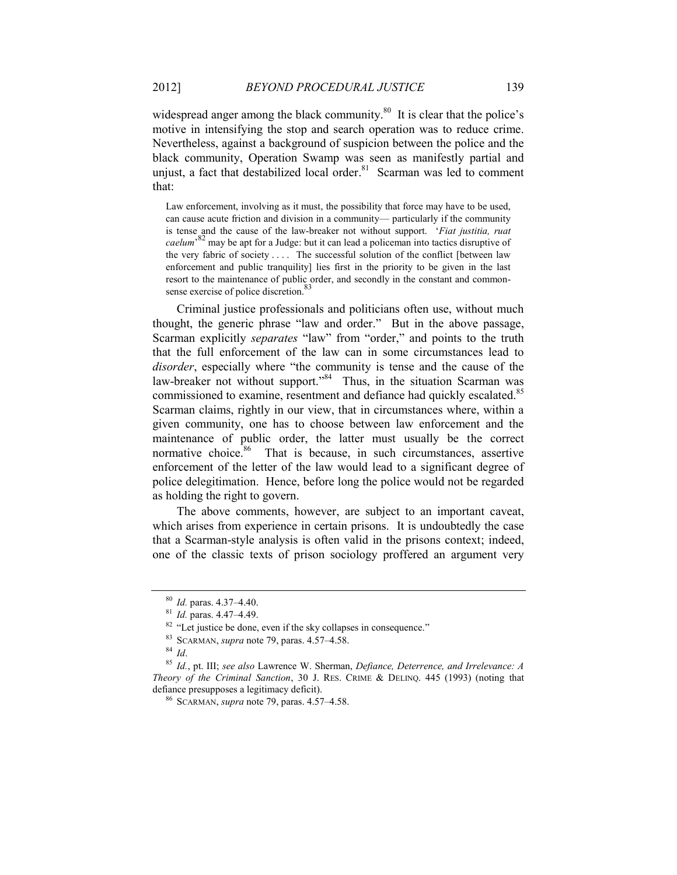widespread anger among the black community.<sup>80</sup> It is clear that the police's motive in intensifying the stop and search operation was to reduce crime. Nevertheless, against a background of suspicion between the police and the black community, Operation Swamp was seen as manifestly partial and unjust, a fact that destabilized local order.<sup>81</sup> Scarman was led to comment that:

Law enforcement, involving as it must, the possibility that force may have to be used, can cause acute friction and division in a community— particularly if the community is tense and the cause of the law-breaker not without support. '*Fiat justitia, ruat caelum*' <sup>82</sup> may be apt for a Judge: but it can lead a policeman into tactics disruptive of the very fabric of society . . . . The successful solution of the conflict [between law enforcement and public tranquility] lies first in the priority to be given in the last resort to the maintenance of public order, and secondly in the constant and commonsense exercise of police discretion.

Criminal justice professionals and politicians often use, without much thought, the generic phrase "law and order." But in the above passage, Scarman explicitly *separates* "law" from "order," and points to the truth that the full enforcement of the law can in some circumstances lead to *disorder*, especially where "the community is tense and the cause of the law-breaker not without support."<sup>84</sup> Thus, in the situation Scarman was commissioned to examine, resentment and defiance had quickly escalated.<sup>85</sup> Scarman claims, rightly in our view, that in circumstances where, within a given community, one has to choose between law enforcement and the maintenance of public order, the latter must usually be the correct normative choice.<sup>86</sup> That is because, in such circumstances, assertive enforcement of the letter of the law would lead to a significant degree of police delegitimation. Hence, before long the police would not be regarded as holding the right to govern.

The above comments, however, are subject to an important caveat, which arises from experience in certain prisons. It is undoubtedly the case that a Scarman-style analysis is often valid in the prisons context; indeed, one of the classic texts of prison sociology proffered an argument very

<sup>80</sup> *Id.* paras. 4.37–4.40.

<sup>81</sup> *Id.* paras. 4.47–4.49.

<sup>&</sup>lt;sup>82</sup> "Let justice be done, even if the sky collapses in consequence."

<sup>83</sup> SCARMAN, *supra* not[e 79,](#page-20-0) paras. 4.57–4.58.

<sup>84</sup> *Id*.

<sup>85</sup> *Id.*, pt. III; *see also* Lawrence W. Sherman, *Defiance, Deterrence, and Irrelevance: A Theory of the Criminal Sanction*, 30 J. RES. CRIME & DELINQ. 445 (1993) (noting that defiance presupposes a legitimacy deficit).

<sup>86</sup> SCARMAN, *supra* not[e 79,](#page-20-0) paras. 4.57–4.58.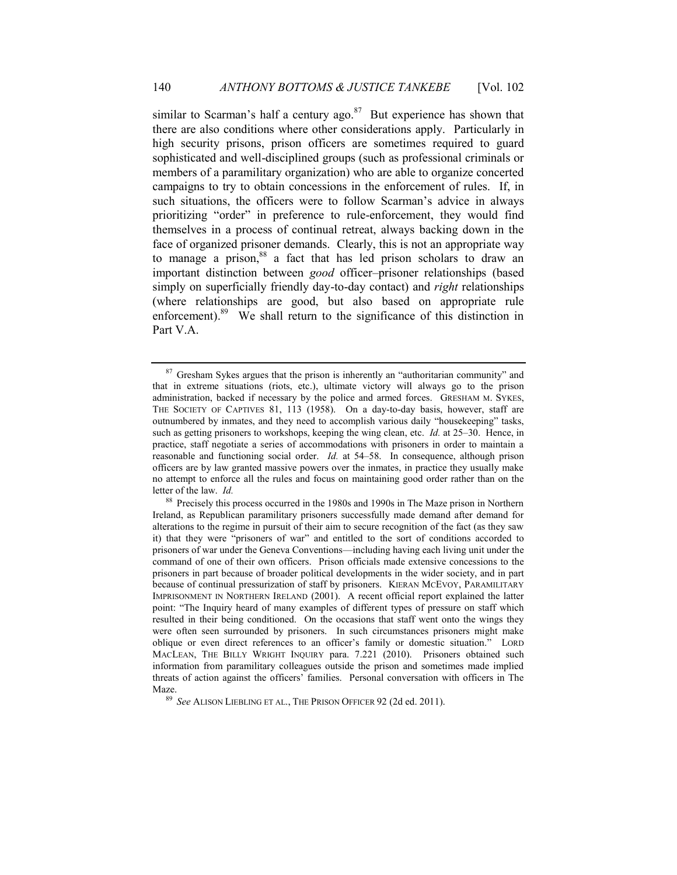similar to Scarman's half a century ago. $87$  But experience has shown that there are also conditions where other considerations apply. Particularly in high security prisons, prison officers are sometimes required to guard sophisticated and well-disciplined groups (such as professional criminals or members of a paramilitary organization) who are able to organize concerted campaigns to try to obtain concessions in the enforcement of rules. If, in such situations, the officers were to follow Scarman's advice in always prioritizing "order" in preference to rule-enforcement, they would find themselves in a process of continual retreat, always backing down in the face of organized prisoner demands. Clearly, this is not an appropriate way to manage a prison, $88$  a fact that has led prison scholars to draw an important distinction between *good* officer–prisoner relationships (based simply on superficially friendly day-to-day contact) and *right* relationships (where relationships are good, but also based on appropriate rule enforcement).<sup>89</sup> We shall return to the significance of this distinction in Part [V.A.](#page-38-0)

<span id="page-22-0"></span><sup>&</sup>lt;sup>87</sup> Gresham Sykes argues that the prison is inherently an "authoritarian community" and that in extreme situations (riots, etc.), ultimate victory will always go to the prison administration, backed if necessary by the police and armed forces. GRESHAM M. SYKES, THE SOCIETY OF CAPTIVES 81, 113 (1958). On a day-to-day basis, however, staff are outnumbered by inmates, and they need to accomplish various daily "housekeeping" tasks, such as getting prisoners to workshops, keeping the wing clean, etc. *Id.* at 25–30. Hence, in practice, staff negotiate a series of accommodations with prisoners in order to maintain a reasonable and functioning social order. *Id.* at 54–58. In consequence, although prison officers are by law granted massive powers over the inmates, in practice they usually make no attempt to enforce all the rules and focus on maintaining good order rather than on the letter of the law. *Id.*

<sup>&</sup>lt;sup>88</sup> Precisely this process occurred in the 1980s and 1990s in The Maze prison in Northern Ireland, as Republican paramilitary prisoners successfully made demand after demand for alterations to the regime in pursuit of their aim to secure recognition of the fact (as they saw it) that they were "prisoners of war" and entitled to the sort of conditions accorded to prisoners of war under the Geneva Conventions—including having each living unit under the command of one of their own officers. Prison officials made extensive concessions to the prisoners in part because of broader political developments in the wider society, and in part because of continual pressurization of staff by prisoners. KIERAN MCEVOY, PARAMILITARY IMPRISONMENT IN NORTHERN IRELAND (2001). A recent official report explained the latter point: "The Inquiry heard of many examples of different types of pressure on staff which resulted in their being conditioned. On the occasions that staff went onto the wings they were often seen surrounded by prisoners. In such circumstances prisoners might make oblique or even direct references to an officer's family or domestic situation." LORD MACLEAN, THE BILLY WRIGHT INQUIRY para. 7.221 (2010). Prisoners obtained such information from paramilitary colleagues outside the prison and sometimes made implied threats of action against the officers' families. Personal conversation with officers in The Maze.

<sup>89</sup> *See* ALISON LIEBLING ET AL., THE PRISON OFFICER 92 (2d ed. 2011).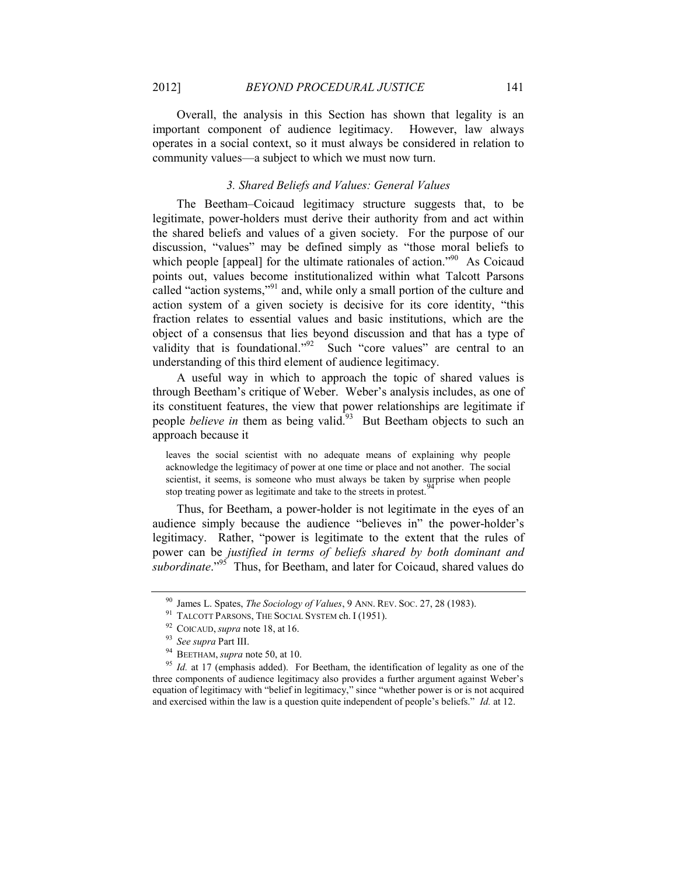Overall, the analysis in this Section has shown that legality is an important component of audience legitimacy. However, law always operates in a social context, so it must always be considered in relation to community values—a subject to which we must now turn.

#### *3. Shared Beliefs and Values: General Values*

<span id="page-23-0"></span>The Beetham–Coicaud legitimacy structure suggests that, to be legitimate, power-holders must derive their authority from and act within the shared beliefs and values of a given society. For the purpose of our discussion, "values" may be defined simply as "those moral beliefs to which people [appeal] for the ultimate rationales of action."<sup>90</sup> As Coicaud points out, values become institutionalized within what Talcott Parsons called "action systems,"<sup>91</sup> and, while only a small portion of the culture and action system of a given society is decisive for its core identity, "this fraction relates to essential values and basic institutions, which are the object of a consensus that lies beyond discussion and that has a type of validity that is foundational."<sup>92</sup> Such "core values" are central to an understanding of this third element of audience legitimacy.

A useful way in which to approach the topic of shared values is through Beetham's critique of Weber. Weber's analysis includes, as one of its constituent features, the view that power relationships are legitimate if people *believe in* them as being valid.<sup>93</sup> But Beetham objects to such an approach because it

leaves the social scientist with no adequate means of explaining why people acknowledge the legitimacy of power at one time or place and not another. The social scientist, it seems, is someone who must always be taken by surprise when people stop treating power as legitimate and take to the streets in protest.<sup>9</sup>

Thus, for Beetham, a power-holder is not legitimate in the eyes of an audience simply because the audience "believes in" the power-holder's legitimacy. Rather, "power is legitimate to the extent that the rules of power can be *justified in terms of beliefs shared by both dominant and subordinate*."<sup>95</sup> Thus, for Beetham, and later for Coicaud, shared values do

<sup>90</sup> James L. Spates, *The Sociology of Values*, 9 ANN. REV. SOC. 27, 28 (1983).

<sup>&</sup>lt;sup>91</sup> TALCOTT PARSONS, THE SOCIAL SYSTEM ch. I (1951).

<sup>92</sup> COICAUD, *supra* not[e 18,](#page-7-3) at 16.

<sup>93</sup> *See supra* Par[t III.](#page-8-1)

<sup>94</sup> BEETHAM, *supra* not[e 50,](#page-14-0) at 10.

<sup>&</sup>lt;sup>95</sup> *Id.* at 17 (emphasis added). For Beetham, the identification of legality as one of the three components of audience legitimacy also provides a further argument against Weber's equation of legitimacy with "belief in legitimacy," since "whether power is or is not acquired and exercised within the law is a question quite independent of people's beliefs." *Id.* at 12.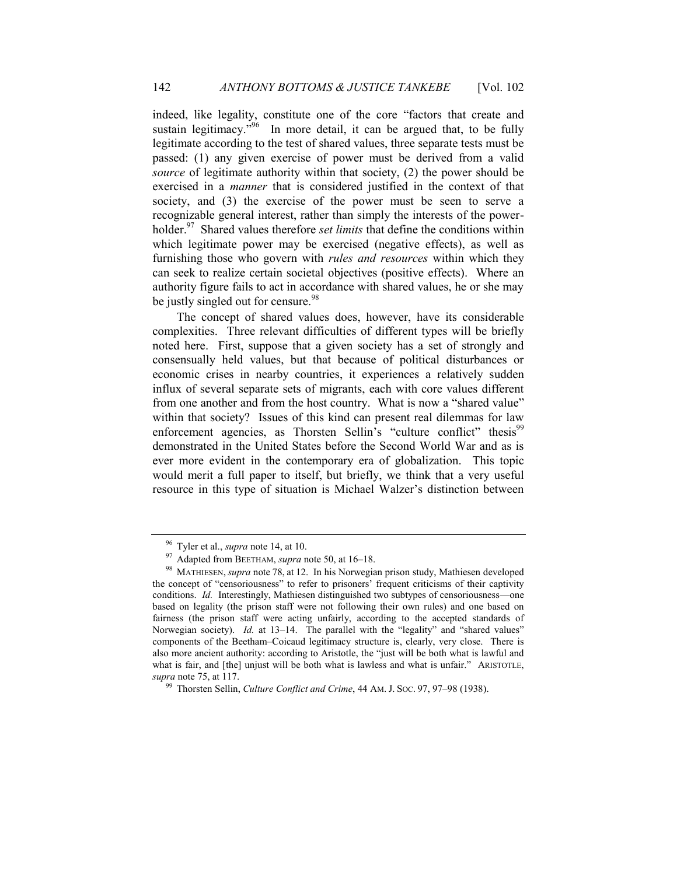indeed, like legality, constitute one of the core "factors that create and sustain legitimacy.<sup> $396$ </sup> In more detail, it can be argued that, to be fully legitimate according to the test of shared values, three separate tests must be passed: (1) any given exercise of power must be derived from a valid *source* of legitimate authority within that society, (2) the power should be exercised in a *manner* that is considered justified in the context of that society, and (3) the exercise of the power must be seen to serve a recognizable general interest, rather than simply the interests of the powerholder.<sup>97</sup> Shared values therefore *set limits* that define the conditions within which legitimate power may be exercised (negative effects), as well as furnishing those who govern with *rules and resources* within which they can seek to realize certain societal objectives (positive effects). Where an authority figure fails to act in accordance with shared values, he or she may be justly singled out for censure.<sup>98</sup>

The concept of shared values does, however, have its considerable complexities. Three relevant difficulties of different types will be briefly noted here. First, suppose that a given society has a set of strongly and consensually held values, but that because of political disturbances or economic crises in nearby countries, it experiences a relatively sudden influx of several separate sets of migrants, each with core values different from one another and from the host country. What is now a "shared value" within that society? Issues of this kind can present real dilemmas for law enforcement agencies, as Thorsten Sellin's "culture conflict" thesis<sup>99</sup> demonstrated in the United States before the Second World War and as is ever more evident in the contemporary era of globalization. This topic would merit a full paper to itself, but briefly, we think that a very useful resource in this type of situation is Michael Walzer's distinction between

<sup>96</sup> Tyler et al., *supra* not[e 14,](#page-5-2) at 10.

<sup>97</sup> Adapted from BEETHAM, *supra* not[e 50,](#page-14-0) at 16–18.

<sup>98</sup> MATHIESEN, *supra* note [78,](#page-20-1) at 12. In his Norwegian prison study, Mathiesen developed the concept of "censoriousness" to refer to prisoners' frequent criticisms of their captivity conditions. *Id.* Interestingly, Mathiesen distinguished two subtypes of censoriousness—one based on legality (the prison staff were not following their own rules) and one based on fairness (the prison staff were acting unfairly, according to the accepted standards of Norwegian society). *Id.* at 13–14. The parallel with the "legality" and "shared values" components of the Beetham–Coicaud legitimacy structure is, clearly, very close. There is also more ancient authority: according to Aristotle, the "just will be both what is lawful and what is fair, and [the] unjust will be both what is lawless and what is unfair." ARISTOTLE, *supra* not[e 75,](#page-19-0) at 117.

<sup>99</sup> Thorsten Sellin, *Culture Conflict and Crime*, 44 AM. J. SOC. 97, 97–98 (1938).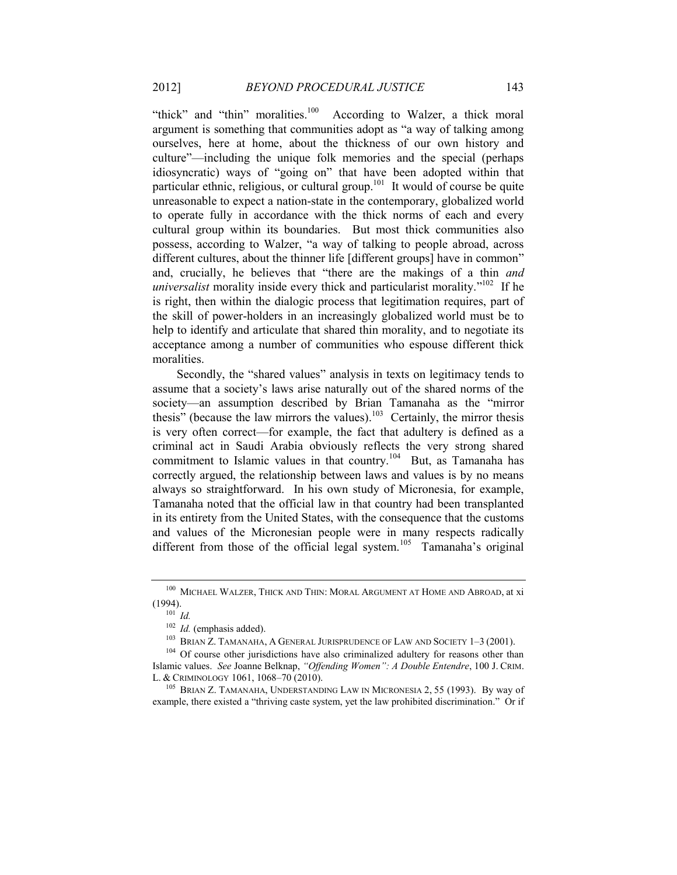"thick" and "thin" moralities. $100$  According to Walzer, a thick moral argument is something that communities adopt as "a way of talking among ourselves, here at home, about the thickness of our own history and culture"—including the unique folk memories and the special (perhaps idiosyncratic) ways of "going on" that have been adopted within that particular ethnic, religious, or cultural group.<sup>101</sup> It would of course be quite unreasonable to expect a nation-state in the contemporary, globalized world to operate fully in accordance with the thick norms of each and every cultural group within its boundaries. But most thick communities also possess, according to Walzer, "a way of talking to people abroad, across different cultures, about the thinner life [different groups] have in common" and, crucially, he believes that "there are the makings of a thin *and universalist* morality inside every thick and particularist morality.<sup> $102$ </sup> If he is right, then within the dialogic process that legitimation requires, part of the skill of power-holders in an increasingly globalized world must be to help to identify and articulate that shared thin morality, and to negotiate its acceptance among a number of communities who espouse different thick moralities.

<span id="page-25-0"></span>Secondly, the "shared values" analysis in texts on legitimacy tends to assume that a society's laws arise naturally out of the shared norms of the society—an assumption described by Brian Tamanaha as the "mirror thesis" (because the law mirrors the values).<sup>103</sup> Certainly, the mirror thesis is very often correct—for example, the fact that adultery is defined as a criminal act in Saudi Arabia obviously reflects the very strong shared commitment to Islamic values in that country.<sup>104</sup> But, as Tamanaha has correctly argued, the relationship between laws and values is by no means always so straightforward. In his own study of Micronesia, for example, Tamanaha noted that the official law in that country had been transplanted in its entirety from the United States, with the consequence that the customs and values of the Micronesian people were in many respects radically different from those of the official legal system.<sup>105</sup> Tamanaha's original

<sup>100</sup> MICHAEL WALZER, THICK AND THIN: MORAL ARGUMENT AT HOME AND ABROAD, at xi (1994).

 $^{101}$  *Id.* 

<sup>102</sup> *Id.* (emphasis added).

<sup>103</sup> BRIAN Z. TAMANAHA, A GENERAL JURISPRUDENCE OF LAW AND SOCIETY 1–3 (2001).

<sup>&</sup>lt;sup>104</sup> Of course other jurisdictions have also criminalized adultery for reasons other than Islamic values. *See* Joanne Belknap, *"Offending Women": A Double Entendre*, 100 J. CRIM. L. & CRIMINOLOGY 1061, 1068–70 (2010).

<sup>&</sup>lt;sup>105</sup> BRIAN Z. TAMANAHA, UNDERSTANDING LAW IN MICRONESIA 2, 55 (1993). By way of example, there existed a "thriving caste system, yet the law prohibited discrimination." Or if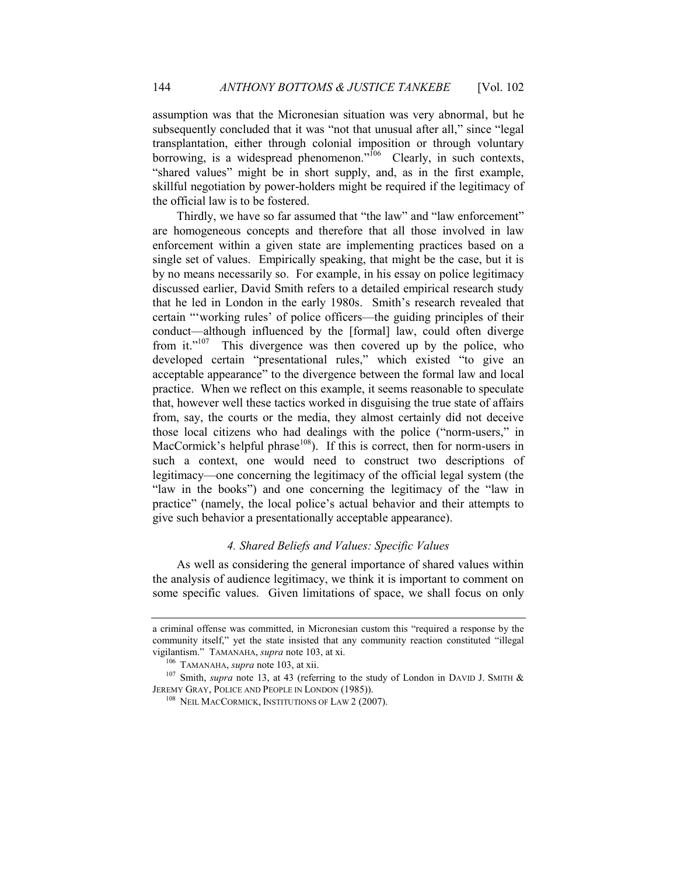assumption was that the Micronesian situation was very abnormal, but he subsequently concluded that it was "not that unusual after all," since "legal transplantation, either through colonial imposition or through voluntary borrowing, is a widespread phenomenon."<sup>106</sup> Clearly, in such contexts, "shared values" might be in short supply, and, as in the first example, skillful negotiation by power-holders might be required if the legitimacy of the official law is to be fostered.

Thirdly, we have so far assumed that "the law" and "law enforcement" are homogeneous concepts and therefore that all those involved in law enforcement within a given state are implementing practices based on a single set of values. Empirically speaking, that might be the case, but it is by no means necessarily so. For example, in his essay on police legitimacy discussed earlier, David Smith refers to a detailed empirical research study that he led in London in the early 1980s. Smith's research revealed that certain "'working rules' of police officers—the guiding principles of their conduct—although influenced by the [formal] law, could often diverge from it."<sup>107</sup> This divergence was then covered up by the police, who developed certain "presentational rules," which existed "to give an acceptable appearance" to the divergence between the formal law and local practice. When we reflect on this example, it seems reasonable to speculate that, however well these tactics worked in disguising the true state of affairs from, say, the courts or the media, they almost certainly did not deceive those local citizens who had dealings with the police ("norm-users," in MacCormick's helpful phrase<sup>108</sup>). If this is correct, then for norm-users in such a context, one would need to construct two descriptions of legitimacy—one concerning the legitimacy of the official legal system (the "law in the books") and one concerning the legitimacy of the "law in practice" (namely, the local police's actual behavior and their attempts to give such behavior a presentationally acceptable appearance).

#### *4. Shared Beliefs and Values: Specific Values*

<span id="page-26-0"></span>As well as considering the general importance of shared values within the analysis of audience legitimacy, we think it is important to comment on some specific values. Given limitations of space, we shall focus on only

a criminal offense was committed, in Micronesian custom this "required a response by the community itself," yet the state insisted that any community reaction constituted "illegal vigilantism." TAMANAHA, *supra* not[e 103,](#page-25-0) at xi.

<sup>106</sup> TAMANAHA, *supra* note [103,](#page-25-0) at xii.

<sup>&</sup>lt;sup>107</sup> Smith, *supra* note [13,](#page-5-1) at 43 (referring to the study of London in DAVID J. SMITH & JEREMY GRAY, POLICE AND PEOPLE IN LONDON (1985)).

<sup>&</sup>lt;sup>108</sup> NEIL MACCORMICK, INSTITUTIONS OF LAW 2 (2007).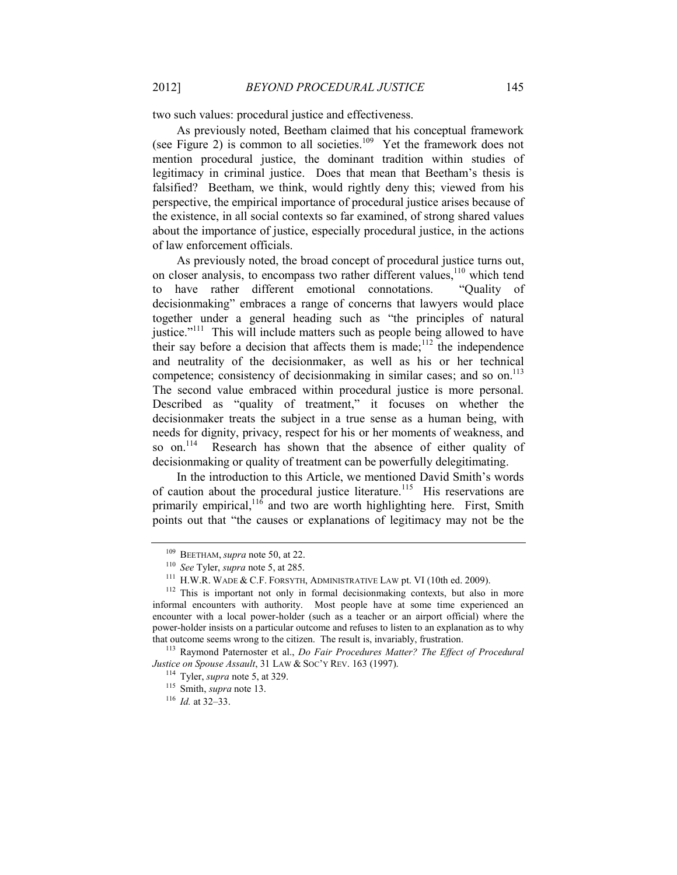two such values: procedural justice and effectiveness.

As previously noted, Beetham claimed that his conceptual framework (see [Figure 2\)](#page-15-0) is common to all societies.<sup>109</sup> Yet the framework does not mention procedural justice, the dominant tradition within studies of legitimacy in criminal justice. Does that mean that Beetham's thesis is falsified? Beetham, we think, would rightly deny this; viewed from his perspective, the empirical importance of procedural justice arises because of the existence, in all social contexts so far examined, of strong shared values about the importance of justice, especially procedural justice, in the actions of law enforcement officials.

As previously noted, the broad concept of procedural justice turns out, on closer analysis, to encompass two rather different values,<sup>110</sup> which tend to have rather different emotional connotations. "Quality of decisionmaking" embraces a range of concerns that lawyers would place together under a general heading such as "the principles of natural justice."<sup>111</sup> This will include matters such as people being allowed to have their say before a decision that affects them is made;  $112$  the independence and neutrality of the decisionmaker, as well as his or her technical competence; consistency of decisionmaking in similar cases; and so on.<sup>113</sup> The second value embraced within procedural justice is more personal. Described as "quality of treatment," it focuses on whether the decisionmaker treats the subject in a true sense as a human being, with needs for dignity, privacy, respect for his or her moments of weakness, and so on.<sup>114</sup> Research has shown that the absence of either quality of decisionmaking or quality of treatment can be powerfully delegitimating.

<span id="page-27-0"></span>In the introduction to this Article, we mentioned David Smith's words of caution about the procedural justice literature.<sup>115</sup> His reservations are primarily empirical,  $116$  and two are worth highlighting here. First, Smith points out that "the causes or explanations of legitimacy may not be the

<sup>109</sup> BEETHAM, *supra* not[e 50,](#page-14-0) at 22.

<sup>110</sup> *See* Tyler, *supra* not[e 5,](#page-3-0) at 285.

<sup>111</sup> H.W.R. WADE & C.F. FORSYTH, ADMINISTRATIVE LAW pt. VI (10th ed. 2009).

 $112$  This is important not only in formal decision making contexts, but also in more informal encounters with authority. Most people have at some time experienced an encounter with a local power-holder (such as a teacher or an airport official) where the power-holder insists on a particular outcome and refuses to listen to an explanation as to why that outcome seems wrong to the citizen. The result is, invariably, frustration.

<sup>113</sup> Raymond Paternoster et al., *Do Fair Procedures Matter? The Effect of Procedural Justice on Spouse Assault*, 31 LAW & SOC'Y REV. 163 (1997).

<sup>114</sup> Tyler, *supra* not[e 5,](#page-3-0) at 329.

<sup>115</sup> Smith, *supra* note [13.](#page-5-1)

<sup>116</sup> *Id.* at 32–33.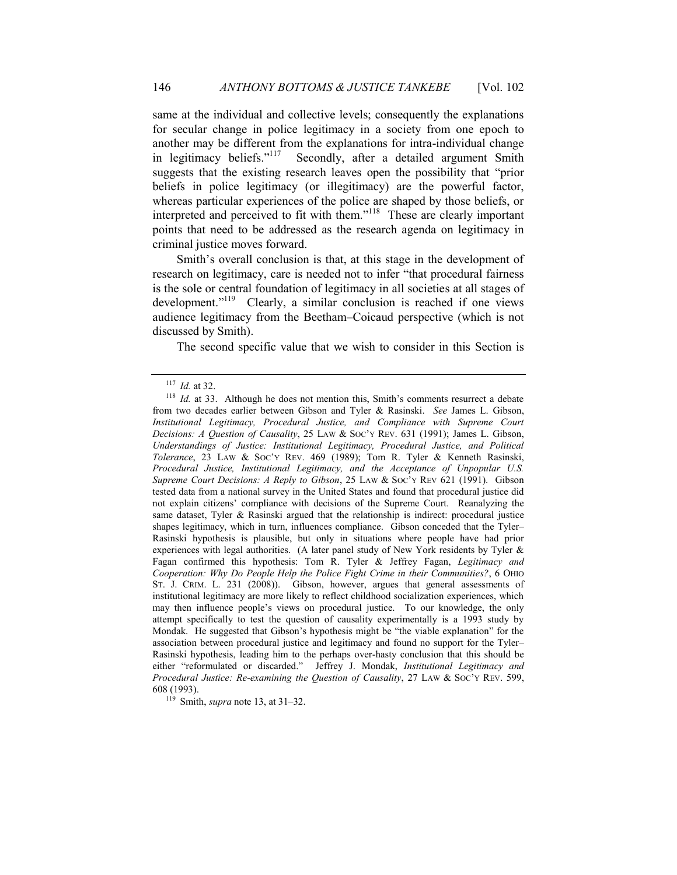same at the individual and collective levels; consequently the explanations for secular change in police legitimacy in a society from one epoch to another may be different from the explanations for intra-individual change in legitimacy beliefs."<sup>117</sup> Secondly, after a detailed argument Smith suggests that the existing research leaves open the possibility that "prior beliefs in police legitimacy (or illegitimacy) are the powerful factor, whereas particular experiences of the police are shaped by those beliefs, or interpreted and perceived to fit with them." 118 These are clearly important points that need to be addressed as the research agenda on legitimacy in criminal justice moves forward.

Smith's overall conclusion is that, at this stage in the development of research on legitimacy, care is needed not to infer "that procedural fairness is the sole or central foundation of legitimacy in all societies at all stages of development."<sup>119</sup> Clearly, a similar conclusion is reached if one views audience legitimacy from the Beetham–Coicaud perspective (which is not discussed by Smith).

The second specific value that we wish to consider in this Section is

<sup>119</sup> Smith, *supra* note [13,](#page-5-1) at 31–32.

<sup>117</sup> *Id.* at 32.

<sup>&</sup>lt;sup>118</sup> *Id.* at 33. Although he does not mention this, Smith's comments resurrect a debate from two decades earlier between Gibson and Tyler & Rasinski. *See* James L. Gibson, *Institutional Legitimacy, Procedural Justice, and Compliance with Supreme Court Decisions: A Question of Causality*, 25 LAW & SOC'Y REV. 631 (1991); James L. Gibson, *Understandings of Justice: Institutional Legitimacy, Procedural Justice, and Political Tolerance*, 23 LAW & SOC'Y REV. 469 (1989); Tom R. Tyler & Kenneth Rasinski, *Procedural Justice, Institutional Legitimacy, and the Acceptance of Unpopular U.S. Supreme Court Decisions: A Reply to Gibson*, 25 LAW & SOC'Y REV 621 (1991). Gibson tested data from a national survey in the United States and found that procedural justice did not explain citizens' compliance with decisions of the Supreme Court. Reanalyzing the same dataset, Tyler & Rasinski argued that the relationship is indirect: procedural justice shapes legitimacy, which in turn, influences compliance. Gibson conceded that the Tyler– Rasinski hypothesis is plausible, but only in situations where people have had prior experiences with legal authorities. (A later panel study of New York residents by Tyler & Fagan confirmed this hypothesis: Tom R. Tyler & Jeffrey Fagan, *Legitimacy and Cooperation: Why Do People Help the Police Fight Crime in their Communities?*, 6 OHIO ST. J. CRIM. L. 231 (2008)). Gibson, however, argues that general assessments of institutional legitimacy are more likely to reflect childhood socialization experiences, which may then influence people's views on procedural justice. To our knowledge, the only attempt specifically to test the question of causality experimentally is a 1993 study by Mondak. He suggested that Gibson's hypothesis might be "the viable explanation" for the association between procedural justice and legitimacy and found no support for the Tyler– Rasinski hypothesis, leading him to the perhaps over-hasty conclusion that this should be either "reformulated or discarded." Jeffrey J. Mondak, *Institutional Legitimacy and Procedural Justice: Re-examining the Question of Causality*, 27 LAW & SOC'Y REV. 599, 608 (1993).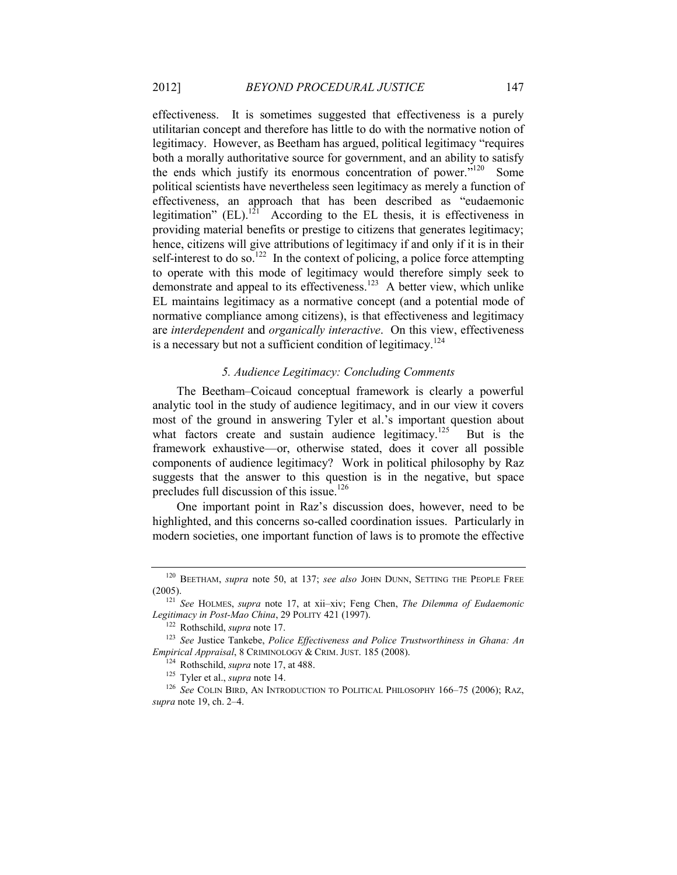<span id="page-29-1"></span>effectiveness. It is sometimes suggested that effectiveness is a purely utilitarian concept and therefore has little to do with the normative notion of legitimacy. However, as Beetham has argued, political legitimacy "requires both a morally authoritative source for government, and an ability to satisfy the ends which justify its enormous concentration of power."<sup>120</sup> Some political scientists have nevertheless seen legitimacy as merely a function of effectiveness, an approach that has been described as "eudaemonic legitimation"  $(EL)$ .<sup>121</sup> According to the EL thesis, it is effectiveness in providing material benefits or prestige to citizens that generates legitimacy; hence, citizens will give attributions of legitimacy if and only if it is in their self-interest to do so.<sup>122</sup> In the context of policing, a police force attempting to operate with this mode of legitimacy would therefore simply seek to demonstrate and appeal to its effectiveness.<sup>123</sup> A better view, which unlike EL maintains legitimacy as a normative concept (and a potential mode of normative compliance among citizens), is that effectiveness and legitimacy are *interdependent* and *organically interactive*. On this view, effectiveness is a necessary but not a sufficient condition of legitimacy.<sup>124</sup>

#### <span id="page-29-2"></span>*5. Audience Legitimacy: Concluding Comments*

<span id="page-29-0"></span>The Beetham–Coicaud conceptual framework is clearly a powerful analytic tool in the study of audience legitimacy, and in our view it covers most of the ground in answering Tyler et al.'s important question about what factors create and sustain audience legitimacy.<sup>125</sup> But is the framework exhaustive—or, otherwise stated, does it cover all possible components of audience legitimacy? Work in political philosophy by Raz suggests that the answer to this question is in the negative, but space precludes full discussion of this issue.<sup>126</sup>

One important point in Raz's discussion does, however, need to be highlighted, and this concerns so-called coordination issues. Particularly in modern societies, one important function of laws is to promote the effective

<sup>120</sup> BEETHAM, *supra* note [50,](#page-14-0) at 137; *see also* JOHN DUNN, SETTING THE PEOPLE FREE (2005).

<sup>121</sup> *See* HOLMES, *supra* note [17,](#page-6-0) at xii–xiv; Feng Chen, *The Dilemma of Eudaemonic Legitimacy in Post-Mao China*, 29 POLITY 421 (1997).

<sup>122</sup> Rothschild, *supra* note [17.](#page-6-0)

<sup>123</sup> *See* Justice Tankebe, *Police Effectiveness and Police Trustworthiness in Ghana: An Empirical Appraisal*, 8 CRIMINOLOGY & CRIM. JUST. 185 (2008).

<sup>124</sup> Rothschild, *supra* note [17,](#page-6-0) at 488.

<sup>125</sup> Tyler et al., *supra* not[e 14.](#page-5-2)

<sup>&</sup>lt;sup>126</sup> See COLIN BIRD, AN INTRODUCTION TO POLITICAL PHILOSOPHY 166-75 (2006); RAZ, *supra* not[e 19,](#page-7-2) ch. 2–4.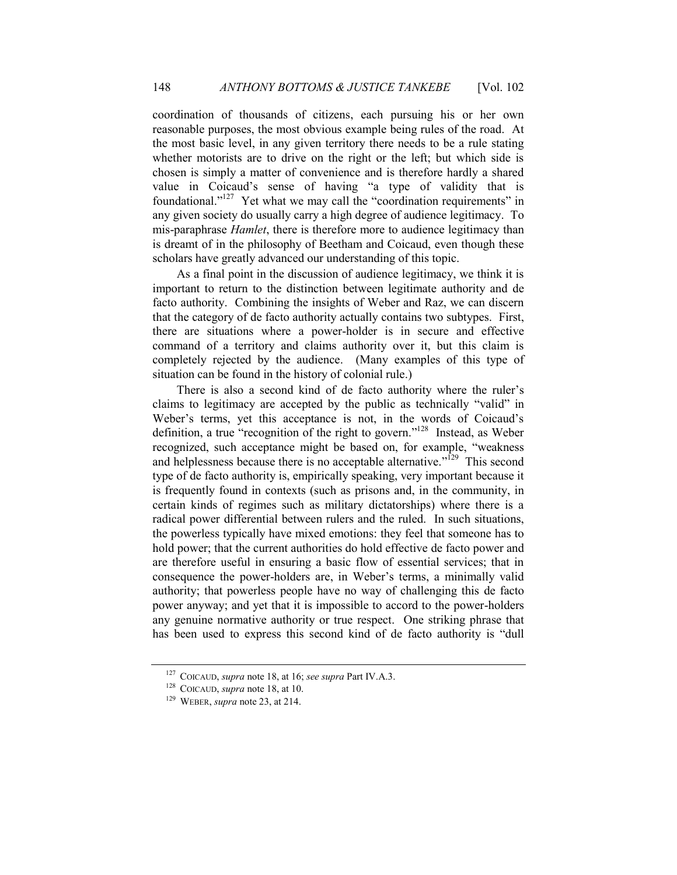coordination of thousands of citizens, each pursuing his or her own reasonable purposes, the most obvious example being rules of the road. At the most basic level, in any given territory there needs to be a rule stating whether motorists are to drive on the right or the left; but which side is chosen is simply a matter of convenience and is therefore hardly a shared value in Coicaud's sense of having "a type of validity that is foundational."<sup>127</sup> Yet what we may call the "coordination requirements" in any given society do usually carry a high degree of audience legitimacy. To mis-paraphrase *Hamlet*, there is therefore more to audience legitimacy than is dreamt of in the philosophy of Beetham and Coicaud, even though these scholars have greatly advanced our understanding of this topic.

As a final point in the discussion of audience legitimacy, we think it is important to return to the distinction between legitimate authority and de facto authority. Combining the insights of Weber and Raz, we can discern that the category of de facto authority actually contains two subtypes. First, there are situations where a power-holder is in secure and effective command of a territory and claims authority over it, but this claim is completely rejected by the audience. (Many examples of this type of situation can be found in the history of colonial rule.)

<span id="page-30-0"></span>There is also a second kind of de facto authority where the ruler's claims to legitimacy are accepted by the public as technically "valid" in Weber's terms, yet this acceptance is not, in the words of Coicaud's definition, a true "recognition of the right to govern."<sup>128</sup> Instead, as Weber recognized, such acceptance might be based on, for example, "weakness and helplessness because there is no acceptable alternative."<sup> $129$ </sup> This second type of de facto authority is, empirically speaking, very important because it is frequently found in contexts (such as prisons and, in the community, in certain kinds of regimes such as military dictatorships) where there is a radical power differential between rulers and the ruled. In such situations, the powerless typically have mixed emotions: they feel that someone has to hold power; that the current authorities do hold effective de facto power and are therefore useful in ensuring a basic flow of essential services; that in consequence the power-holders are, in Weber's terms, a minimally valid authority; that powerless people have no way of challenging this de facto power anyway; and yet that it is impossible to accord to the power-holders any genuine normative authority or true respect. One striking phrase that has been used to express this second kind of de facto authority is "dull

<sup>127</sup> COICAUD, *supra* not[e 18,](#page-7-3) at 16; *see supra* Par[t IV.A.3.](#page-23-0)

<sup>128</sup> COICAUD, *supra* not[e 18,](#page-7-3) at 10.

<sup>129</sup> WEBER, *supra* not[e 23,](#page-8-0) at 214.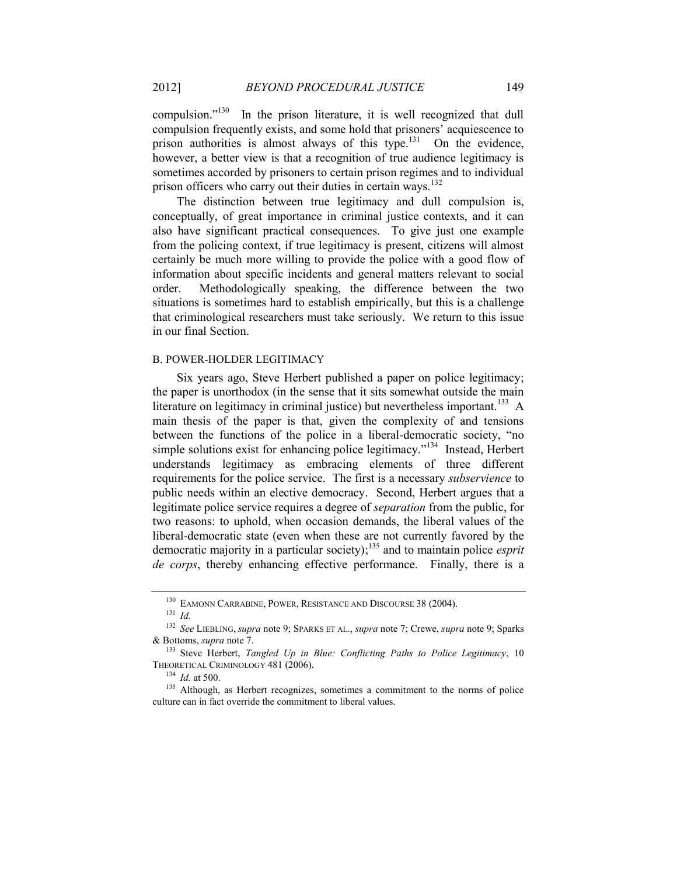compulsion."<sup>130</sup> In the prison literature, it is well recognized that dull compulsion frequently exists, and some hold that prisoners' acquiescence to prison authorities is almost always of this type.<sup>131</sup> On the evidence, however, a better view is that a recognition of true audience legitimacy is sometimes accorded by prisoners to certain prison regimes and to individual prison officers who carry out their duties in certain ways.<sup>132</sup>

<span id="page-31-1"></span>The distinction between true legitimacy and dull compulsion is, conceptually, of great importance in criminal justice contexts, and it can also have significant practical consequences. To give just one example from the policing context, if true legitimacy is present, citizens will almost certainly be much more willing to provide the police with a good flow of information about specific incidents and general matters relevant to social order. Methodologically speaking, the difference between the two situations is sometimes hard to establish empirically, but this is a challenge that criminological researchers must take seriously. We return to this issue in our final Section.

#### B. POWER-HOLDER LEGITIMACY

<span id="page-31-0"></span>Six years ago, Steve Herbert published a paper on police legitimacy; the paper is unorthodox (in the sense that it sits somewhat outside the main literature on legitimacy in criminal justice) but nevertheless important.<sup>133</sup> A main thesis of the paper is that, given the complexity of and tensions between the functions of the police in a liberal-democratic society, "no simple solutions exist for enhancing police legitimacy."<sup>134</sup> Instead, Herbert understands legitimacy as embracing elements of three different requirements for the police service. The first is a necessary *subservience* to public needs within an elective democracy. Second, Herbert argues that a legitimate police service requires a degree of *separation* from the public, for two reasons: to uphold, when occasion demands, the liberal values of the liberal-democratic state (even when these are not currently favored by the democratic majority in a particular society); <sup>135</sup> and to maintain police *esprit de corps*, thereby enhancing effective performance. Finally, there is a

<sup>130</sup> EAMONN CARRABINE, POWER, RESISTANCE AND DISCOURSE 38 (2004).

<sup>131</sup> *Id.*

<sup>132</sup> *See* LIEBLING, *supra* note [9;](#page-4-1) SPARKS ET AL., *supra* note [7;](#page-3-2) Crewe, *supra* note [9;](#page-4-1) Sparks & Bottoms, *supra* note [7.](#page-3-2)

<sup>133</sup> Steve Herbert, *Tangled Up in Blue: Conflicting Paths to Police Legitimacy*, 10 THEORETICAL CRIMINOLOGY 481 (2006).

<sup>134</sup> *Id.* at 500.

<sup>&</sup>lt;sup>135</sup> Although, as Herbert recognizes, sometimes a commitment to the norms of police culture can in fact override the commitment to liberal values.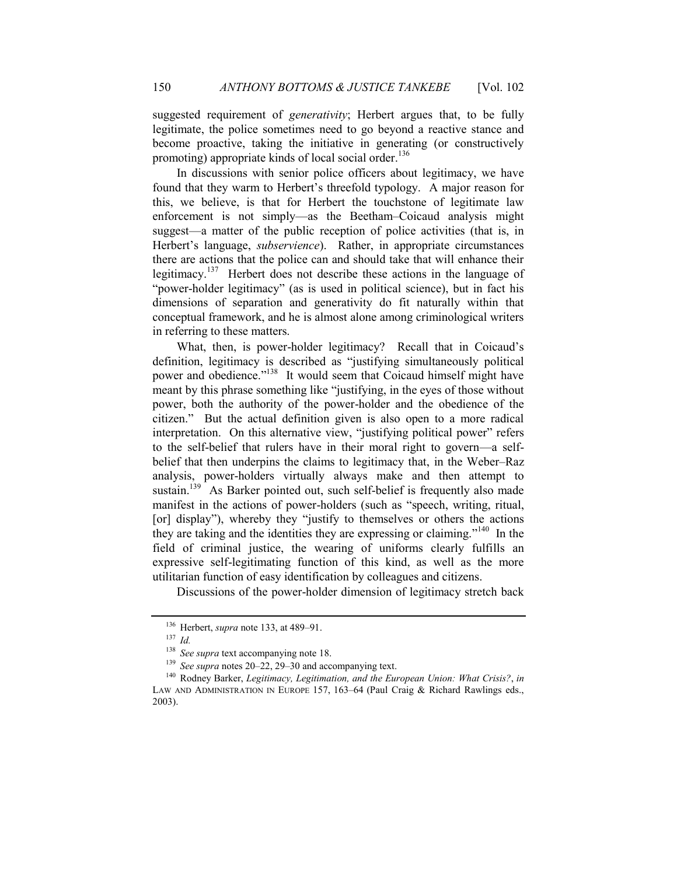suggested requirement of *generativity*; Herbert argues that, to be fully legitimate, the police sometimes need to go beyond a reactive stance and become proactive, taking the initiative in generating (or constructively promoting) appropriate kinds of local social order.<sup>136</sup>

In discussions with senior police officers about legitimacy, we have found that they warm to Herbert's threefold typology. A major reason for this, we believe, is that for Herbert the touchstone of legitimate law enforcement is not simply—as the Beetham–Coicaud analysis might suggest—a matter of the public reception of police activities (that is, in Herbert's language, *subservience*). Rather, in appropriate circumstances there are actions that the police can and should take that will enhance their legitimacy.<sup>137</sup> Herbert does not describe these actions in the language of "power-holder legitimacy" (as is used in political science), but in fact his dimensions of separation and generativity do fit naturally within that conceptual framework, and he is almost alone among criminological writers in referring to these matters.

What, then, is power-holder legitimacy? Recall that in Coicaud's definition, legitimacy is described as "justifying simultaneously political power and obedience."<sup>138</sup> It would seem that Coicaud himself might have meant by this phrase something like "justifying, in the eyes of those without power, both the authority of the power-holder and the obedience of the citizen." But the actual definition given is also open to a more radical interpretation. On this alternative view, "justifying political power" refers to the self-belief that rulers have in their moral right to govern—a selfbelief that then underpins the claims to legitimacy that, in the Weber–Raz analysis, power-holders virtually always make and then attempt to sustain.<sup>139</sup> As Barker pointed out, such self-belief is frequently also made manifest in the actions of power-holders (such as "speech, writing, ritual, [or] display"), whereby they "justify to themselves or others the actions they are taking and the identities they are expressing or claiming."<sup>140</sup> In the field of criminal justice, the wearing of uniforms clearly fulfills an expressive self-legitimating function of this kind, as well as the more utilitarian function of easy identification by colleagues and citizens.

Discussions of the power-holder dimension of legitimacy stretch back

<sup>136</sup> Herbert, *supra* not[e 133,](#page-31-0) at 489–91.

<sup>137</sup> *Id.*

<sup>138</sup> *See supra* text accompanying not[e 18.](#page-7-0)

<sup>139</sup> *See supra* notes 20–[22,](#page-8-2) 29–30 and accompanying text.

<sup>140</sup> Rodney Barker, *Legitimacy, Legitimation, and the European Union: What Crisis?*, *in*  LAW AND ADMINISTRATION IN EUROPE 157, 163-64 (Paul Craig & Richard Rawlings eds., 2003).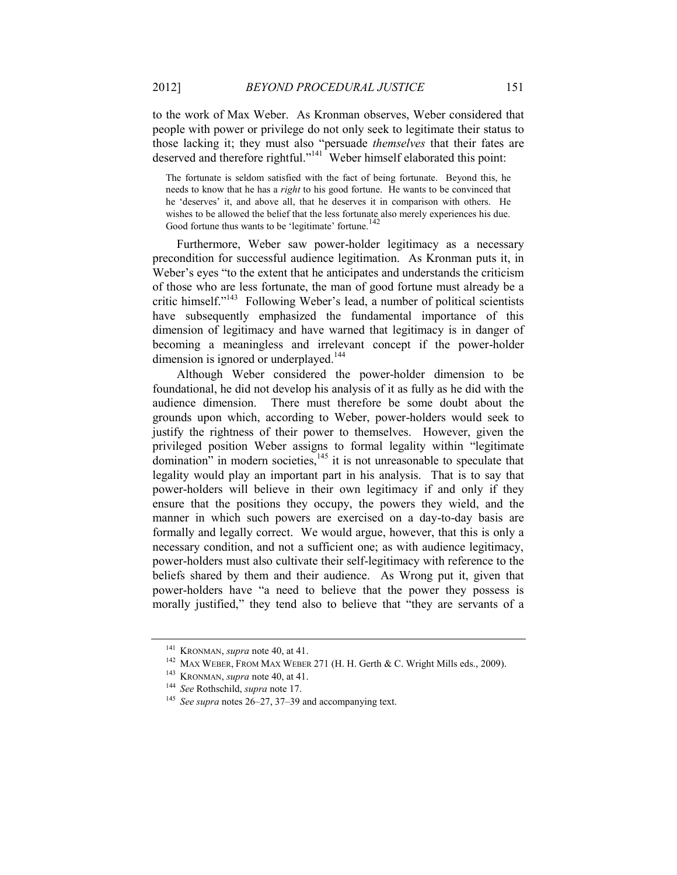to the work of Max Weber. As Kronman observes, Weber considered that people with power or privilege do not only seek to legitimate their status to those lacking it; they must also "persuade *themselves* that their fates are deserved and therefore rightful."<sup>141</sup> Weber himself elaborated this point:

The fortunate is seldom satisfied with the fact of being fortunate. Beyond this, he needs to know that he has a *right* to his good fortune. He wants to be convinced that he 'deserves' it, and above all, that he deserves it in comparison with others. He wishes to be allowed the belief that the less fortunate also merely experiences his due. Good fortune thus wants to be 'legitimate' fortune.<sup>142</sup>

Furthermore, Weber saw power-holder legitimacy as a necessary precondition for successful audience legitimation. As Kronman puts it, in Weber's eyes "to the extent that he anticipates and understands the criticism of those who are less fortunate, the man of good fortune must already be a critic himself."<sup>143</sup> Following Weber's lead, a number of political scientists have subsequently emphasized the fundamental importance of this dimension of legitimacy and have warned that legitimacy is in danger of becoming a meaningless and irrelevant concept if the power-holder dimension is ignored or underplayed.<sup>144</sup>

Although Weber considered the power-holder dimension to be foundational, he did not develop his analysis of it as fully as he did with the audience dimension. There must therefore be some doubt about the grounds upon which, according to Weber, power-holders would seek to justify the rightness of their power to themselves. However, given the privileged position Weber assigns to formal legality within "legitimate domination" in modern societies,<sup>145</sup> it is not unreasonable to speculate that legality would play an important part in his analysis. That is to say that power-holders will believe in their own legitimacy if and only if they ensure that the positions they occupy, the powers they wield, and the manner in which such powers are exercised on a day-to-day basis are formally and legally correct. We would argue, however, that this is only a necessary condition, and not a sufficient one; as with audience legitimacy, power-holders must also cultivate their self-legitimacy with reference to the beliefs shared by them and their audience. As Wrong put it, given that power-holders have "a need to believe that the power they possess is morally justified," they tend also to believe that "they are servants of a

<sup>141</sup> KRONMAN, *supra* not[e 40,](#page-13-0) at 41.

<sup>&</sup>lt;sup>142</sup> MAX WEBER, FROM MAX WEBER 271 (H. H. Gerth & C. Wright Mills eds., 2009).

<sup>143</sup> KRONMAN, *supra* not[e 40,](#page-13-0) at 41.

<sup>144</sup> *See* Rothschild, *supra* note [17.](#page-6-0)

<sup>145</sup> *See supra* notes 26–27[, 37](#page-12-0)–[39](#page-12-1) and accompanying text.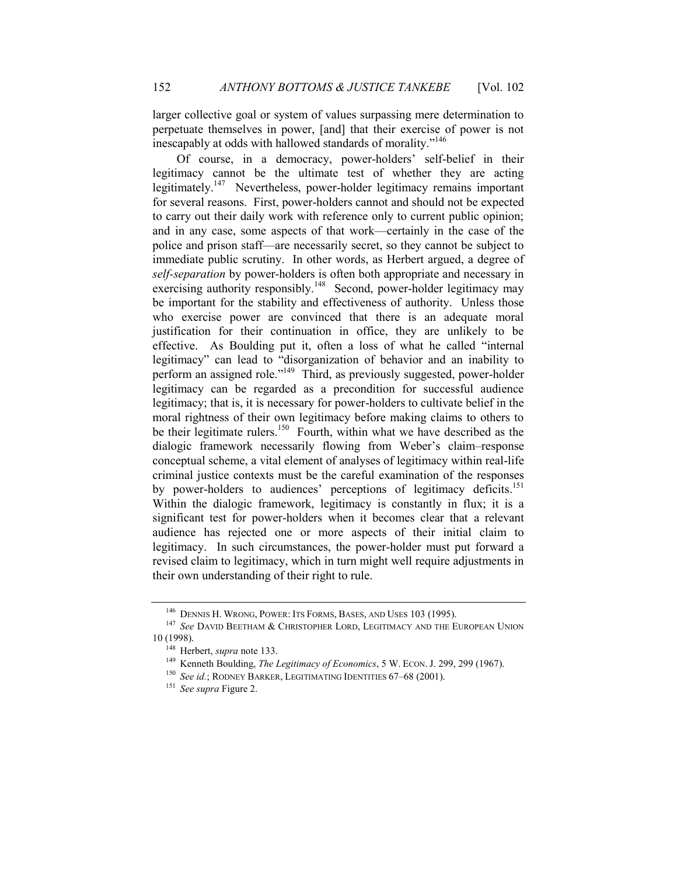larger collective goal or system of values surpassing mere determination to perpetuate themselves in power, [and] that their exercise of power is not inescapably at odds with hallowed standards of morality."<sup>146</sup>

Of course, in a democracy, power-holders' self-belief in their legitimacy cannot be the ultimate test of whether they are acting legitimately.<sup>147</sup> Nevertheless, power-holder legitimacy remains important for several reasons. First, power-holders cannot and should not be expected to carry out their daily work with reference only to current public opinion; and in any case, some aspects of that work—certainly in the case of the police and prison staff—are necessarily secret, so they cannot be subject to immediate public scrutiny. In other words, as Herbert argued, a degree of *self-separation* by power-holders is often both appropriate and necessary in exercising authority responsibly.<sup>148</sup> Second, power-holder legitimacy may be important for the stability and effectiveness of authority. Unless those who exercise power are convinced that there is an adequate moral justification for their continuation in office, they are unlikely to be effective. As Boulding put it, often a loss of what he called "internal legitimacy" can lead to "disorganization of behavior and an inability to perform an assigned role."<sup>149</sup> Third, as previously suggested, power-holder legitimacy can be regarded as a precondition for successful audience legitimacy; that is, it is necessary for power-holders to cultivate belief in the moral rightness of their own legitimacy before making claims to others to be their legitimate rulers.<sup>150</sup> Fourth, within what we have described as the dialogic framework necessarily flowing from Weber's claim–response conceptual scheme, a vital element of analyses of legitimacy within real-life criminal justice contexts must be the careful examination of the responses by power-holders to audiences' perceptions of legitimacy deficits.<sup>151</sup> Within the dialogic framework, legitimacy is constantly in flux; it is a significant test for power-holders when it becomes clear that a relevant audience has rejected one or more aspects of their initial claim to legitimacy. In such circumstances, the power-holder must put forward a revised claim to legitimacy, which in turn might well require adjustments in their own understanding of their right to rule.

<span id="page-34-0"></span><sup>146</sup> DENNIS H. WRONG, POWER: ITS FORMS, BASES, AND USES 103 (1995).

<sup>147</sup> *See* DAVID BEETHAM & CHRISTOPHER LORD, LEGITIMACY AND THE EUROPEAN UNION 10 (1998).

<sup>148</sup> Herbert, *supra* not[e 133.](#page-31-0)

<sup>149</sup> Kenneth Boulding, *The Legitimacy of Economics*, 5 W. ECON.J. 299, 299 (1967).

<sup>150</sup> *See id.*; RODNEY BARKER, LEGITIMATING IDENTITIES 67–68 (2001).

<sup>151</sup> *See supra* [Figure 2.](#page-15-0)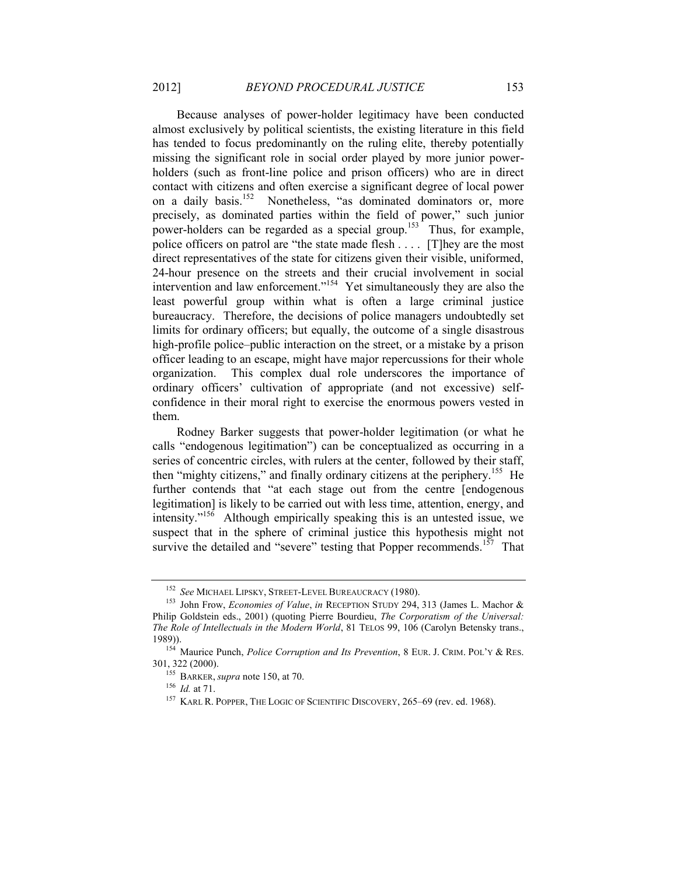Because analyses of power-holder legitimacy have been conducted almost exclusively by political scientists, the existing literature in this field has tended to focus predominantly on the ruling elite, thereby potentially missing the significant role in social order played by more junior powerholders (such as front-line police and prison officers) who are in direct contact with citizens and often exercise a significant degree of local power on a daily basis.<sup>152</sup> Nonetheless, "as dominated dominators or, more precisely, as dominated parties within the field of power," such junior power-holders can be regarded as a special group.<sup>153</sup> Thus, for example, police officers on patrol are "the state made flesh . . . . [T]hey are the most direct representatives of the state for citizens given their visible, uniformed, 24-hour presence on the streets and their crucial involvement in social intervention and law enforcement."<sup>154</sup> Yet simultaneously they are also the least powerful group within what is often a large criminal justice bureaucracy. Therefore, the decisions of police managers undoubtedly set limits for ordinary officers; but equally, the outcome of a single disastrous high-profile police–public interaction on the street, or a mistake by a prison officer leading to an escape, might have major repercussions for their whole organization. This complex dual role underscores the importance of ordinary officers' cultivation of appropriate (and not excessive) selfconfidence in their moral right to exercise the enormous powers vested in them.

Rodney Barker suggests that power-holder legitimation (or what he calls "endogenous legitimation") can be conceptualized as occurring in a series of concentric circles, with rulers at the center, followed by their staff, then "mighty citizens," and finally ordinary citizens at the periphery.<sup>155</sup> He further contends that "at each stage out from the centre [endogenous legitimation] is likely to be carried out with less time, attention, energy, and intensity."<sup>156</sup> Although empirically speaking this is an untested issue, we suspect that in the sphere of criminal justice this hypothesis might not survive the detailed and "severe" testing that Popper recommends.<sup>157</sup> That

<sup>152</sup> *See* MICHAEL LIPSKY, STREET-LEVEL BUREAUCRACY (1980).

<sup>153</sup> John Frow, *Economies of Value*, *in* RECEPTION STUDY 294, 313 (James L. Machor & Philip Goldstein eds., 2001) (quoting Pierre Bourdieu, *The Corporatism of the Universal: The Role of Intellectuals in the Modern World*, 81 TELOS 99, 106 (Carolyn Betensky trans., 1989)).

<sup>154</sup> Maurice Punch, *Police Corruption and Its Prevention*, 8 EUR. J. CRIM. POL'Y & RES. 301, 322 (2000).

<sup>155</sup> BARKER, *supra* not[e 150,](#page-34-0) at 70.

<sup>156</sup> *Id.* at 71.

<sup>&</sup>lt;sup>157</sup> KARL R. POPPER, THE LOGIC OF SCIENTIFIC DISCOVERY, 265–69 (rev. ed. 1968).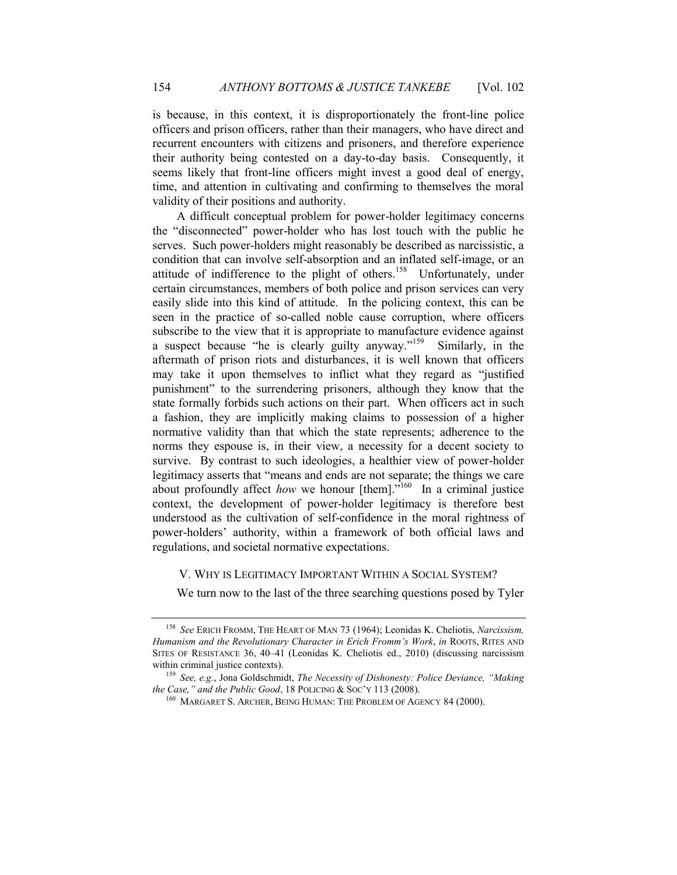is because, in this context, it is disproportionately the front-line police officers and prison officers, rather than their managers, who have direct and recurrent encounters with citizens and prisoners, and therefore experience their authority being contested on a day-to-day basis. Consequently, it seems likely that front-line officers might invest a good deal of energy, time, and attention in cultivating and confirming to themselves the moral validity of their positions and authority.

A difficult conceptual problem for power-holder legitimacy concerns the "disconnected" power-holder who has lost touch with the public he serves. Such power-holders might reasonably be described as narcissistic, a condition that can involve self-absorption and an inflated self-image, or an attitude of indifference to the plight of others.<sup>158</sup> Unfortunately, under certain circumstances, members of both police and prison services can very easily slide into this kind of attitude. In the policing context, this can be seen in the practice of so-called noble cause corruption, where officers subscribe to the view that it is appropriate to manufacture evidence against a suspect because "he is clearly guilty anyway."<sup>159</sup> Similarly, in the aftermath of prison riots and disturbances, it is well known that officers may take it upon themselves to inflict what they regard as "justified punishment" to the surrendering prisoners, although they know that the state formally forbids such actions on their part. When officers act in such a fashion, they are implicitly making claims to possession of a higher normative validity than that which the state represents; adherence to the norms they espouse is, in their view, a necessity for a decent society to survive. By contrast to such ideologies, a healthier view of power-holder legitimacy asserts that "means and ends are not separate; the things we care about profoundly affect *how* we honour [them].<sup>7160</sup> In a criminal justice context, the development of power-holder legitimacy is therefore best understood as the cultivation of self-confidence in the moral rightness of power-holders' authority, within a framework of both official laws and regulations, and societal normative expectations.

#### V. WHY IS LEGITIMACY IMPORTANT WITHIN A SOCIAL SYSTEM?

We turn now to the last of the three searching questions posed by Tyler

<sup>158</sup> *See* ERICH FROMM, THE HEART OF MAN 73 (1964); Leonidas K. Cheliotis, *Narcissism, Humanism and the Revolutionary Character in Erich Fromm's Work*, *in* ROOTS, RITES AND SITES OF RESISTANCE 36, 40–41 (Leonidas K. Cheliotis ed., 2010) (discussing narcissism within criminal justice contexts).

<sup>159</sup> *See, e.g.*, Jona Goldschmidt, *The Necessity of Dishonesty: Police Deviance, "Making the Case," and the Public Good*, 18 POLICING & SOC'Y 113 (2008).

<sup>&</sup>lt;sup>160</sup> MARGARET S. ARCHER, BEING HUMAN: THE PROBLEM OF AGENCY 84 (2000).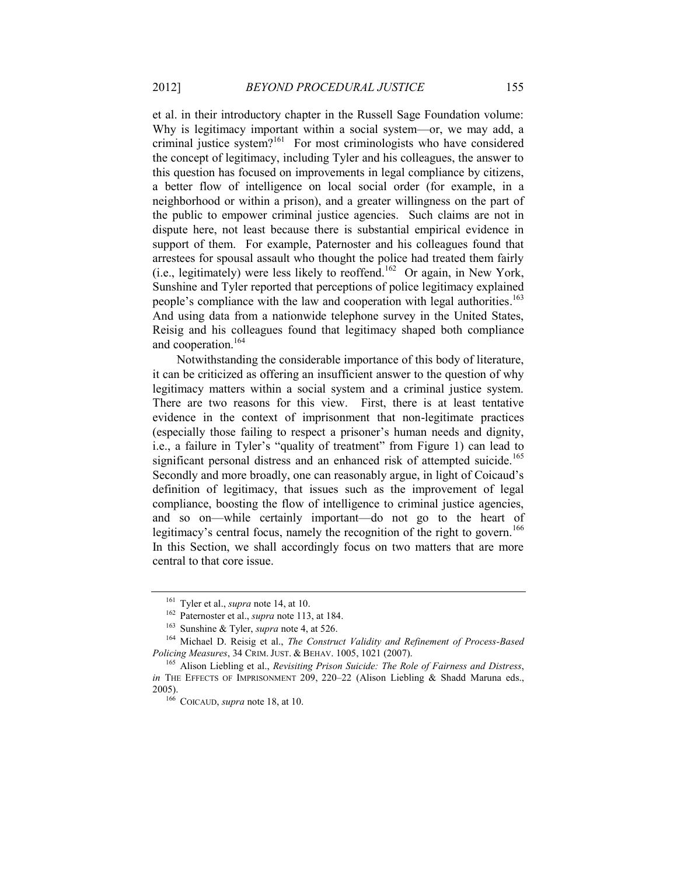et al. in their introductory chapter in the Russell Sage Foundation volume: Why is legitimacy important within a social system—or, we may add, a criminal justice system? $161$  For most criminologists who have considered the concept of legitimacy, including Tyler and his colleagues, the answer to this question has focused on improvements in legal compliance by citizens, a better flow of intelligence on local social order (for example, in a neighborhood or within a prison), and a greater willingness on the part of the public to empower criminal justice agencies. Such claims are not in dispute here, not least because there is substantial empirical evidence in support of them. For example, Paternoster and his colleagues found that arrestees for spousal assault who thought the police had treated them fairly (i.e., legitimately) were less likely to reoffend.<sup>162</sup> Or again, in New York, Sunshine and Tyler reported that perceptions of police legitimacy explained people's compliance with the law and cooperation with legal authorities.<sup>163</sup> And using data from a nationwide telephone survey in the United States, Reisig and his colleagues found that legitimacy shaped both compliance and cooperation.<sup>164</sup>

<span id="page-37-0"></span>Notwithstanding the considerable importance of this body of literature, it can be criticized as offering an insufficient answer to the question of why legitimacy matters within a social system and a criminal justice system. There are two reasons for this view. First, there is at least tentative evidence in the context of imprisonment that non-legitimate practices (especially those failing to respect a prisoner's human needs and dignity, i.e., a failure in Tyler's "quality of treatment" from [Figure 1\)](#page-4-0) can lead to significant personal distress and an enhanced risk of attempted suicide.<sup>165</sup> Secondly and more broadly, one can reasonably argue, in light of Coicaud's definition of legitimacy, that issues such as the improvement of legal compliance, boosting the flow of intelligence to criminal justice agencies, and so on—while certainly important—do not go to the heart of legitimacy's central focus, namely the recognition of the right to govern.<sup>166</sup> In this Section, we shall accordingly focus on two matters that are more central to that core issue.

<sup>161</sup> Tyler et al., *supra* note [14,](#page-5-2) at 10.

<sup>162</sup> Paternoster et al., *supra* not[e 113,](#page-27-0) at 184.

<sup>163</sup> Sunshine & Tyler, *supra* note [4,](#page-3-3) at 526.

<sup>164</sup> Michael D. Reisig et al., *The Construct Validity and Refinement of Process-Based Policing Measures*, 34 CRIM.JUST. & BEHAV. 1005, 1021 (2007).

<sup>165</sup> Alison Liebling et al., *Revisiting Prison Suicide: The Role of Fairness and Distress*, *in* THE EFFECTS OF IMPRISONMENT 209, 220-22 (Alison Liebling & Shadd Maruna eds., 2005).

<sup>166</sup> COICAUD, *supra* not[e 18,](#page-7-3) at 10.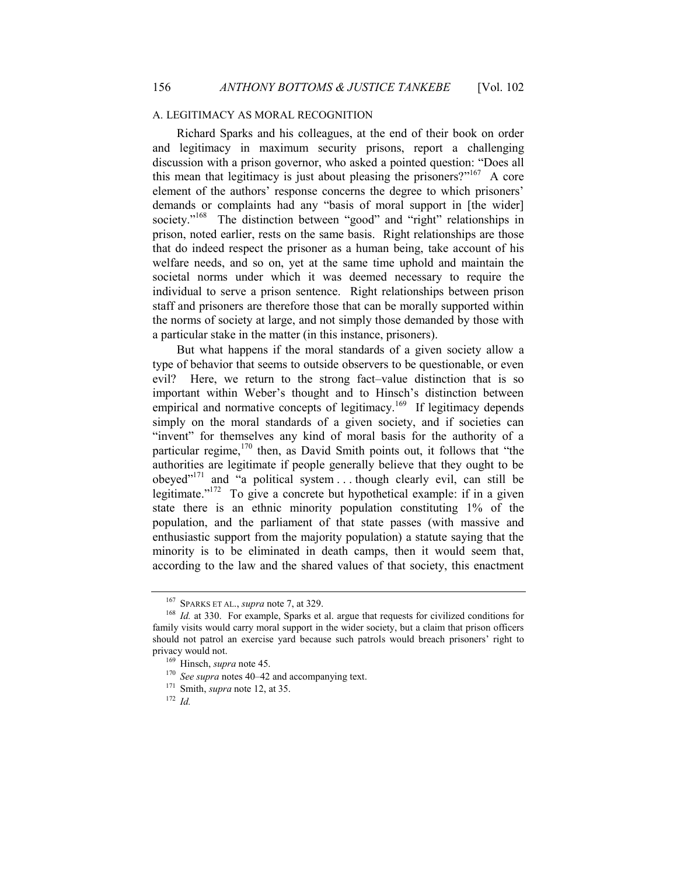#### <span id="page-38-0"></span>A. LEGITIMACY AS MORAL RECOGNITION

Richard Sparks and his colleagues, at the end of their book on order and legitimacy in maximum security prisons, report a challenging discussion with a prison governor, who asked a pointed question: "Does all this mean that legitimacy is just about pleasing the prisoners?"  $\frac{167}{167}$  A core element of the authors' response concerns the degree to which prisoners' demands or complaints had any "basis of moral support in [the wider] society."<sup>168</sup> The distinction between "good" and "right" relationships in prison, noted earlier, rests on the same basis. Right relationships are those that do indeed respect the prisoner as a human being, take account of his welfare needs, and so on, yet at the same time uphold and maintain the societal norms under which it was deemed necessary to require the individual to serve a prison sentence. Right relationships between prison staff and prisoners are therefore those that can be morally supported within the norms of society at large, and not simply those demanded by those with a particular stake in the matter (in this instance, prisoners).

But what happens if the moral standards of a given society allow a type of behavior that seems to outside observers to be questionable, or even evil? Here, we return to the strong fact–value distinction that is so important within Weber's thought and to Hinsch's distinction between empirical and normative concepts of legitimacy.<sup>169</sup> If legitimacy depends simply on the moral standards of a given society, and if societies can "invent" for themselves any kind of moral basis for the authority of a particular regime,  $170$  then, as David Smith points out, it follows that "the authorities are legitimate if people generally believe that they ought to be obeyed"<sup>171</sup> and "a political system  $\ldots$  though clearly evil, can still be legitimate."<sup>172</sup> To give a concrete but hypothetical example: if in a given state there is an ethnic minority population constituting 1% of the population, and the parliament of that state passes (with massive and enthusiastic support from the majority population) a statute saying that the minority is to be eliminated in death camps, then it would seem that, according to the law and the shared values of that society, this enactment

<sup>167</sup> SPARKS ET AL., *supra* not[e 7,](#page-3-2) at 329.

<sup>168</sup> *Id.* at 330. For example, Sparks et al. argue that requests for civilized conditions for family visits would carry moral support in the wider society, but a claim that prison officers should not patrol an exercise yard because such patrols would breach prisoners' right to privacy would not.

<sup>169</sup> Hinsch, *supra* not[e 45.](#page-13-1)

<sup>170</sup> *See supra* notes 40–[42](#page-13-2) and accompanying text.

<sup>171</sup> Smith, *supra* not[e 12,](#page-5-0) at 35.

<sup>172</sup> *Id.*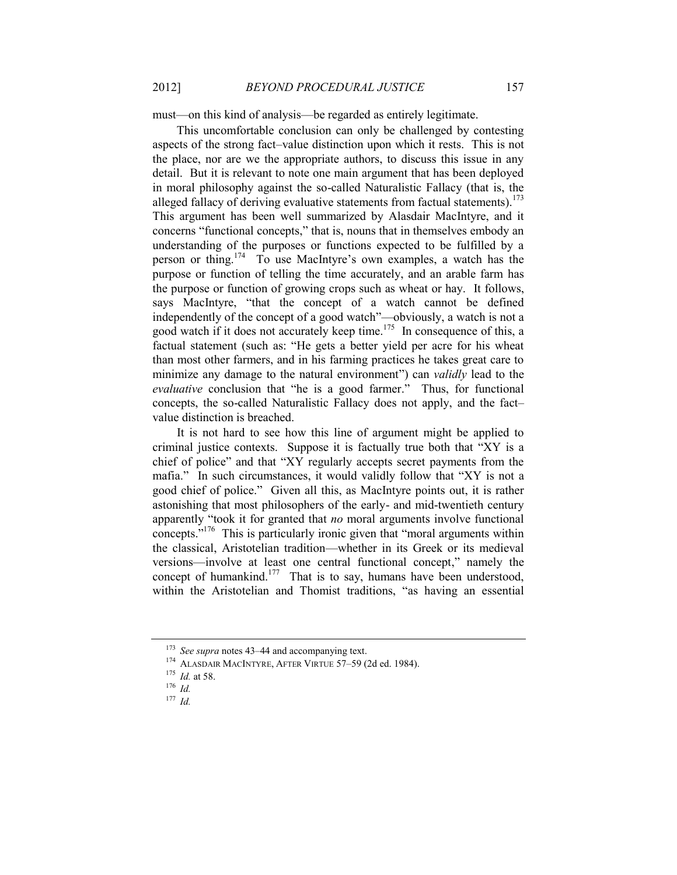must—on this kind of analysis—be regarded as entirely legitimate.

This uncomfortable conclusion can only be challenged by contesting aspects of the strong fact–value distinction upon which it rests. This is not the place, nor are we the appropriate authors, to discuss this issue in any detail. But it is relevant to note one main argument that has been deployed in moral philosophy against the so-called Naturalistic Fallacy (that is, the alleged fallacy of deriving evaluative statements from factual statements).<sup>173</sup> This argument has been well summarized by Alasdair MacIntyre, and it concerns "functional concepts," that is, nouns that in themselves embody an understanding of the purposes or functions expected to be fulfilled by a person or thing.<sup>174</sup> To use MacIntyre's own examples, a watch has the purpose or function of telling the time accurately, and an arable farm has the purpose or function of growing crops such as wheat or hay. It follows, says MacIntyre, "that the concept of a watch cannot be defined independently of the concept of a good watch"—obviously, a watch is not a good watch if it does not accurately keep time.<sup>175</sup> In consequence of this, a factual statement (such as: "He gets a better yield per acre for his wheat than most other farmers, and in his farming practices he takes great care to minimize any damage to the natural environment") can *validly* lead to the *evaluative* conclusion that "he is a good farmer." Thus, for functional concepts, the so-called Naturalistic Fallacy does not apply, and the fact– value distinction is breached.

It is not hard to see how this line of argument might be applied to criminal justice contexts. Suppose it is factually true both that "XY is a chief of police" and that "XY regularly accepts secret payments from the mafia." In such circumstances, it would validly follow that "XY is not a good chief of police." Given all this, as MacIntyre points out, it is rather astonishing that most philosophers of the early- and mid-twentieth century apparently "took it for granted that *no* moral arguments involve functional concepts."<sup>176</sup> This is particularly ironic given that "moral arguments within the classical, Aristotelian tradition—whether in its Greek or its medieval versions—involve at least one central functional concept," namely the concept of humankind.<sup>177</sup> That is to say, humans have been understood, within the Aristotelian and Thomist traditions, "as having an essential

<sup>173</sup> *See supra* notes 43–44 and accompanying text.

<sup>174</sup> ALASDAIR MACINTYRE, AFTER VIRTUE 57–59 (2d ed. 1984).

<sup>175</sup> *Id.* at 58.

<sup>176</sup> *Id.*

<sup>177</sup> *Id.*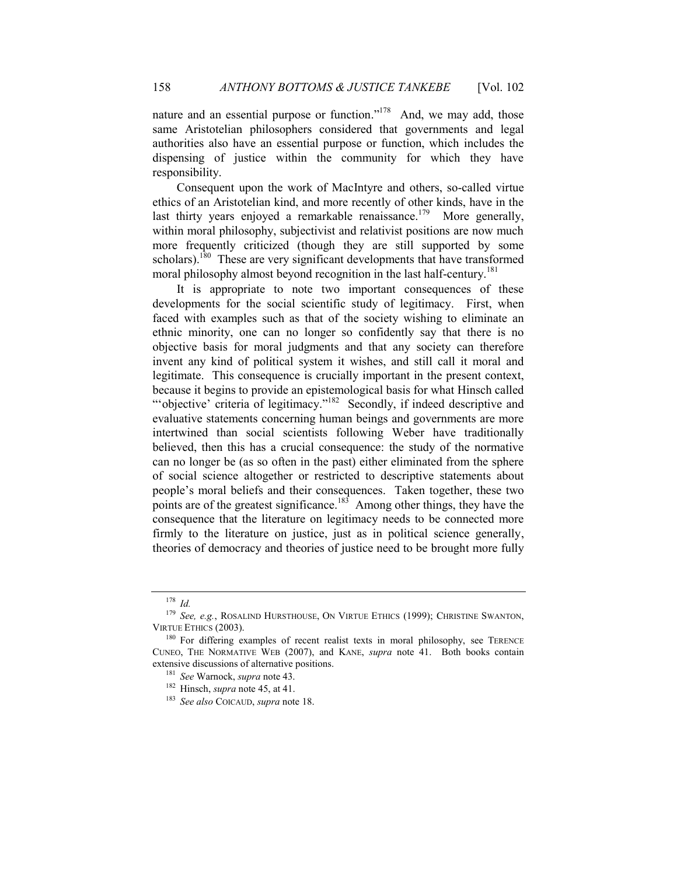nature and an essential purpose or function."<sup>178</sup> And, we may add, those same Aristotelian philosophers considered that governments and legal authorities also have an essential purpose or function, which includes the dispensing of justice within the community for which they have responsibility.

Consequent upon the work of MacIntyre and others, so-called virtue ethics of an Aristotelian kind, and more recently of other kinds, have in the last thirty years enjoyed a remarkable renaissance.<sup>179</sup> More generally, within moral philosophy, subjectivist and relativist positions are now much more frequently criticized (though they are still supported by some scholars).<sup>180</sup> These are very significant developments that have transformed moral philosophy almost beyond recognition in the last half-century.<sup>181</sup>

It is appropriate to note two important consequences of these developments for the social scientific study of legitimacy. First, when faced with examples such as that of the society wishing to eliminate an ethnic minority, one can no longer so confidently say that there is no objective basis for moral judgments and that any society can therefore invent any kind of political system it wishes, and still call it moral and legitimate. This consequence is crucially important in the present context, because it begins to provide an epistemological basis for what Hinsch called "'objective' criteria of legitimacy."<sup>182</sup> Secondly, if indeed descriptive and evaluative statements concerning human beings and governments are more intertwined than social scientists following Weber have traditionally believed, then this has a crucial consequence: the study of the normative can no longer be (as so often in the past) either eliminated from the sphere of social science altogether or restricted to descriptive statements about people's moral beliefs and their consequences. Taken together, these two points are of the greatest significance.<sup>183</sup> Among other things, they have the consequence that the literature on legitimacy needs to be connected more firmly to the literature on justice, just as in political science generally, theories of democracy and theories of justice need to be brought more fully

<sup>178</sup> *Id.*

<sup>179</sup> *See, e.g.*, ROSALIND HURSTHOUSE, ON VIRTUE ETHICS (1999); CHRISTINE SWANTON, VIRTUE ETHICS (2003).

<sup>&</sup>lt;sup>180</sup> For differing examples of recent realist texts in moral philosophy, see TERENCE CUNEO, THE NORMATIVE WEB (2007), and KANE, *supra* note [41.](#page-13-3) Both books contain extensive discussions of alternative positions.

<sup>181</sup> *See* Warnock, *supra* not[e 43.](#page-13-4)

<sup>182</sup> Hinsch, *supra* not[e 45,](#page-13-1) at 41.

<sup>183</sup> *See also* COICAUD, *supra* not[e 18.](#page-7-3)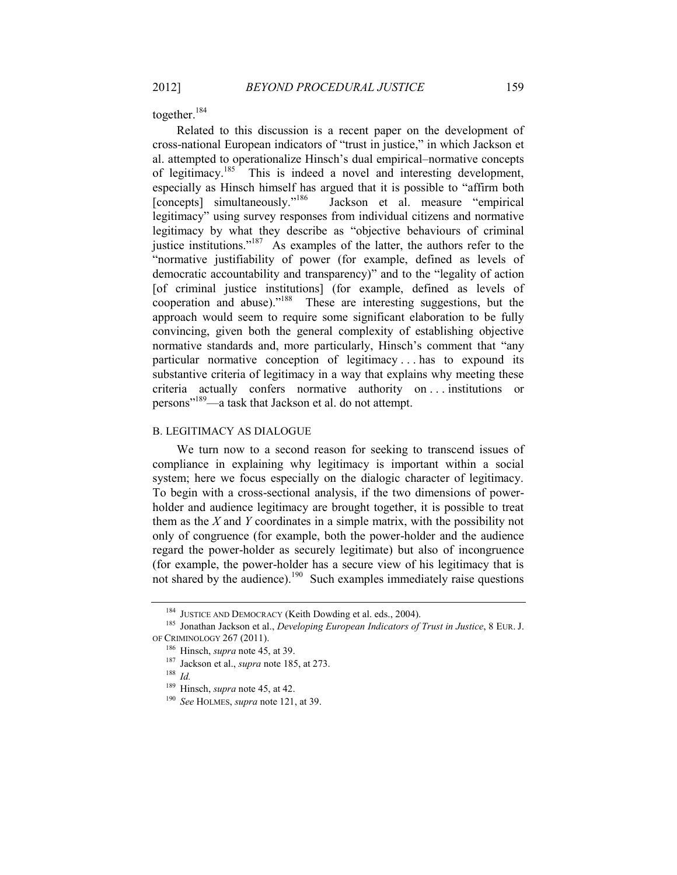together.<sup>184</sup>

<span id="page-41-0"></span>Related to this discussion is a recent paper on the development of cross-national European indicators of "trust in justice," in which Jackson et al. attempted to operationalize Hinsch's dual empirical–normative concepts of legitimacy.<sup>185</sup> This is indeed a novel and interesting development, especially as Hinsch himself has argued that it is possible to "affirm both [concepts] simultaneously."<sup>186</sup> Jackson et al. measure "empirical legitimacy" using survey responses from individual citizens and normative legitimacy by what they describe as "objective behaviours of criminal justice institutions."<sup>187</sup> As examples of the latter, the authors refer to the "normative justifiability of power (for example, defined as levels of democratic accountability and transparency)" and to the "legality of action [of criminal justice institutions] (for example, defined as levels of cooperation and abuse)." 188 These are interesting suggestions, but the approach would seem to require some significant elaboration to be fully convincing, given both the general complexity of establishing objective normative standards and, more particularly, Hinsch's comment that "any particular normative conception of legitimacy . . . has to expound its substantive criteria of legitimacy in a way that explains why meeting these criteria actually confers normative authority on . . . institutions or persons"<sup>189</sup>—a task that Jackson et al. do not attempt.

#### B. LEGITIMACY AS DIALOGUE

We turn now to a second reason for seeking to transcend issues of compliance in explaining why legitimacy is important within a social system; here we focus especially on the dialogic character of legitimacy. To begin with a cross-sectional analysis, if the two dimensions of powerholder and audience legitimacy are brought together, it is possible to treat them as the *X* and *Y* coordinates in a simple matrix, with the possibility not only of congruence (for example, both the power-holder and the audience regard the power-holder as securely legitimate) but also of incongruence (for example, the power-holder has a secure view of his legitimacy that is not shared by the audience).<sup>190</sup> Such examples immediately raise questions

<sup>&</sup>lt;sup>184</sup> JUSTICE AND DEMOCRACY (Keith Dowding et al. eds., 2004).

<sup>185</sup> Jonathan Jackson et al., *Developing European Indicators of Trust in Justice*, 8 EUR. J. OF CRIMINOLOGY 267 (2011).

<sup>186</sup> Hinsch, *supra* note [45,](#page-13-1) at 39.

<sup>187</sup> Jackson et al., *supra* not[e 185,](#page-41-0) at 273.

<sup>188</sup> *Id.*

<sup>189</sup> Hinsch, *supra* not[e 45,](#page-13-1) at 42.

<sup>190</sup> *See* HOLMES, *supra* note [121,](#page-29-1) at 39.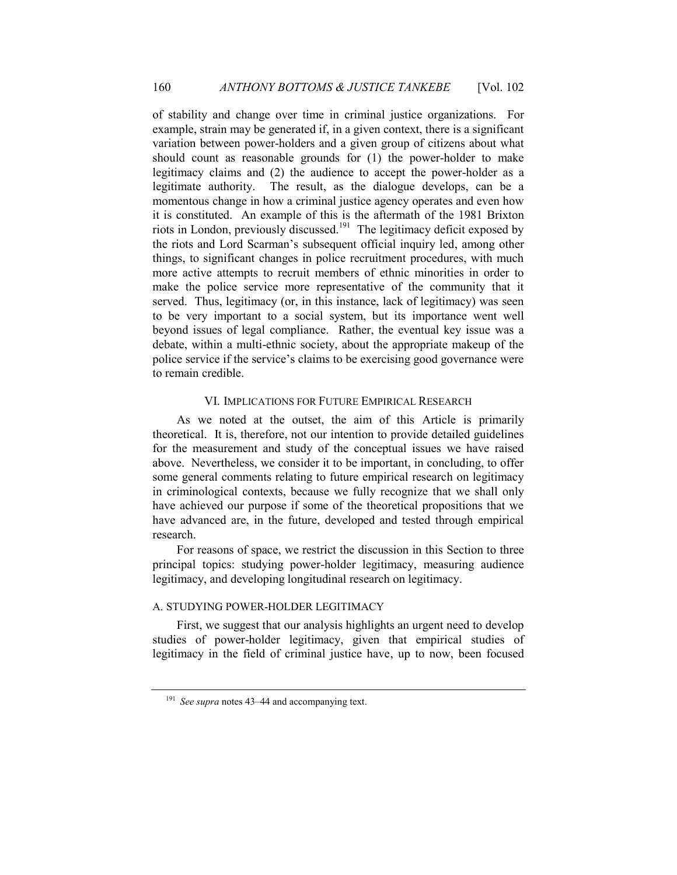of stability and change over time in criminal justice organizations. For example, strain may be generated if, in a given context, there is a significant variation between power-holders and a given group of citizens about what should count as reasonable grounds for (1) the power-holder to make legitimacy claims and (2) the audience to accept the power-holder as a legitimate authority. The result, as the dialogue develops, can be a momentous change in how a criminal justice agency operates and even how it is constituted. An example of this is the aftermath of the 1981 Brixton riots in London, previously discussed.<sup>191</sup> The legitimacy deficit exposed by the riots and Lord Scarman's subsequent official inquiry led, among other things, to significant changes in police recruitment procedures, with much more active attempts to recruit members of ethnic minorities in order to make the police service more representative of the community that it served. Thus, legitimacy (or, in this instance, lack of legitimacy) was seen to be very important to a social system, but its importance went well beyond issues of legal compliance. Rather, the eventual key issue was a debate, within a multi-ethnic society, about the appropriate makeup of the police service if the service's claims to be exercising good governance were to remain credible.

#### VI. IMPLICATIONS FOR FUTURE EMPIRICAL RESEARCH

As we noted at the outset, the aim of this Article is primarily theoretical. It is, therefore, not our intention to provide detailed guidelines for the measurement and study of the conceptual issues we have raised above. Nevertheless, we consider it to be important, in concluding, to offer some general comments relating to future empirical research on legitimacy in criminological contexts, because we fully recognize that we shall only have achieved our purpose if some of the theoretical propositions that we have advanced are, in the future, developed and tested through empirical research.

For reasons of space, we restrict the discussion in this Section to three principal topics: studying power-holder legitimacy, measuring audience legitimacy, and developing longitudinal research on legitimacy.

#### A. STUDYING POWER-HOLDER LEGITIMACY

First, we suggest that our analysis highlights an urgent need to develop studies of power-holder legitimacy, given that empirical studies of legitimacy in the field of criminal justice have, up to now, been focused

<sup>191</sup> *See supra* notes 43–44 and accompanying text.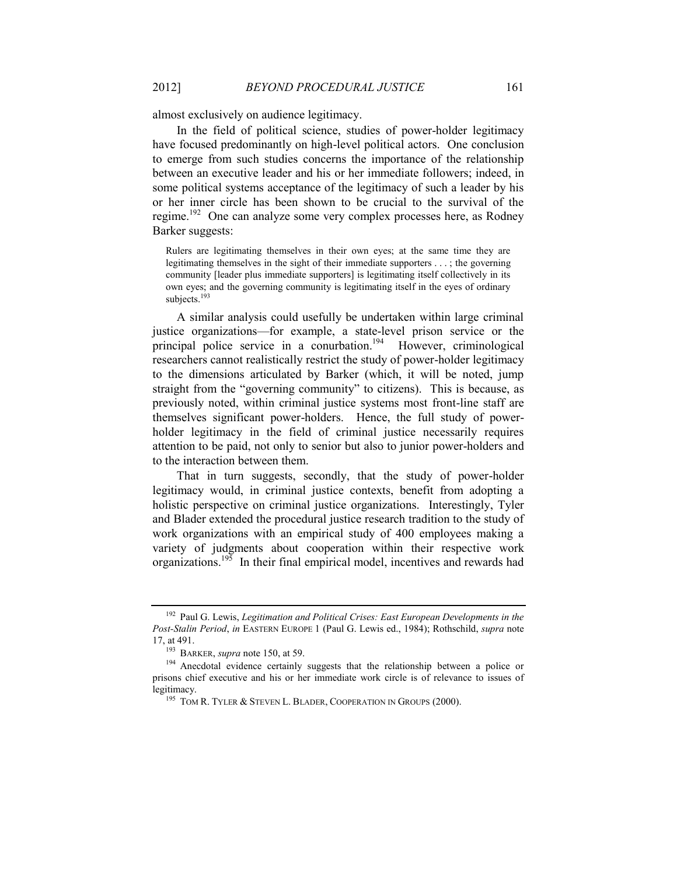almost exclusively on audience legitimacy.

In the field of political science, studies of power-holder legitimacy have focused predominantly on high-level political actors. One conclusion to emerge from such studies concerns the importance of the relationship between an executive leader and his or her immediate followers; indeed, in some political systems acceptance of the legitimacy of such a leader by his or her inner circle has been shown to be crucial to the survival of the regime.<sup>192</sup> One can analyze some very complex processes here, as Rodney Barker suggests:

Rulers are legitimating themselves in their own eyes; at the same time they are legitimating themselves in the sight of their immediate supporters . . . ; the governing community [leader plus immediate supporters] is legitimating itself collectively in its own eyes; and the governing community is legitimating itself in the eyes of ordinary subjects.<sup>193</sup>

A similar analysis could usefully be undertaken within large criminal justice organizations—for example, a state-level prison service or the principal police service in a conurbation.<sup>194</sup> However, criminological researchers cannot realistically restrict the study of power-holder legitimacy to the dimensions articulated by Barker (which, it will be noted, jump straight from the "governing community" to citizens). This is because, as previously noted, within criminal justice systems most front-line staff are themselves significant power-holders. Hence, the full study of powerholder legitimacy in the field of criminal justice necessarily requires attention to be paid, not only to senior but also to junior power-holders and to the interaction between them.

That in turn suggests, secondly, that the study of power-holder legitimacy would, in criminal justice contexts, benefit from adopting a holistic perspective on criminal justice organizations. Interestingly, Tyler and Blader extended the procedural justice research tradition to the study of work organizations with an empirical study of 400 employees making a variety of judgments about cooperation within their respective work organizations.<sup>195</sup> In their final empirical model, incentives and rewards had

<sup>192</sup> Paul G. Lewis, *Legitimation and Political Crises: East European Developments in the Post-Stalin Period*, *in* EASTERN EUROPE 1 (Paul G. Lewis ed., 1984); Rothschild, *supra* note [17,](#page-6-0) at 491.

<sup>193</sup> BARKER, *supra* not[e 150,](#page-34-0) at 59.

<sup>&</sup>lt;sup>194</sup> Anecdotal evidence certainly suggests that the relationship between a police or prisons chief executive and his or her immediate work circle is of relevance to issues of legitimacy.

<sup>&</sup>lt;sup>195</sup> TOM R. TYLER & STEVEN L. BLADER, COOPERATION IN GROUPS (2000).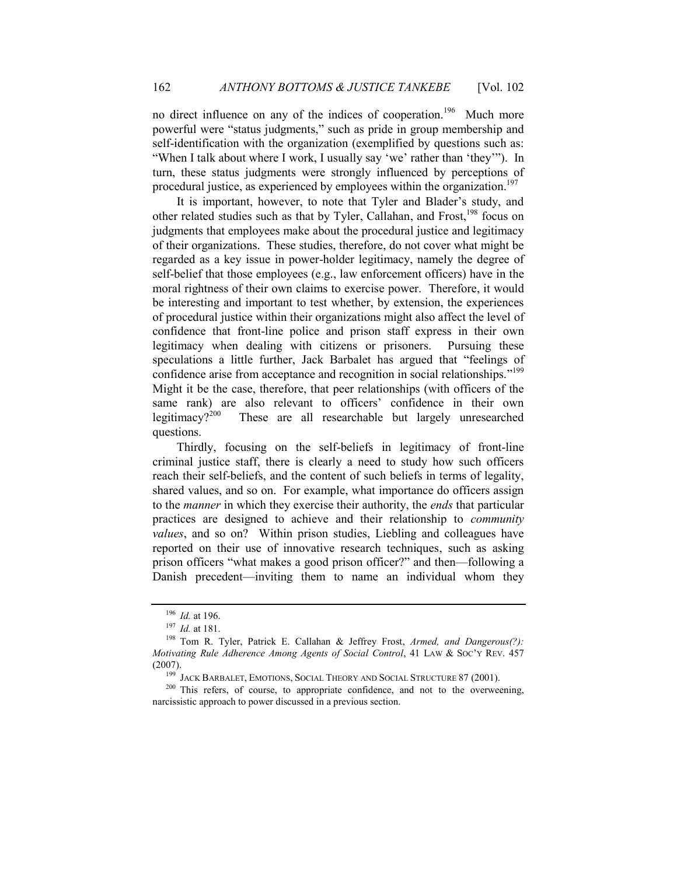no direct influence on any of the indices of cooperation.<sup>196</sup> Much more powerful were "status judgments," such as pride in group membership and self-identification with the organization (exemplified by questions such as: "When I talk about where I work, I usually say 'we' rather than 'they'"). In turn, these status judgments were strongly influenced by perceptions of procedural justice, as experienced by employees within the organization.<sup>1</sup>

It is important, however, to note that Tyler and Blader's study, and other related studies such as that by Tyler, Callahan, and Frost,<sup>198</sup> focus on judgments that employees make about the procedural justice and legitimacy of their organizations. These studies, therefore, do not cover what might be regarded as a key issue in power-holder legitimacy, namely the degree of self-belief that those employees (e.g., law enforcement officers) have in the moral rightness of their own claims to exercise power. Therefore, it would be interesting and important to test whether, by extension, the experiences of procedural justice within their organizations might also affect the level of confidence that front-line police and prison staff express in their own legitimacy when dealing with citizens or prisoners. Pursuing these speculations a little further, Jack Barbalet has argued that "feelings of confidence arise from acceptance and recognition in social relationships."<sup>199</sup> Might it be the case, therefore, that peer relationships (with officers of the same rank) are also relevant to officers' confidence in their own legitimacy?<sup>200</sup> These are all researchable but largely unresearched questions.

Thirdly, focusing on the self-beliefs in legitimacy of front-line criminal justice staff, there is clearly a need to study how such officers reach their self-beliefs, and the content of such beliefs in terms of legality, shared values, and so on. For example, what importance do officers assign to the *manner* in which they exercise their authority, the *ends* that particular practices are designed to achieve and their relationship to *community values*, and so on? Within prison studies, Liebling and colleagues have reported on their use of innovative research techniques, such as asking prison officers "what makes a good prison officer?" and then—following a Danish precedent—inviting them to name an individual whom they

<sup>196</sup> *Id.* at 196.

<sup>197</sup> *Id.* at 181.

<sup>198</sup> Tom R. Tyler, Patrick E. Callahan & Jeffrey Frost, *Armed, and Dangerous(?): Motivating Rule Adherence Among Agents of Social Control*, 41 LAW & SOC'Y REV. 457 (2007).

<sup>&</sup>lt;sup>199</sup> JACK BARBALET, EMOTIONS, SOCIAL THEORY AND SOCIAL STRUCTURE 87 (2001).

<sup>&</sup>lt;sup>200</sup> This refers, of course, to appropriate confidence, and not to the overweening, narcissistic approach to power discussed in a previous section.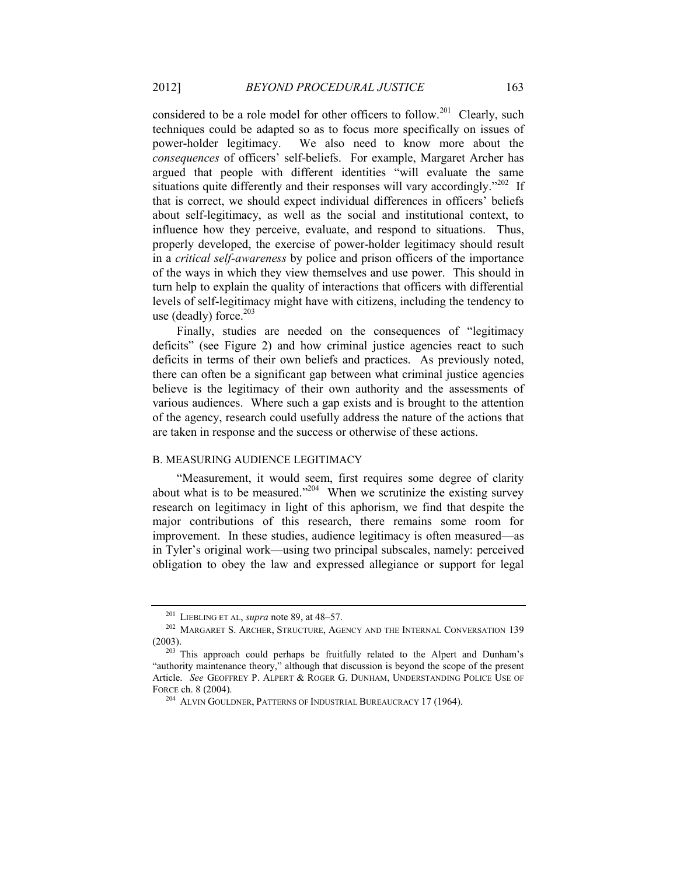considered to be a role model for other officers to follow.<sup>201</sup> Clearly, such techniques could be adapted so as to focus more specifically on issues of power-holder legitimacy. We also need to know more about the *consequences* of officers' self-beliefs. For example, Margaret Archer has argued that people with different identities "will evaluate the same situations quite differently and their responses will vary accordingly."<sup>202</sup> If that is correct, we should expect individual differences in officers' beliefs about self-legitimacy, as well as the social and institutional context, to influence how they perceive, evaluate, and respond to situations. Thus, properly developed, the exercise of power-holder legitimacy should result in a *critical self-awareness* by police and prison officers of the importance of the ways in which they view themselves and use power. This should in turn help to explain the quality of interactions that officers with differential levels of self-legitimacy might have with citizens, including the tendency to use (deadly) force. $203$ 

Finally, studies are needed on the consequences of "legitimacy deficits" (see [Figure 2\)](#page-15-0) and how criminal justice agencies react to such deficits in terms of their own beliefs and practices. As previously noted, there can often be a significant gap between what criminal justice agencies believe is the legitimacy of their own authority and the assessments of various audiences. Where such a gap exists and is brought to the attention of the agency, research could usefully address the nature of the actions that are taken in response and the success or otherwise of these actions.

#### B. MEASURING AUDIENCE LEGITIMACY

"Measurement, it would seem, first requires some degree of clarity about what is to be measured."<sup>204</sup> When we scrutinize the existing survey research on legitimacy in light of this aphorism, we find that despite the major contributions of this research, there remains some room for improvement. In these studies, audience legitimacy is often measured—as in Tyler's original work—using two principal subscales, namely: perceived obligation to obey the law and expressed allegiance or support for legal

<sup>201</sup> LIEBLING ET AL, *supra* note [89,](#page-22-0) at 48–57.

<sup>&</sup>lt;sup>202</sup> MARGARET S. ARCHER, STRUCTURE, AGENCY AND THE INTERNAL CONVERSATION 139 (2003).

<sup>&</sup>lt;sup>203</sup> This approach could perhaps be fruitfully related to the Alpert and Dunham's "authority maintenance theory," although that discussion is beyond the scope of the present Article. *See* GEOFFREY P. ALPERT & ROGER G. DUNHAM, UNDERSTANDING POLICE USE OF FORCE ch. 8 (2004).

<sup>204</sup> ALVIN GOULDNER, PATTERNS OF INDUSTRIAL BUREAUCRACY 17 (1964).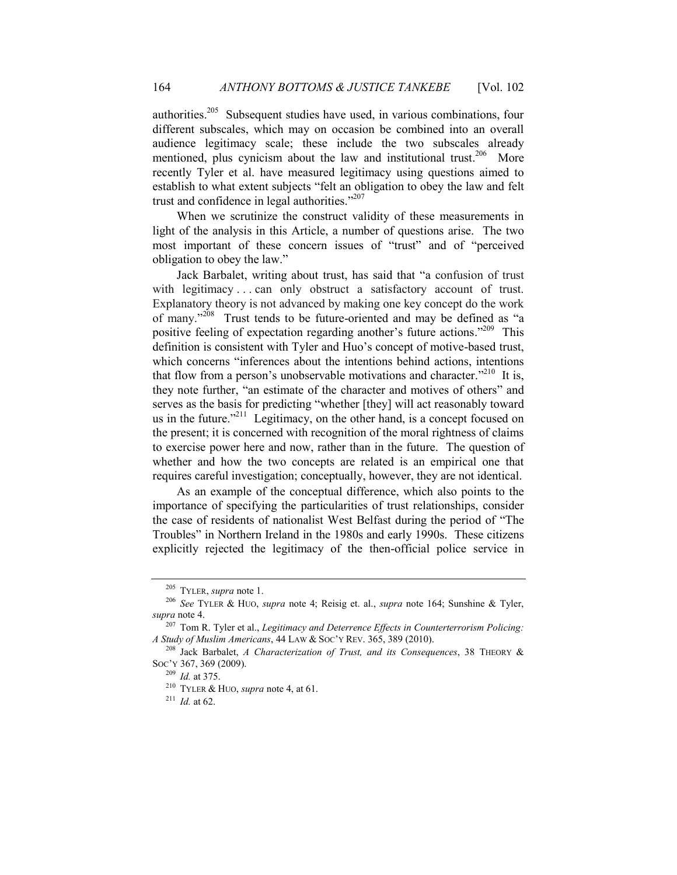authorities. <sup>205</sup> Subsequent studies have used, in various combinations, four different subscales, which may on occasion be combined into an overall audience legitimacy scale; these include the two subscales already mentioned, plus cynicism about the law and institutional trust.<sup>206</sup> More recently Tyler et al. have measured legitimacy using questions aimed to establish to what extent subjects "felt an obligation to obey the law and felt trust and confidence in legal authorities." 207

When we scrutinize the construct validity of these measurements in light of the analysis in this Article, a number of questions arise. The two most important of these concern issues of "trust" and of "perceived obligation to obey the law."

Jack Barbalet, writing about trust, has said that "a confusion of trust with legitimacy . . . can only obstruct a satisfactory account of trust. Explanatory theory is not advanced by making one key concept do the work of many."<sup>208</sup> Trust tends to be future-oriented and may be defined as "a positive feeling of expectation regarding another's future actions."<sup>209</sup> This definition is consistent with Tyler and Huo's concept of motive-based trust, which concerns "inferences about the intentions behind actions, intentions that flow from a person's unobservable motivations and character."<sup>210</sup> It is, they note further, "an estimate of the character and motives of others" and serves as the basis for predicting "whether [they] will act reasonably toward us in the future. $12^{11}$  Legitimacy, on the other hand, is a concept focused on the present; it is concerned with recognition of the moral rightness of claims to exercise power here and now, rather than in the future. The question of whether and how the two concepts are related is an empirical one that requires careful investigation; conceptually, however, they are not identical.

As an example of the conceptual difference, which also points to the importance of specifying the particularities of trust relationships, consider the case of residents of nationalist West Belfast during the period of "The Troubles" in Northern Ireland in the 1980s and early 1990s. These citizens explicitly rejected the legitimacy of the then-official police service in

<sup>205</sup> TYLER, *supra* note [1.](#page-2-0)

<sup>206</sup> *See* TYLER & HUO, *supra* note [4;](#page-3-3) Reisig et. al., *supra* note [164;](#page-37-0) Sunshine & Tyler, *supra* not[e 4.](#page-3-3)

<sup>207</sup> Tom R. Tyler et al., *Legitimacy and Deterrence Effects in Counterterrorism Policing: A Study of Muslim Americans*, 44 LAW & SOC'Y REV. 365, 389 (2010).

<sup>208</sup> Jack Barbalet, *A Characterization of Trust, and its Consequences*, 38 THEORY & SOC'Y 367, 369 (2009).

<sup>209</sup> *Id.* at 375.

<sup>210</sup> TYLER & HUO, *supra* note [4,](#page-3-3) at 61.

 $^{211}$  *Id.* at 62.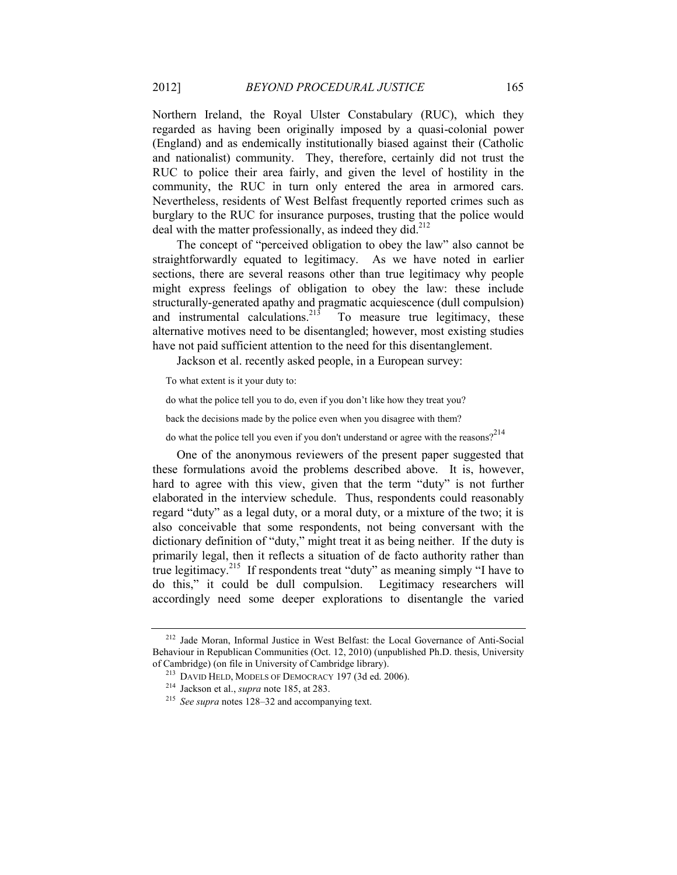Northern Ireland, the Royal Ulster Constabulary (RUC), which they regarded as having been originally imposed by a quasi-colonial power (England) and as endemically institutionally biased against their (Catholic and nationalist) community. They, therefore, certainly did not trust the RUC to police their area fairly, and given the level of hostility in the community, the RUC in turn only entered the area in armored cars. Nevertheless, residents of West Belfast frequently reported crimes such as burglary to the RUC for insurance purposes, trusting that the police would deal with the matter professionally, as indeed they did.<sup>212</sup>

The concept of "perceived obligation to obey the law" also cannot be straightforwardly equated to legitimacy. As we have noted in earlier sections, there are several reasons other than true legitimacy why people might express feelings of obligation to obey the law: these include structurally-generated apathy and pragmatic acquiescence (dull compulsion) and instrumental calculations.<sup>213</sup> To measure true legitimacy, these alternative motives need to be disentangled; however, most existing studies have not paid sufficient attention to the need for this disentanglement.

Jackson et al. recently asked people, in a European survey:

To what extent is it your duty to:

do what the police tell you to do, even if you don't like how they treat you?

back the decisions made by the police even when you disagree with them?

do what the police tell you even if you don't understand or agree with the reasons?<sup>214</sup>

One of the anonymous reviewers of the present paper suggested that these formulations avoid the problems described above. It is, however, hard to agree with this view, given that the term "duty" is not further elaborated in the interview schedule. Thus, respondents could reasonably regard "duty" as a legal duty, or a moral duty, or a mixture of the two; it is also conceivable that some respondents, not being conversant with the dictionary definition of "duty," might treat it as being neither. If the duty is primarily legal, then it reflects a situation of de facto authority rather than true legitimacy.<sup>215</sup> If respondents treat "duty" as meaning simply "I have to do this," it could be dull compulsion. Legitimacy researchers will accordingly need some deeper explorations to disentangle the varied

<sup>212</sup> Jade Moran, Informal Justice in West Belfast: the Local Governance of Anti-Social Behaviour in Republican Communities (Oct. 12, 2010) (unpublished Ph.D. thesis, University of Cambridge) (on file in University of Cambridge library).

<sup>213</sup> DAVID HELD, MODELS OF DEMOCRACY 197 (3d ed. 2006).

<sup>214</sup> Jackson et al., *supra* not[e 185,](#page-41-0) at 283.

<sup>215</sup> *See supra* note[s 128](#page-30-0)–[32](#page-31-1) and accompanying text.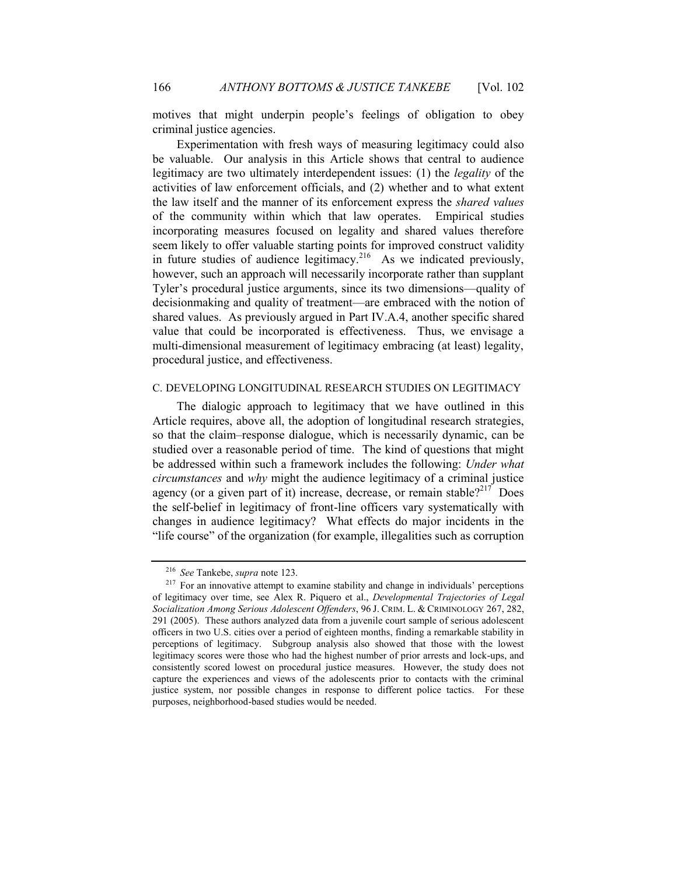motives that might underpin people's feelings of obligation to obey criminal justice agencies.

Experimentation with fresh ways of measuring legitimacy could also be valuable. Our analysis in this Article shows that central to audience legitimacy are two ultimately interdependent issues: (1) the *legality* of the activities of law enforcement officials, and (2) whether and to what extent the law itself and the manner of its enforcement express the *shared values* of the community within which that law operates. Empirical studies incorporating measures focused on legality and shared values therefore seem likely to offer valuable starting points for improved construct validity in future studies of audience legitimacy.<sup>216</sup> As we indicated previously, however, such an approach will necessarily incorporate rather than supplant Tyler's procedural justice arguments, since its two dimensions—quality of decisionmaking and quality of treatment—are embraced with the notion of shared values. As previously argued in Part [IV.A.4,](#page-26-0) another specific shared value that could be incorporated is effectiveness. Thus, we envisage a multi-dimensional measurement of legitimacy embracing (at least) legality, procedural justice, and effectiveness.

#### C. DEVELOPING LONGITUDINAL RESEARCH STUDIES ON LEGITIMACY

The dialogic approach to legitimacy that we have outlined in this Article requires, above all, the adoption of longitudinal research strategies, so that the claim–response dialogue, which is necessarily dynamic, can be studied over a reasonable period of time. The kind of questions that might be addressed within such a framework includes the following: *Under what circumstances* and *why* might the audience legitimacy of a criminal justice agency (or a given part of it) increase, decrease, or remain stable?<sup>217</sup> Does the self-belief in legitimacy of front-line officers vary systematically with changes in audience legitimacy? What effects do major incidents in the "life course" of the organization (for example, illegalities such as corruption

<sup>216</sup> *See* Tankebe, *supra* not[e 123.](#page-29-2)

 $217$  For an innovative attempt to examine stability and change in individuals' perceptions of legitimacy over time, see Alex R. Piquero et al., *Developmental Trajectories of Legal Socialization Among Serious Adolescent Offenders*, 96 J. CRIM. L. & CRIMINOLOGY 267, 282, 291 (2005). These authors analyzed data from a juvenile court sample of serious adolescent officers in two U.S. cities over a period of eighteen months, finding a remarkable stability in perceptions of legitimacy. Subgroup analysis also showed that those with the lowest legitimacy scores were those who had the highest number of prior arrests and lock-ups, and consistently scored lowest on procedural justice measures. However, the study does not capture the experiences and views of the adolescents prior to contacts with the criminal justice system, nor possible changes in response to different police tactics. For these purposes, neighborhood-based studies would be needed.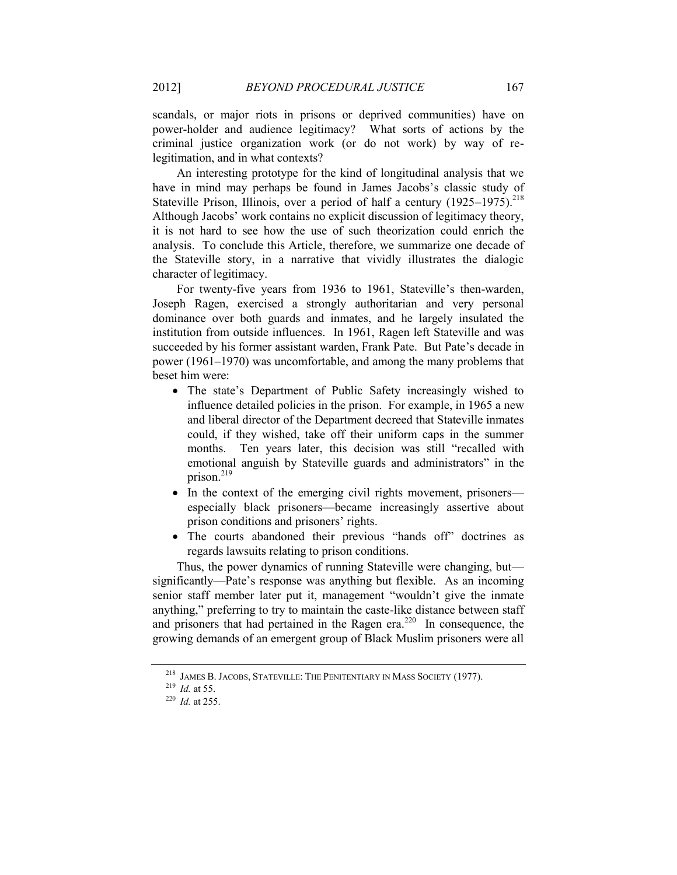scandals, or major riots in prisons or deprived communities) have on power-holder and audience legitimacy? What sorts of actions by the criminal justice organization work (or do not work) by way of relegitimation, and in what contexts?

An interesting prototype for the kind of longitudinal analysis that we have in mind may perhaps be found in James Jacobs's classic study of Stateville Prison, Illinois, over a period of half a century  $(1925-1975).^{218}$ Although Jacobs' work contains no explicit discussion of legitimacy theory, it is not hard to see how the use of such theorization could enrich the analysis. To conclude this Article, therefore, we summarize one decade of the Stateville story, in a narrative that vividly illustrates the dialogic character of legitimacy.

For twenty-five years from 1936 to 1961, Stateville's then-warden, Joseph Ragen, exercised a strongly authoritarian and very personal dominance over both guards and inmates, and he largely insulated the institution from outside influences. In 1961, Ragen left Stateville and was succeeded by his former assistant warden, Frank Pate. But Pate's decade in power (1961–1970) was uncomfortable, and among the many problems that beset him were:

- The state's Department of Public Safety increasingly wished to influence detailed policies in the prison. For example, in 1965 a new and liberal director of the Department decreed that Stateville inmates could, if they wished, take off their uniform caps in the summer months. Ten years later, this decision was still "recalled with emotional anguish by Stateville guards and administrators" in the prison. $219$
- In the context of the emerging civil rights movement, prisoners especially black prisoners—became increasingly assertive about prison conditions and prisoners' rights.
- The courts abandoned their previous "hands off" doctrines as regards lawsuits relating to prison conditions.

Thus, the power dynamics of running Stateville were changing, but significantly—Pate's response was anything but flexible. As an incoming senior staff member later put it, management "wouldn't give the inmate anything," preferring to try to maintain the caste-like distance between staff and prisoners that had pertained in the Ragen era.<sup>220</sup> In consequence, the growing demands of an emergent group of Black Muslim prisoners were all

<sup>218</sup> JAMES B. JACOBS, STATEVILLE: THE PENITENTIARY IN MASS SOCIETY (1977).

<sup>219</sup> *Id.* at 55.

<sup>220</sup> *Id.* at 255.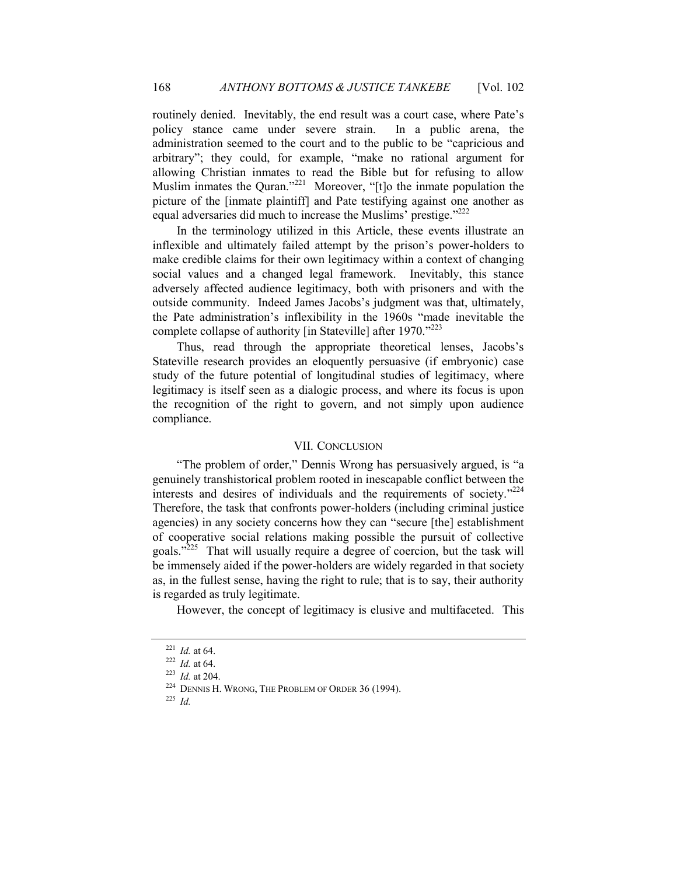routinely denied. Inevitably, the end result was a court case, where Pate's policy stance came under severe strain. In a public arena, the administration seemed to the court and to the public to be "capricious and arbitrary"; they could, for example, "make no rational argument for allowing Christian inmates to read the Bible but for refusing to allow Muslim inmates the Quran."<sup>221</sup> Moreover, "[t]o the inmate population the picture of the [inmate plaintiff] and Pate testifying against one another as equal adversaries did much to increase the Muslims' prestige."<sup>222</sup>

In the terminology utilized in this Article, these events illustrate an inflexible and ultimately failed attempt by the prison's power-holders to make credible claims for their own legitimacy within a context of changing social values and a changed legal framework. Inevitably, this stance adversely affected audience legitimacy, both with prisoners and with the outside community. Indeed James Jacobs's judgment was that, ultimately, the Pate administration's inflexibility in the 1960s "made inevitable the complete collapse of authority [in Stateville] after 1970."<sup>223</sup>

Thus, read through the appropriate theoretical lenses, Jacobs's Stateville research provides an eloquently persuasive (if embryonic) case study of the future potential of longitudinal studies of legitimacy, where legitimacy is itself seen as a dialogic process, and where its focus is upon the recognition of the right to govern, and not simply upon audience compliance.

#### VII. CONCLUSION

"The problem of order," Dennis Wrong has persuasively argued, is "a genuinely transhistorical problem rooted in inescapable conflict between the interests and desires of individuals and the requirements of society."<sup>224</sup> Therefore, the task that confronts power-holders (including criminal justice agencies) in any society concerns how they can "secure [the] establishment of cooperative social relations making possible the pursuit of collective goals."<sup>225</sup> That will usually require a degree of coercion, but the task will be immensely aided if the power-holders are widely regarded in that society as, in the fullest sense, having the right to rule; that is to say, their authority is regarded as truly legitimate.

However, the concept of legitimacy is elusive and multifaceted. This

<sup>221</sup> *Id.* at 64.

<sup>222</sup> *Id.* at 64.

<sup>223</sup> *Id.* at 204.

<sup>224</sup> DENNIS H. WRONG, THE PROBLEM OF ORDER 36 (1994).

<sup>225</sup> *Id.*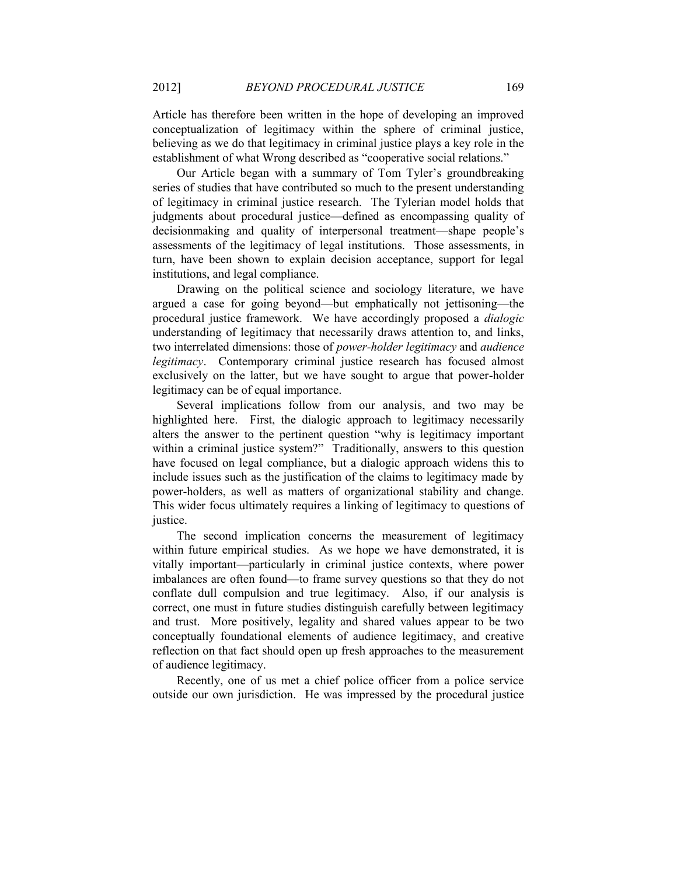Article has therefore been written in the hope of developing an improved conceptualization of legitimacy within the sphere of criminal justice, believing as we do that legitimacy in criminal justice plays a key role in the establishment of what Wrong described as "cooperative social relations."

Our Article began with a summary of Tom Tyler's groundbreaking series of studies that have contributed so much to the present understanding of legitimacy in criminal justice research. The Tylerian model holds that judgments about procedural justice—defined as encompassing quality of decisionmaking and quality of interpersonal treatment—shape people's assessments of the legitimacy of legal institutions. Those assessments, in turn, have been shown to explain decision acceptance, support for legal institutions, and legal compliance.

Drawing on the political science and sociology literature, we have argued a case for going beyond—but emphatically not jettisoning—the procedural justice framework. We have accordingly proposed a *dialogic* understanding of legitimacy that necessarily draws attention to, and links, two interrelated dimensions: those of *power-holder legitimacy* and *audience legitimacy*. Contemporary criminal justice research has focused almost exclusively on the latter, but we have sought to argue that power-holder legitimacy can be of equal importance.

Several implications follow from our analysis, and two may be highlighted here. First, the dialogic approach to legitimacy necessarily alters the answer to the pertinent question "why is legitimacy important within a criminal justice system?" Traditionally, answers to this question have focused on legal compliance, but a dialogic approach widens this to include issues such as the justification of the claims to legitimacy made by power-holders, as well as matters of organizational stability and change. This wider focus ultimately requires a linking of legitimacy to questions of justice.

The second implication concerns the measurement of legitimacy within future empirical studies. As we hope we have demonstrated, it is vitally important—particularly in criminal justice contexts, where power imbalances are often found—to frame survey questions so that they do not conflate dull compulsion and true legitimacy. Also, if our analysis is correct, one must in future studies distinguish carefully between legitimacy and trust. More positively, legality and shared values appear to be two conceptually foundational elements of audience legitimacy, and creative reflection on that fact should open up fresh approaches to the measurement of audience legitimacy.

Recently, one of us met a chief police officer from a police service outside our own jurisdiction. He was impressed by the procedural justice